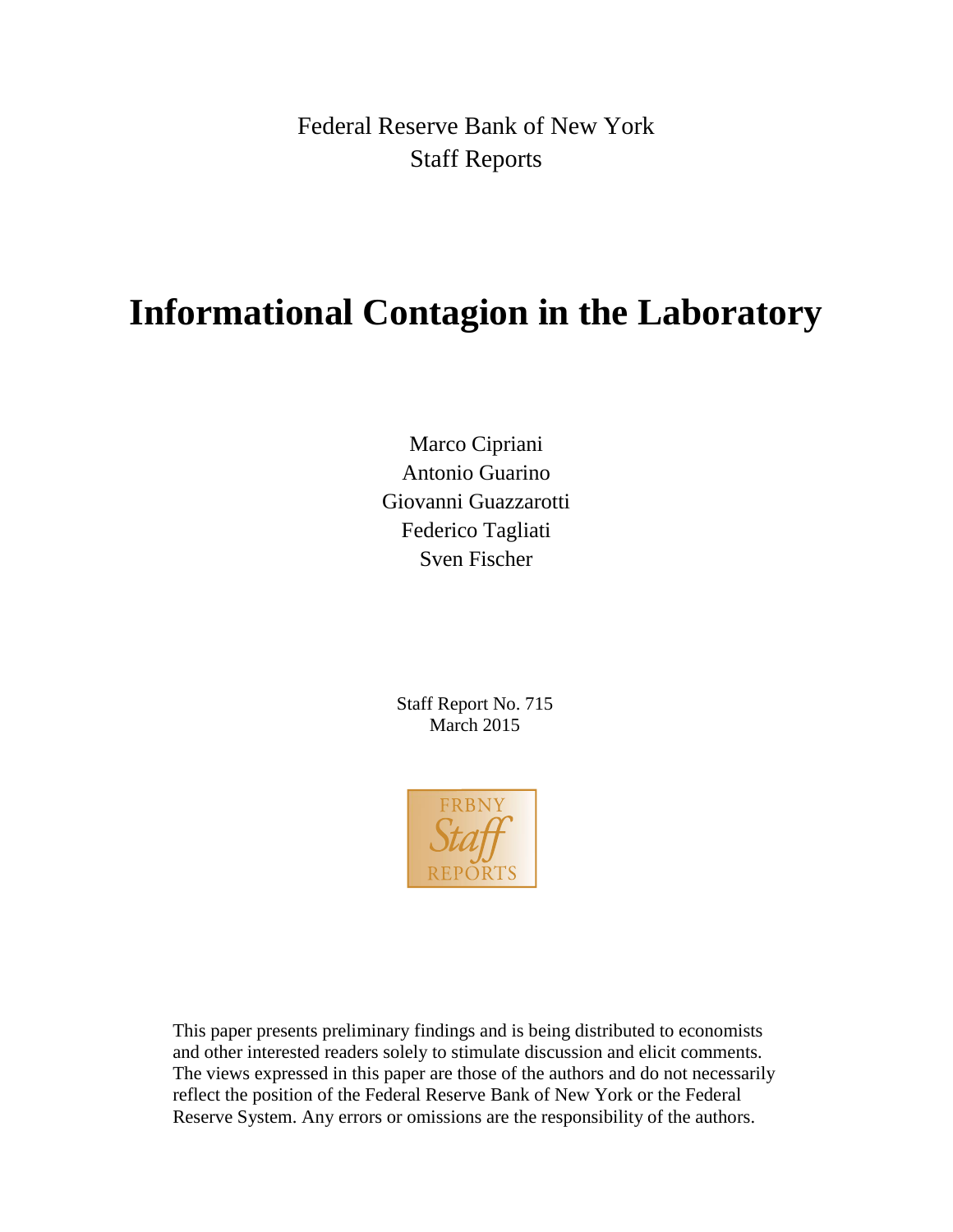Federal Reserve Bank of New York Staff Reports

# **Informational Contagion in the Laboratory**

Marco Cipriani Antonio Guarino Giovanni Guazzarotti Federico Tagliati Sven Fischer

Staff Report No. 715 March 2015



This paper presents preliminary findings and is being distributed to economists and other interested readers solely to stimulate discussion and elicit comments. The views expressed in this paper are those of the authors and do not necessarily reflect the position of the Federal Reserve Bank of New York or the Federal Reserve System. Any errors or omissions are the responsibility of the authors.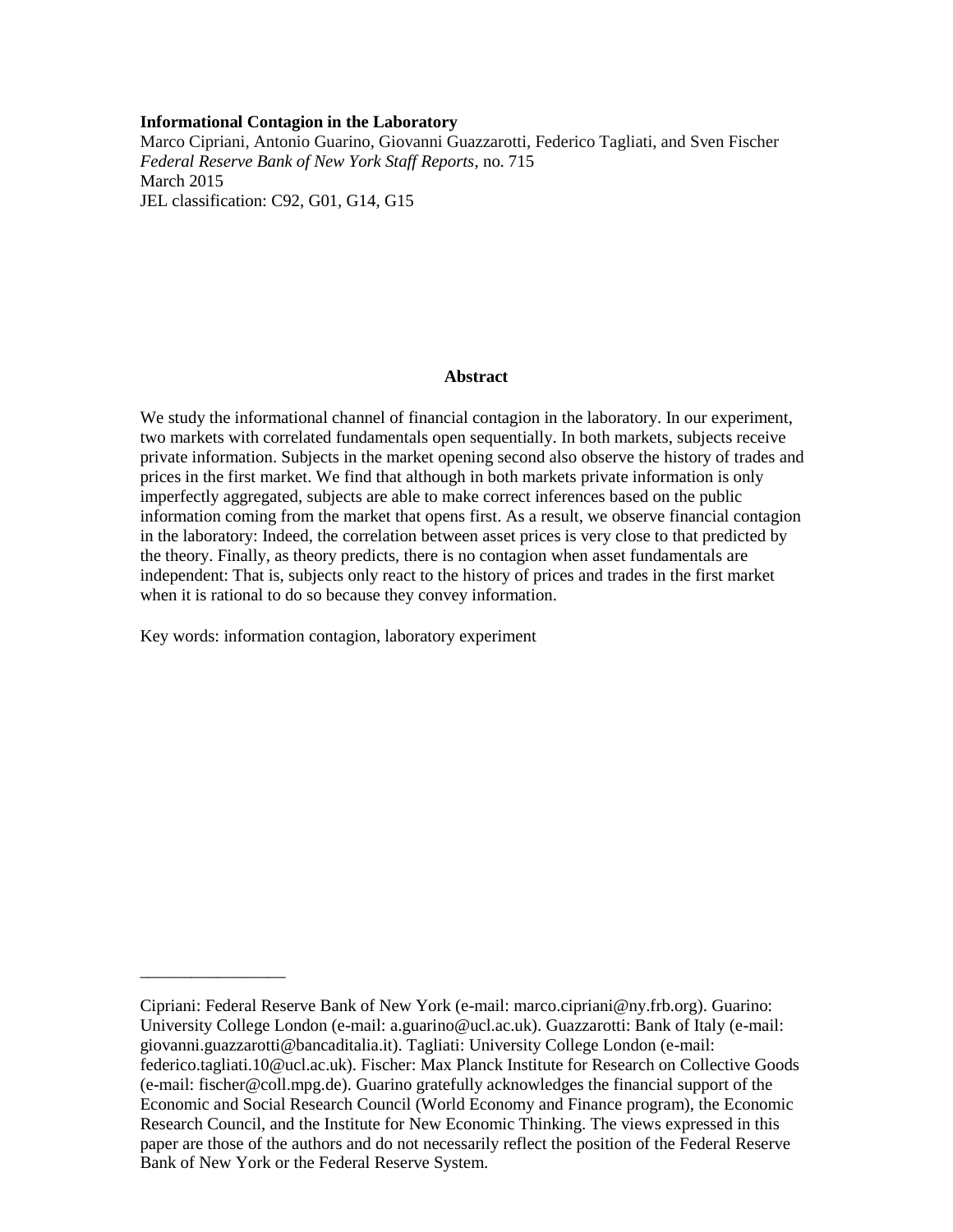#### **Informational Contagion in the Laboratory**

Marco Cipriani, Antonio Guarino, Giovanni Guazzarotti, Federico Tagliati, and Sven Fischer *Federal Reserve Bank of New York Staff Reports*, no. 715 March 2015 JEL classification: C92, G01, G14, G15

#### **Abstract**

We study the informational channel of financial contagion in the laboratory. In our experiment, two markets with correlated fundamentals open sequentially. In both markets, subjects receive private information. Subjects in the market opening second also observe the history of trades and prices in the first market. We find that although in both markets private information is only imperfectly aggregated, subjects are able to make correct inferences based on the public information coming from the market that opens first. As a result, we observe financial contagion in the laboratory: Indeed, the correlation between asset prices is very close to that predicted by the theory. Finally, as theory predicts, there is no contagion when asset fundamentals are independent: That is, subjects only react to the history of prices and trades in the first market when it is rational to do so because they convey information.

Key words: information contagion, laboratory experiment

\_\_\_\_\_\_\_\_\_\_\_\_\_\_\_\_\_

Cipriani: Federal Reserve Bank of New York (e-mail: marco.cipriani@ny.frb.org). Guarino: University College London (e-mail: a.guarino@ucl.ac.uk). Guazzarotti: Bank of Italy (e-mail: giovanni.guazzarotti@bancaditalia.it). Tagliati: University College London (e-mail: federico.tagliati.10@ucl.ac.uk). Fischer: Max Planck Institute for Research on Collective Goods (e-mail: fischer@coll.mpg.de). Guarino gratefully acknowledges the financial support of the Economic and Social Research Council (World Economy and Finance program), the Economic Research Council, and the Institute for New Economic Thinking. The views expressed in this paper are those of the authors and do not necessarily reflect the position of the Federal Reserve Bank of New York or the Federal Reserve System.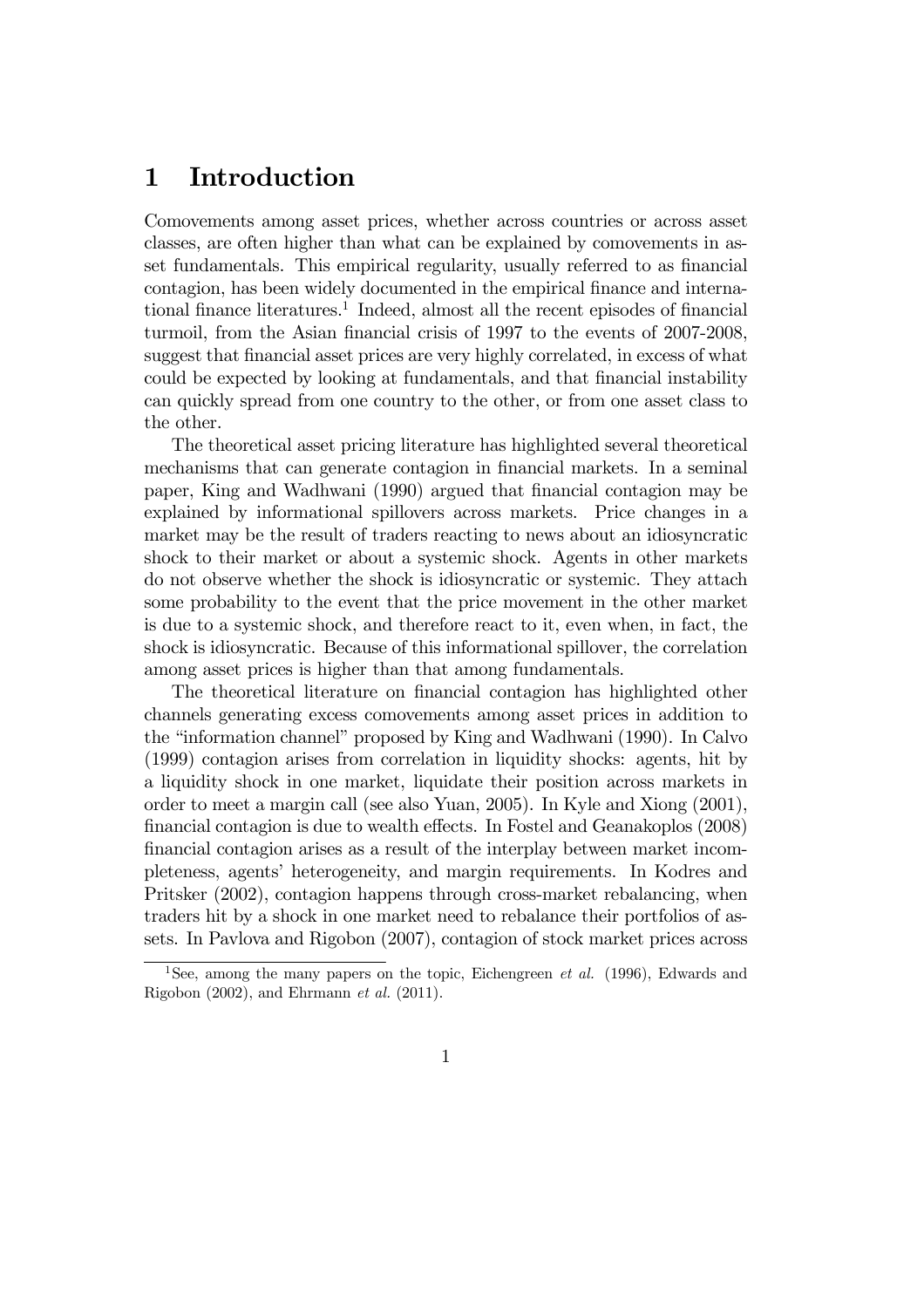## 1 Introduction

Comovements among asset prices, whether across countries or across asset classes, are often higher than what can be explained by comovements in asset fundamentals. This empirical regularity, usually referred to as financial contagion, has been widely documented in the empirical finance and international finance literatures.<sup>1</sup> Indeed, almost all the recent episodes of financial turmoil, from the Asian financial crisis of 1997 to the events of 2007-2008, suggest that financial asset prices are very highly correlated, in excess of what could be expected by looking at fundamentals, and that financial instability can quickly spread from one country to the other, or from one asset class to the other.

The theoretical asset pricing literature has highlighted several theoretical mechanisms that can generate contagion in financial markets. In a seminal paper, King and Wadhwani (1990) argued that financial contagion may be explained by informational spillovers across markets. Price changes in a market may be the result of traders reacting to news about an idiosyncratic shock to their market or about a systemic shock. Agents in other markets do not observe whether the shock is idiosyncratic or systemic. They attach some probability to the event that the price movement in the other market is due to a systemic shock, and therefore react to it, even when, in fact, the shock is idiosyncratic. Because of this informational spillover, the correlation among asset prices is higher than that among fundamentals.

The theoretical literature on financial contagion has highlighted other channels generating excess comovements among asset prices in addition to the "information channel" proposed by King and Wadhwani (1990). In Calvo (1999) contagion arises from correlation in liquidity shocks: agents, hit by a liquidity shock in one market, liquidate their position across markets in order to meet a margin call (see also Yuan, 2005). In Kyle and Xiong (2001), financial contagion is due to wealth effects. In Fostel and Geanakoplos (2008) financial contagion arises as a result of the interplay between market incompleteness, agents' heterogeneity, and margin requirements. In Kodres and Pritsker (2002), contagion happens through cross-market rebalancing, when traders hit by a shock in one market need to rebalance their portfolios of assets. In Pavlova and Rigobon (2007), contagion of stock market prices across

<sup>1</sup>See, among the many papers on the topic, Eichengreen *et al.* (1996), Edwards and Rigobon (2002), and Ehrmann *et al.* (2011).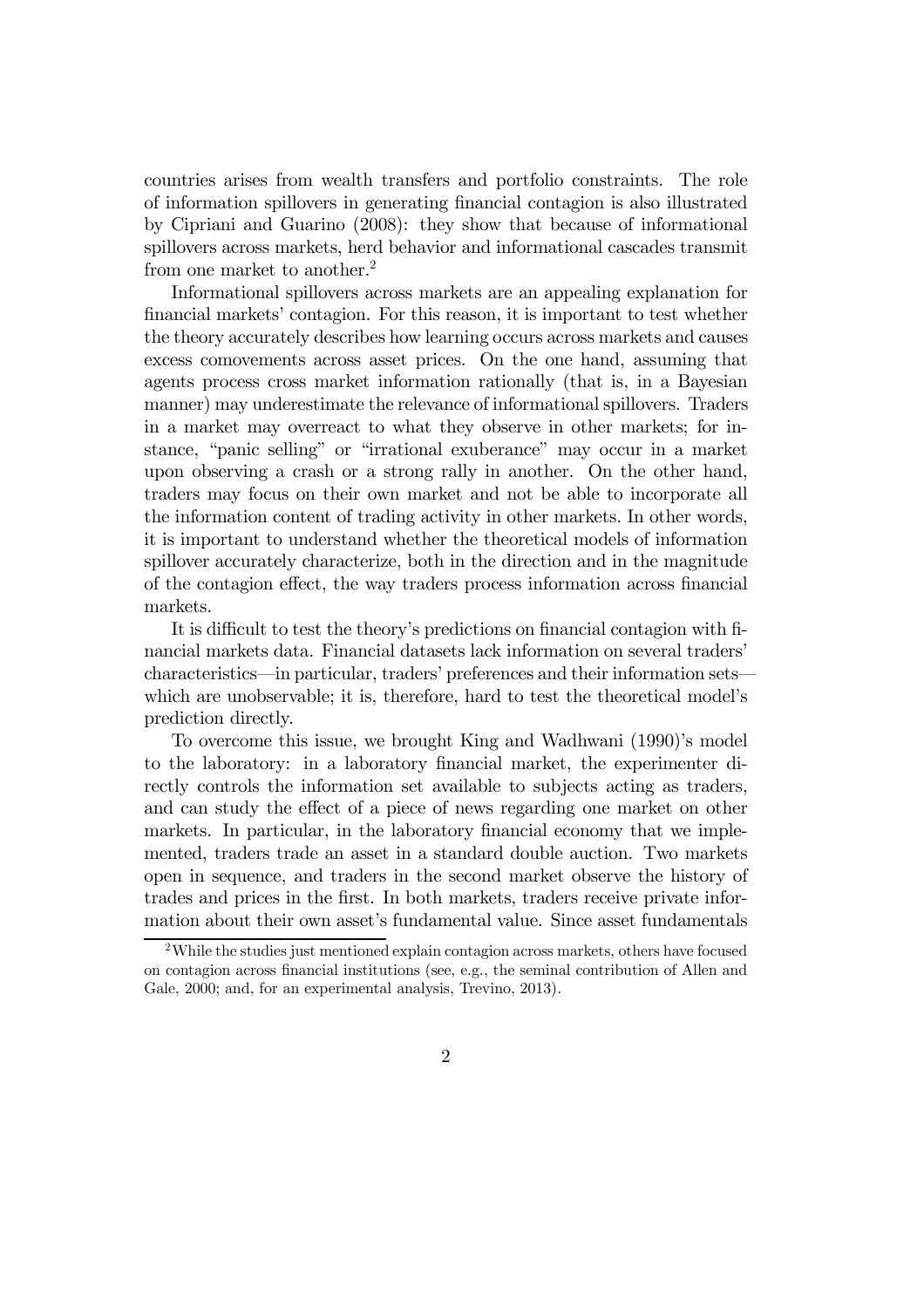countries arises from wealth transfers and portfolio constraints. The role of information spillovers in generating financial contagion is also illustrated by Cipriani and Guarino (2008): they show that because of informational spillovers across markets, herd behavior and informational cascades transmit from one market to another.<sup>2</sup>

Informational spillovers across markets are an appealing explanation for financial markets' contagion. For this reason, it is important to test whether the theory accurately describes how learning occurs across markets and causes excess comovements across asset prices. On the one hand, assuming that agents process cross market information rationally (that is, in a Bayesian manner) may underestimate the relevance of informational spillovers. Traders in a market may overreact to what they observe in other markets; for instance, "panic selling" or "irrational exuberance" may occur in a market upon observing a crash or a strong rally in another. On the other hand, traders may focus on their own market and not be able to incorporate all the information content of trading activity in other markets. In other words, it is important to understand whether the theoretical models of information spillover accurately characterize, both in the direction and in the magnitude of the contagion effect, the way traders process information across financial markets.

It is difficult to test the theory's predictions on financial contagion with financial markets data. Financial datasets lack information on several traders' characteristics—in particular, traders' preferences and their information sets which are unobservable; it is, therefore, hard to test the theoretical model's prediction directly.

To overcome this issue, we brought King and Wadhwani (1990)'s model to the laboratory: in a laboratory financial market, the experimenter directly controls the information set available to subjects acting as traders, and can study the effect of a piece of news regarding one market on other markets. In particular, in the laboratory financial economy that we implemented, traders trade an asset in a standard double auction. Two markets open in sequence, and traders in the second market observe the history of trades and prices in the first. In both markets, traders receive private information about their own asset's fundamental value. Since asset fundamentals

<sup>&</sup>lt;sup>2</sup>While the studies just mentioned explain contagion across markets, others have focused on contagion across financial institutions (see, e.g., the seminal contribution of Allen and Gale, 2000; and, for an experimental analysis, Trevino, 2013).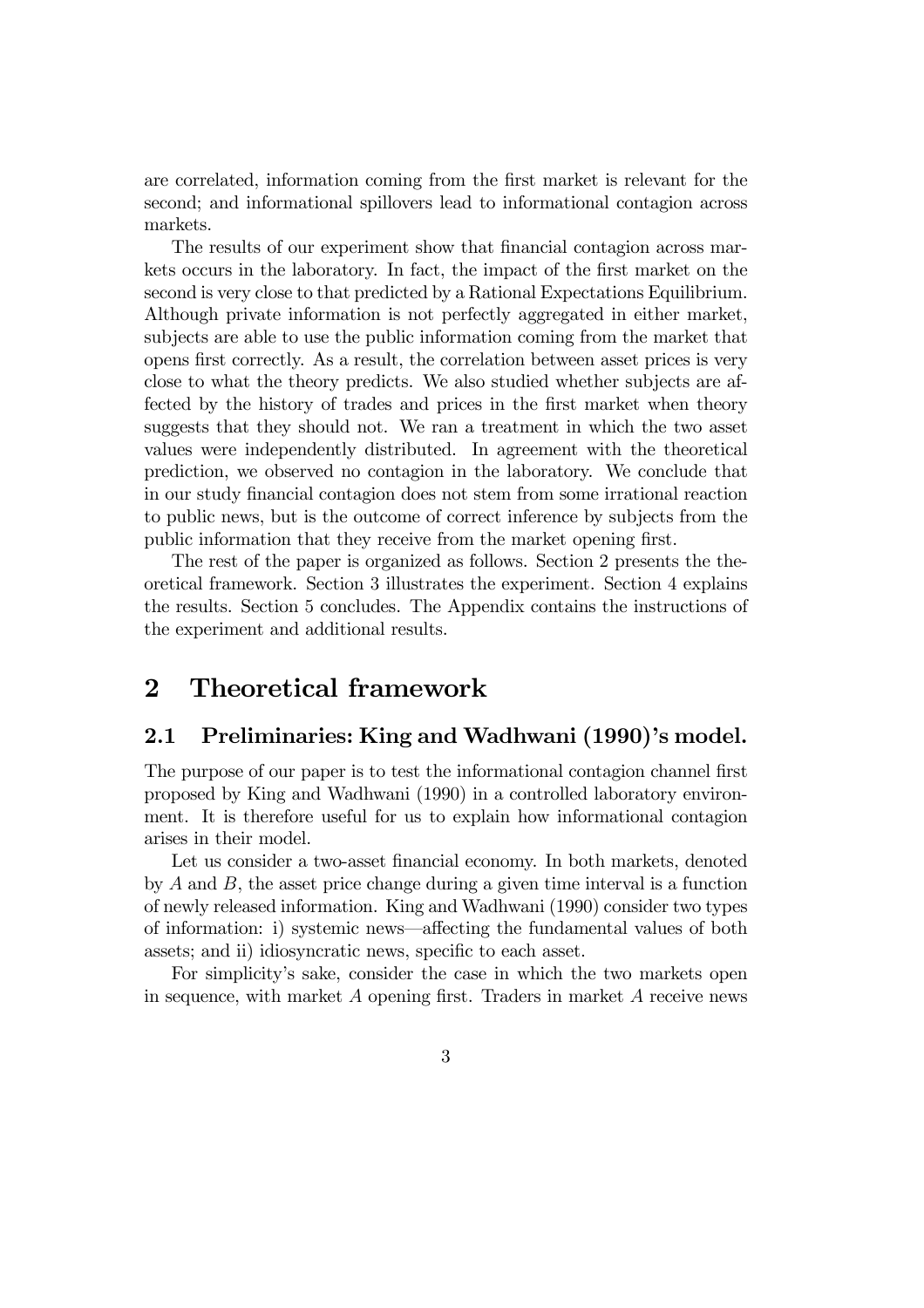are correlated, information coming from the first market is relevant for the second; and informational spillovers lead to informational contagion across markets.

The results of our experiment show that financial contagion across markets occurs in the laboratory. In fact, the impact of the first market on the second is very close to that predicted by a Rational Expectations Equilibrium. Although private information is not perfectly aggregated in either market, subjects are able to use the public information coming from the market that opens first correctly. As a result, the correlation between asset prices is very close to what the theory predicts. We also studied whether subjects are affected by the history of trades and prices in the first market when theory suggests that they should not. We ran a treatment in which the two asset values were independently distributed. In agreement with the theoretical prediction, we observed no contagion in the laboratory. We conclude that in our study financial contagion does not stem from some irrational reaction to public news, but is the outcome of correct inference by subjects from the public information that they receive from the market opening first.

The rest of the paper is organized as follows. Section 2 presents the theoretical framework. Section 3 illustrates the experiment. Section 4 explains the results. Section 5 concludes. The Appendix contains the instructions of the experiment and additional results.

# 2 Theoretical framework

### 2.1 Preliminaries: King and Wadhwani (1990)'s model.

The purpose of our paper is to test the informational contagion channel first proposed by King and Wadhwani (1990) in a controlled laboratory environment. It is therefore useful for us to explain how informational contagion arises in their model.

Let us consider a two-asset financial economy. In both markets, denoted by  $A$  and  $B$ , the asset price change during a given time interval is a function of newly released information. King and Wadhwani (1990) consider two types of information: i) systemic news—affecting the fundamental values of both assets; and ii) idiosyncratic news, specific to each asset.

For simplicity's sake, consider the case in which the two markets open in sequence, with market  $A$  opening first. Traders in market  $A$  receive news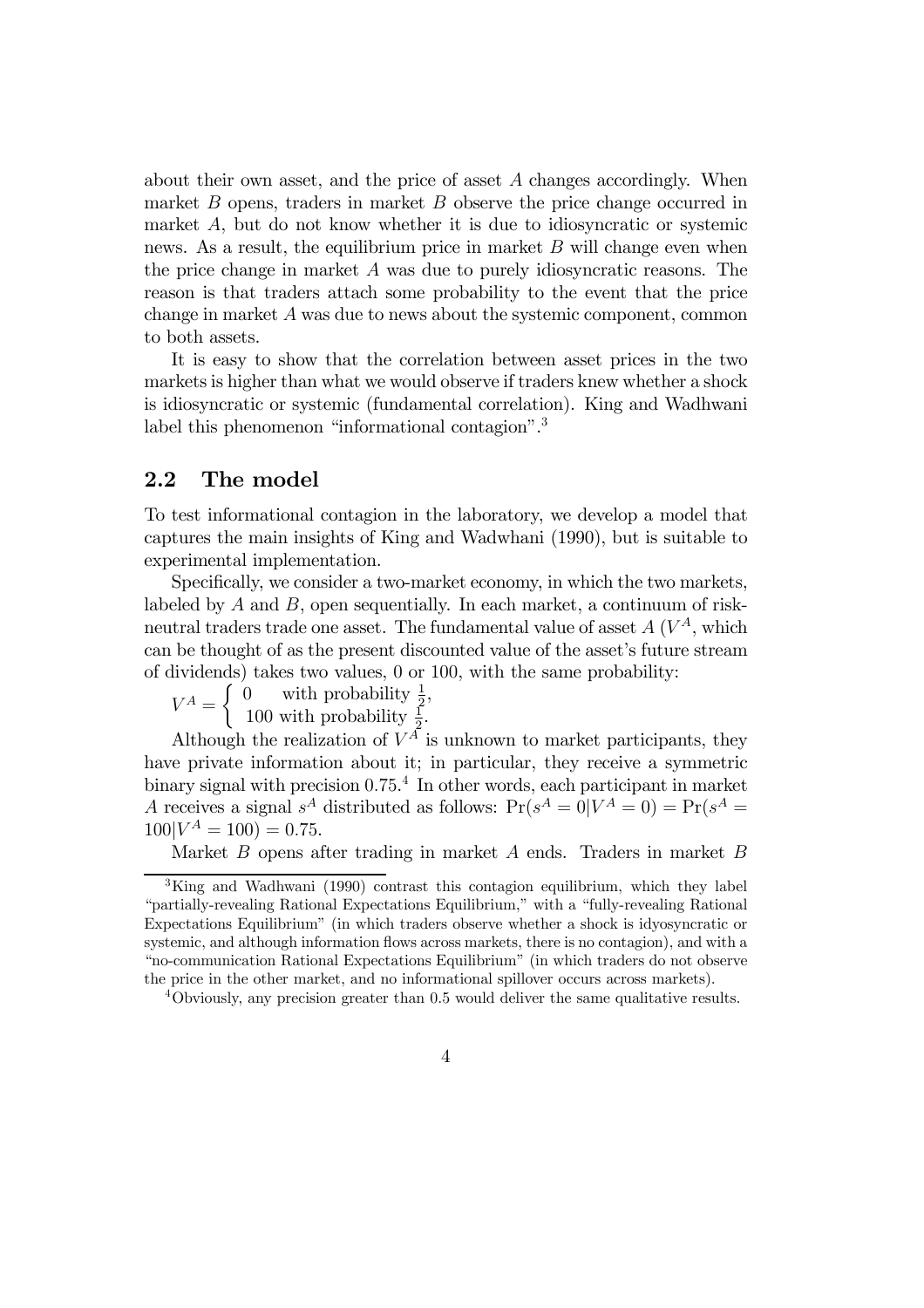about their own asset, and the price of asset  $A$  changes accordingly. When market  $B$  opens, traders in market  $B$  observe the price change occurred in market  $A$ , but do not know whether it is due to idiosyncratic or systemic news. As a result, the equilibrium price in market  $B$  will change even when the price change in market  $A$  was due to purely idiosyncratic reasons. The reason is that traders attach some probability to the event that the price change in market  $A$  was due to news about the systemic component, common to both assets.

It is easy to show that the correlation between asset prices in the two markets is higher than what we would observe if traders knew whether a shock is idiosyncratic or systemic (fundamental correlation). King and Wadhwani label this phenomenon "informational contagion".<sup>3</sup>

### 2.2 The model

To test informational contagion in the laboratory, we develop a model that captures the main insights of King and Wadwhani (1990), but is suitable to experimental implementation.

Specifically, we consider a two-market economy, in which the two markets, labeled by  $A$  and  $B$ , open sequentially. In each market, a continuum of riskneutral traders trade one asset. The fundamental value of asset  $A(V^A)$ , which can be thought of as the present discounted value of the asset's future stream of dividends) takes two values, 0 or 100, with the same probability:

 $V^A =$  $\int_0^{\infty} 0$  with probability  $\frac{1}{2}$ , 100 with probability  $\frac{1}{2}$ .

Although the realization of  $V^A$  is unknown to market participants, they have private information about it; in particular, they receive a symmetric binary signal with precision 0.75.<sup>4</sup> In other words, each participant in market A receives a signal  $s^A$  distributed as follows:  $Pr(s^A = 0 | V^A = 0) = Pr(s^A = 0)$  $100|V^A = 100) = 0.75.$ 

Market  $B$  opens after trading in market  $A$  ends. Traders in market  $B$ 

<sup>&</sup>lt;sup>3</sup>King and Wadhwani (1990) contrast this contagion equilibrium, which they label "partially-revealing Rational Expectations Equilibrium," with a "fully-revealing Rational Expectations Equilibrium" (in which traders observe whether a shock is idyosyncratic or systemic, and although information flows across markets, there is no contagion), and with a "no-communication Rational Expectations Equilibrium" (in which traders do not observe the price in the other market, and no informational spillover occurs across markets).

<sup>4</sup>Obviously, any precision greater than 05 would deliver the same qualitative results.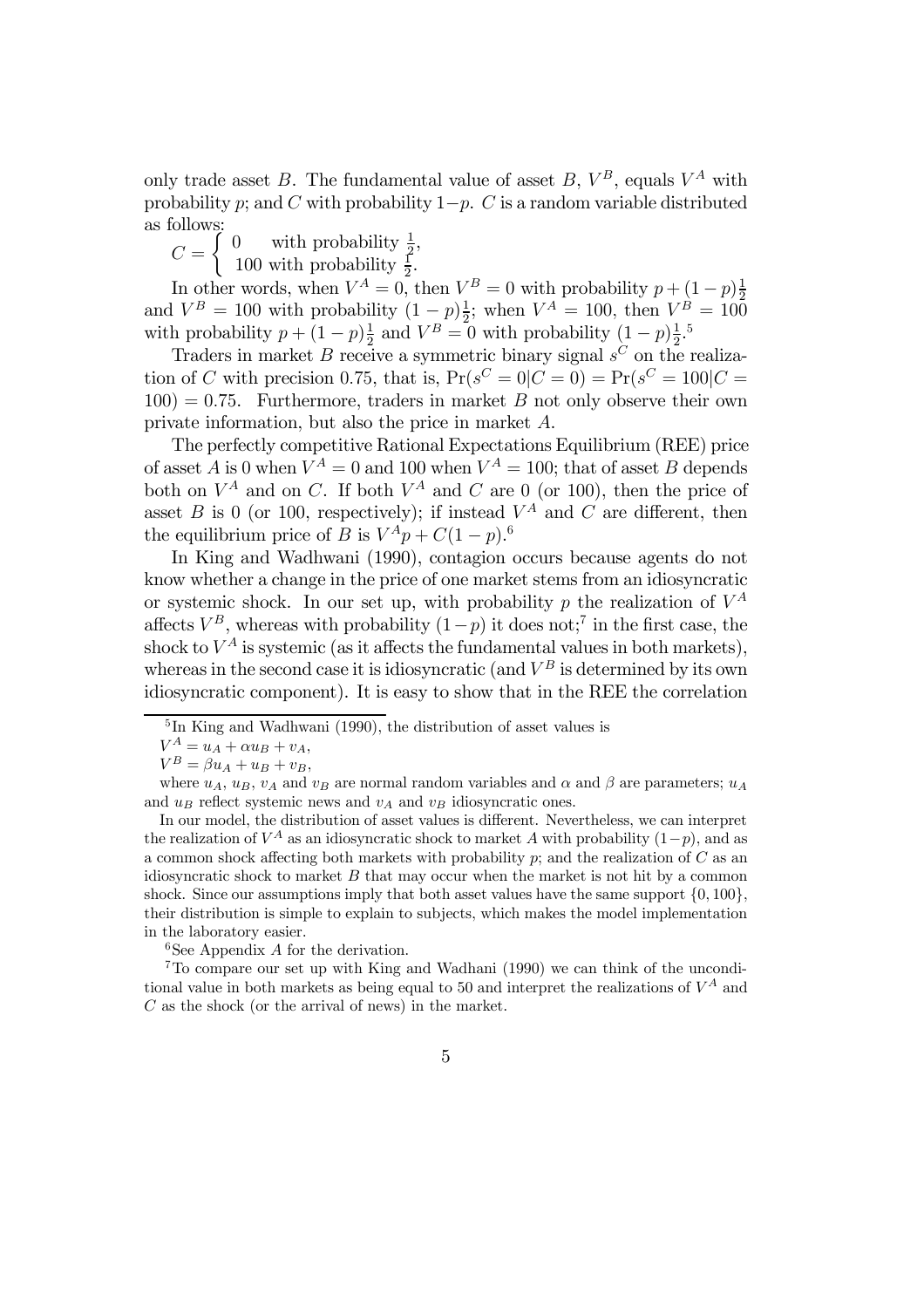only trade asset B. The fundamental value of asset  $B, V^B$ , equals  $V^A$  with probability p; and C with probability  $1-p$ . C is a random variable distributed as follows:

 $C=$  $\int_0^{\infty} 0$  with probability  $\frac{1}{2}$ , 100 with probability  $\frac{1}{2}$ .

In other words, when  $V^A = 0$ , then  $V^B = 0$  with probability  $p + (1-p)\frac{1}{2}$ 2 and  $V^B = 100$  with probability  $(1-p)^{\frac{1}{2}}$  $\frac{1}{2}$ ; when  $V^A = 100$ , then  $V^B = 100$ with probability  $p + (1 - p)\frac{1}{2}$  $\frac{1}{2}$  and  $V^B = 0$  with probability  $(1-p)\frac{1}{2}$  $rac{1}{2}$ .<sup>5</sup>

Traders in market B receive a symmetric binary signal  $s^C$  on the realization of C with precision 0.75, that is,  $Pr(s^C = 0|C = 0) = Pr(s^C = 100|C = 0)$  $100$  = 0.75. Furthermore, traders in market B not only observe their own private information, but also the price in market  $A$ .

The perfectly competitive Rational Expectations Equilibrium (REE) price of asset A is 0 when  $V^A = 0$  and 100 when  $V^A = 100$ ; that of asset B depends both on  $V^A$  and on C. If both  $V^A$  and C are 0 (or 100), then the price of asset B is 0 (or 100, respectively); if instead  $V^A$  and C are different, then the equilibrium price of B is  $V^A p + C(1-p)^6$ .

In King and Wadhwani (1990), contagion occurs because agents do not know whether a change in the price of one market stems from an idiosyncratic or systemic shock. In our set up, with probability  $p$  the realization of  $V^A$ affects  $V^B$ , whereas with probability  $(1-p)$  it does not;<sup>7</sup> in the first case, the shock to  $V^A$  is systemic (as it affects the fundamental values in both markets), whereas in the second case it is idiosyncratic (and  $V^B$  is determined by its own idiosyncratic component). It is easy to show that in the REE the correlation

In our model, the distribution of asset values is different. Nevertheless, we can interpret the realization of  $V^A$  as an idiosyncratic shock to market A with probability  $(1-p)$ , and as a common shock affecting both markets with probability  $p$ ; and the realization of  $C$  as an idiosyncratic shock to market  $B$  that may occur when the market is not hit by a common shock. Since our assumptions imply that both asset values have the same support  $\{0, 100\}$ , their distribution is simple to explain to subjects, which makes the model implementation in the laboratory easier.

<sup>6</sup>See Appendix  $\tilde{A}$  for the derivation.

<sup>7</sup>To compare our set up with King and Wadhani (1990) we can think of the unconditional value in both markets as being equal to 50 and interpret the realizations of  $V^A$  and  $C$  as the shock (or the arrival of news) in the market.

<sup>&</sup>lt;sup>5</sup>In King and Wadhwani (1990), the distribution of asset values is

 $V^A = u_A + \alpha u_B + v_A,$ 

 $V^B = \beta u_A + u_B + v_B,$ 

where  $u_A$ ,  $u_B$ ,  $v_A$  and  $v_B$  are normal random variables and  $\alpha$  and  $\beta$  are parameters;  $u_A$ and  $u_B$  reflect systemic news and  $v_A$  and  $v_B$  idiosyncratic ones.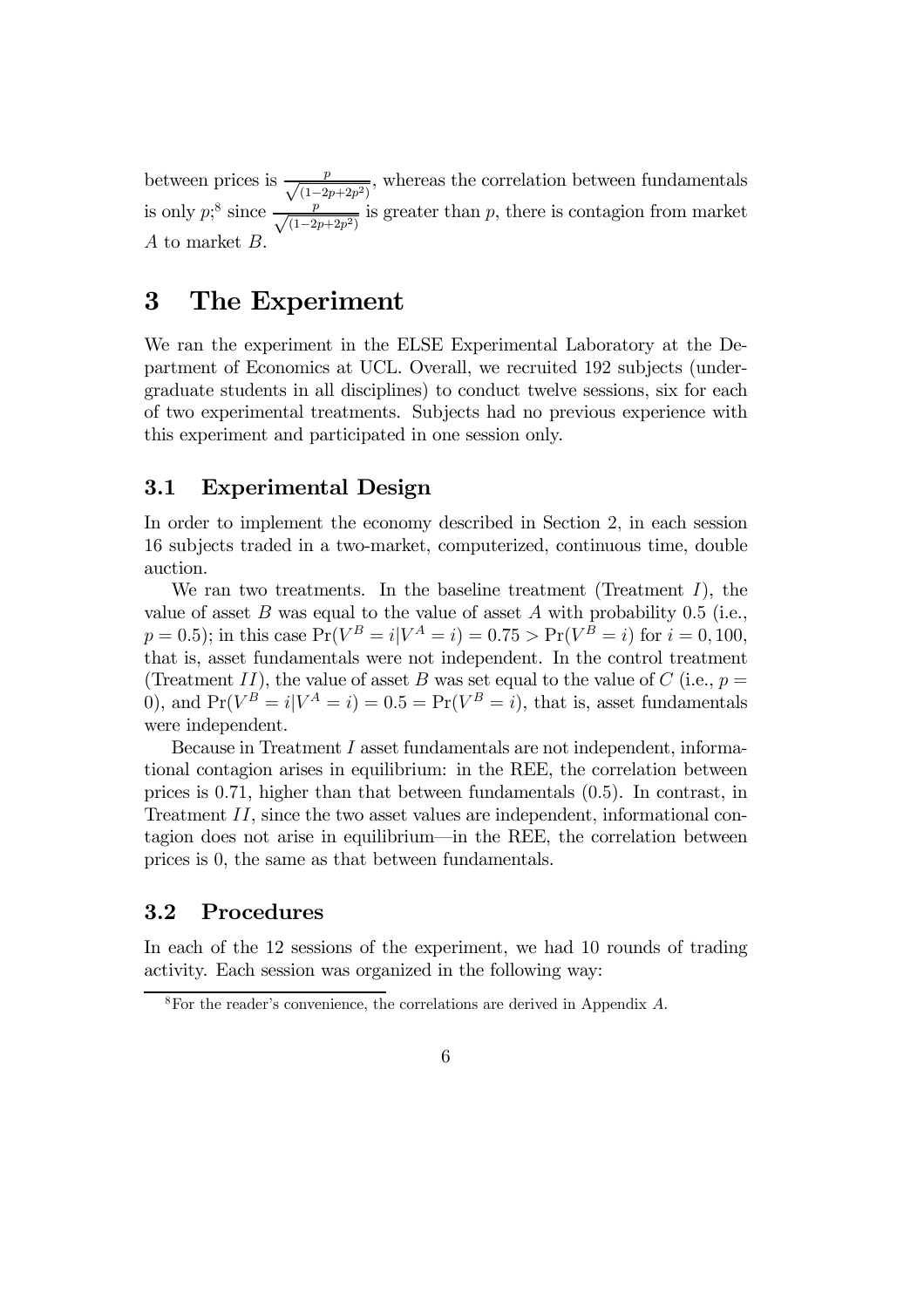between prices is  $\frac{p}{\sqrt{(1-p)}}$  $\frac{p}{(1-2p+2p^2)}$ , whereas the correlation between fundamentals is only  $p$ ;<sup>8</sup> since  $\frac{p}{\sqrt{(1-2i)}}$  $\frac{p}{(1-2p+2p^2)}$  is greater than p, there is contagion from market  $A$  to market  $B$ .

# 3 The Experiment

We ran the experiment in the ELSE Experimental Laboratory at the Department of Economics at UCL. Overall, we recruited 192 subjects (undergraduate students in all disciplines) to conduct twelve sessions, six for each of two experimental treatments. Subjects had no previous experience with this experiment and participated in one session only.

## 3.1 Experimental Design

In order to implement the economy described in Section 2, in each session 16 subjects traded in a two-market, computerized, continuous time, double auction.

We ran two treatments. In the baseline treatment (Treatment  $I$ ), the value of asset  $B$  was equal to the value of asset  $A$  with probability 0.5 (i.e.,  $p = 0.5$ ); in this case  $Pr(V^B = i | V^A = i) = 0.75 > Pr(V^B = i)$  for  $i = 0, 100$ , that is, asset fundamentals were not independent. In the control treatment (Treatment II), the value of asset B was set equal to the value of C (i.e.,  $p =$ 0), and  $Pr(V^B = i | V^A = i) = 0.5 = Pr(V^B = i)$ , that is, asset fundamentals were independent.

Because in Treatment  $I$  asset fundamentals are not independent, informational contagion arises in equilibrium: in the REE, the correlation between prices is  $0.71$ , higher than that between fundamentals  $(0.5)$ . In contrast, in Treatment  $II$ , since the two asset values are independent, informational contagion does not arise in equilibrium—in the REE, the correlation between prices is 0, the same as that between fundamentals.

## 3.2 Procedures

In each of the 12 sessions of the experiment, we had 10 rounds of trading activity. Each session was organized in the following way:

 ${}^{8}$ For the reader's convenience, the correlations are derived in Appendix A.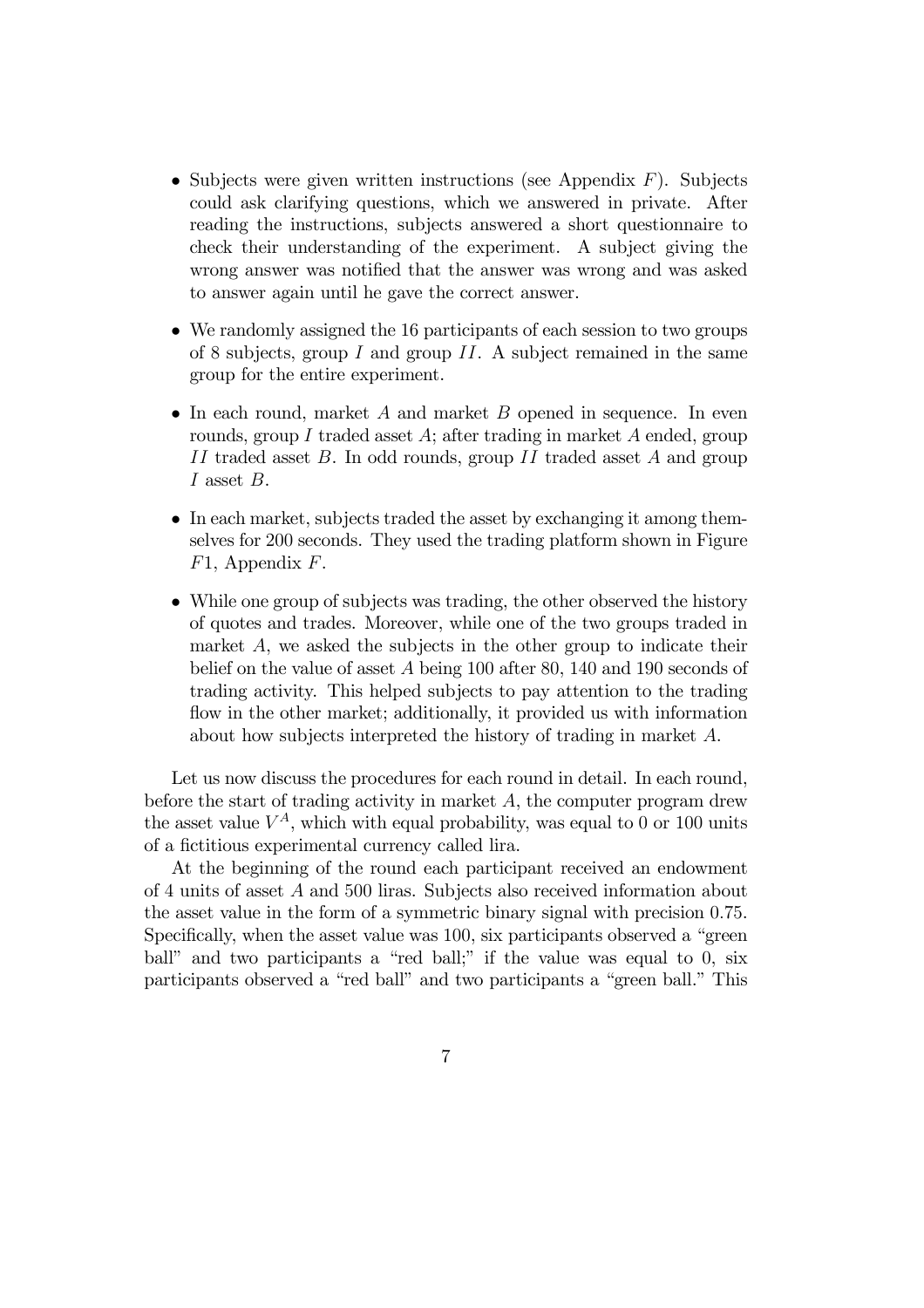- Subjects were given written instructions (see Appendix  $F$ ). Subjects could ask clarifying questions, which we answered in private. After reading the instructions, subjects answered a short questionnaire to check their understanding of the experiment. A subject giving the wrong answer was notified that the answer was wrong and was asked to answer again until he gave the correct answer.
- We randomly assigned the 16 participants of each session to two groups of 8 subjects, group  $I$  and group  $II$ . A subject remained in the same group for the entire experiment.
- In each round, market  $A$  and market  $B$  opened in sequence. In even rounds, group I traded asset A; after trading in market A ended, group II traded asset  $B$ . In odd rounds, group II traded asset  $A$  and group I asset  $B$ .
- In each market, subjects traded the asset by exchanging it among themselves for 200 seconds. They used the trading platform shown in Figure  $F1$ , Appendix  $F$ .
- While one group of subjects was trading, the other observed the history of quotes and trades. Moreover, while one of the two groups traded in market  $A$ , we asked the subjects in the other group to indicate their belief on the value of asset  $A$  being 100 after 80, 140 and 190 seconds of trading activity. This helped subjects to pay attention to the trading flow in the other market; additionally, it provided us with information about how subjects interpreted the history of trading in market  $A$ .

Let us now discuss the procedures for each round in detail. In each round, before the start of trading activity in market  $A$ , the computer program drew the asset value  $V^A$ , which with equal probability, was equal to 0 or 100 units of a fictitious experimental currency called lira.

At the beginning of the round each participant received an endowment of 4 units of asset  $A$  and 500 liras. Subjects also received information about the asset value in the form of a symmetric binary signal with precision 075. Specifically, when the asset value was 100, six participants observed a "green" ball" and two participants a "red ball;" if the value was equal to 0, six participants observed a "red ball" and two participants a "green ball." This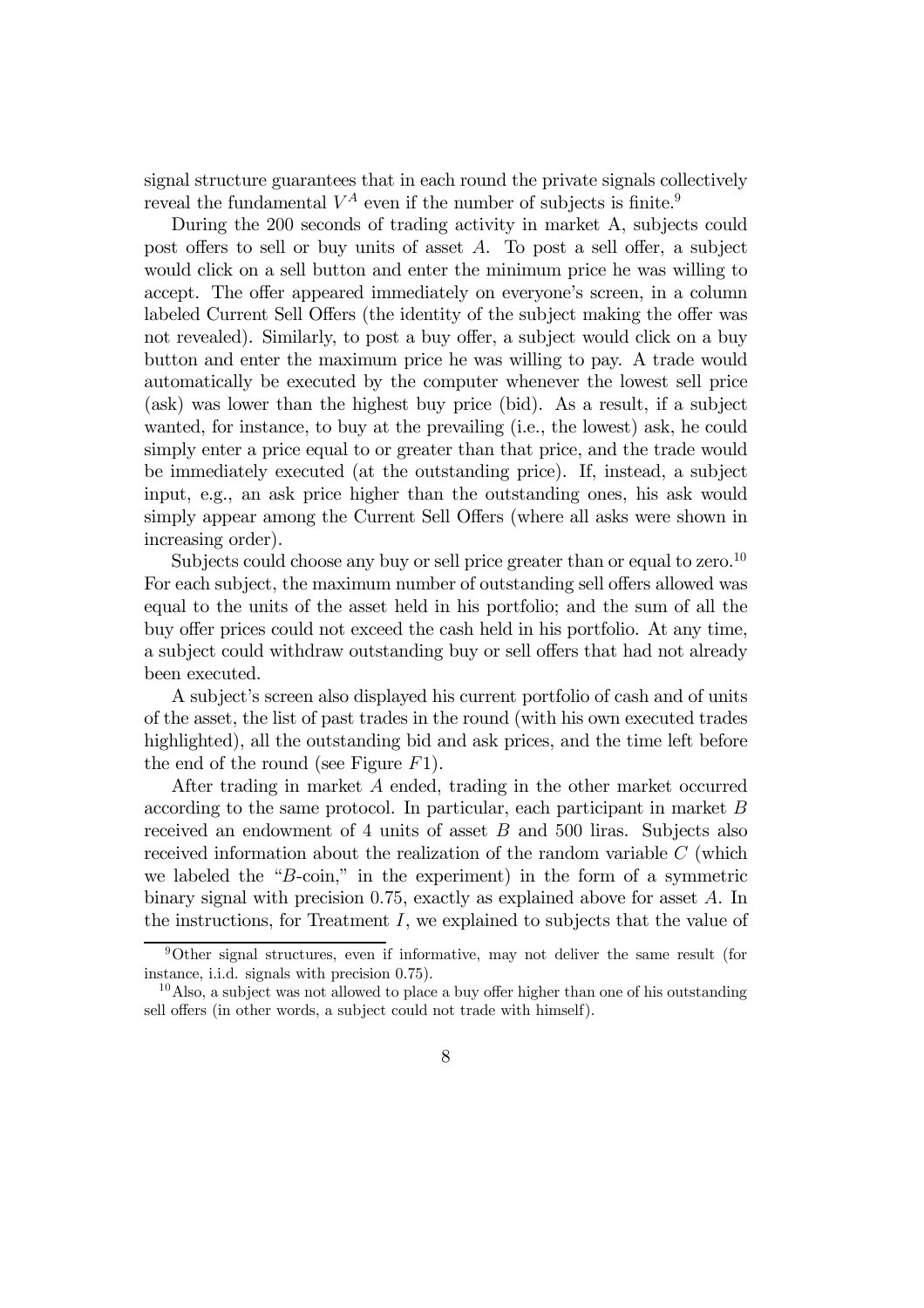signal structure guarantees that in each round the private signals collectively reveal the fundamental  $V^A$  even if the number of subjects is finite.<sup>9</sup>

During the 200 seconds of trading activity in market A, subjects could post offers to sell or buy units of asset  $A$ . To post a sell offer, a subject would click on a sell button and enter the minimum price he was willing to accept. The offer appeared immediately on everyone's screen, in a column labeled Current Sell Offers (the identity of the subject making the offer was not revealed). Similarly, to post a buy offer, a subject would click on a buy button and enter the maximum price he was willing to pay. A trade would automatically be executed by the computer whenever the lowest sell price (ask) was lower than the highest buy price (bid). As a result, if a subject wanted, for instance, to buy at the prevailing (i.e., the lowest) ask, he could simply enter a price equal to or greater than that price, and the trade would be immediately executed (at the outstanding price). If, instead, a subject input, e.g., an ask price higher than the outstanding ones, his ask would simply appear among the Current Sell Offers (where all asks were shown in increasing order).

Subjects could choose any buy or sell price greater than or equal to zero.<sup>10</sup> For each subject, the maximum number of outstanding sell offers allowed was equal to the units of the asset held in his portfolio; and the sum of all the buy offer prices could not exceed the cash held in his portfolio. At any time, a subject could withdraw outstanding buy or sell offers that had not already been executed.

A subject's screen also displayed his current portfolio of cash and of units of the asset, the list of past trades in the round (with his own executed trades highlighted), all the outstanding bid and ask prices, and the time left before the end of the round (see Figure  $F1$ ).

After trading in market  $A$  ended, trading in the other market occurred according to the same protocol. In particular, each participant in market  $B$ received an endowment of 4 units of asset  $B$  and 500 liras. Subjects also received information about the realization of the random variable  $C$  (which we labeled the " $B$ -coin," in the experiment) in the form of a symmetric binary signal with precision 0.75, exactly as explained above for asset  $A$ . In the instructions, for Treatment  $I$ , we explained to subjects that the value of

<sup>9</sup>Other signal structures, even if informative, may not deliver the same result (for instance, i.i.d. signals with precision 0.75).

 $10$ Also, a subject was not allowed to place a buy offer higher than one of his outstanding sell offers (in other words, a subject could not trade with himself).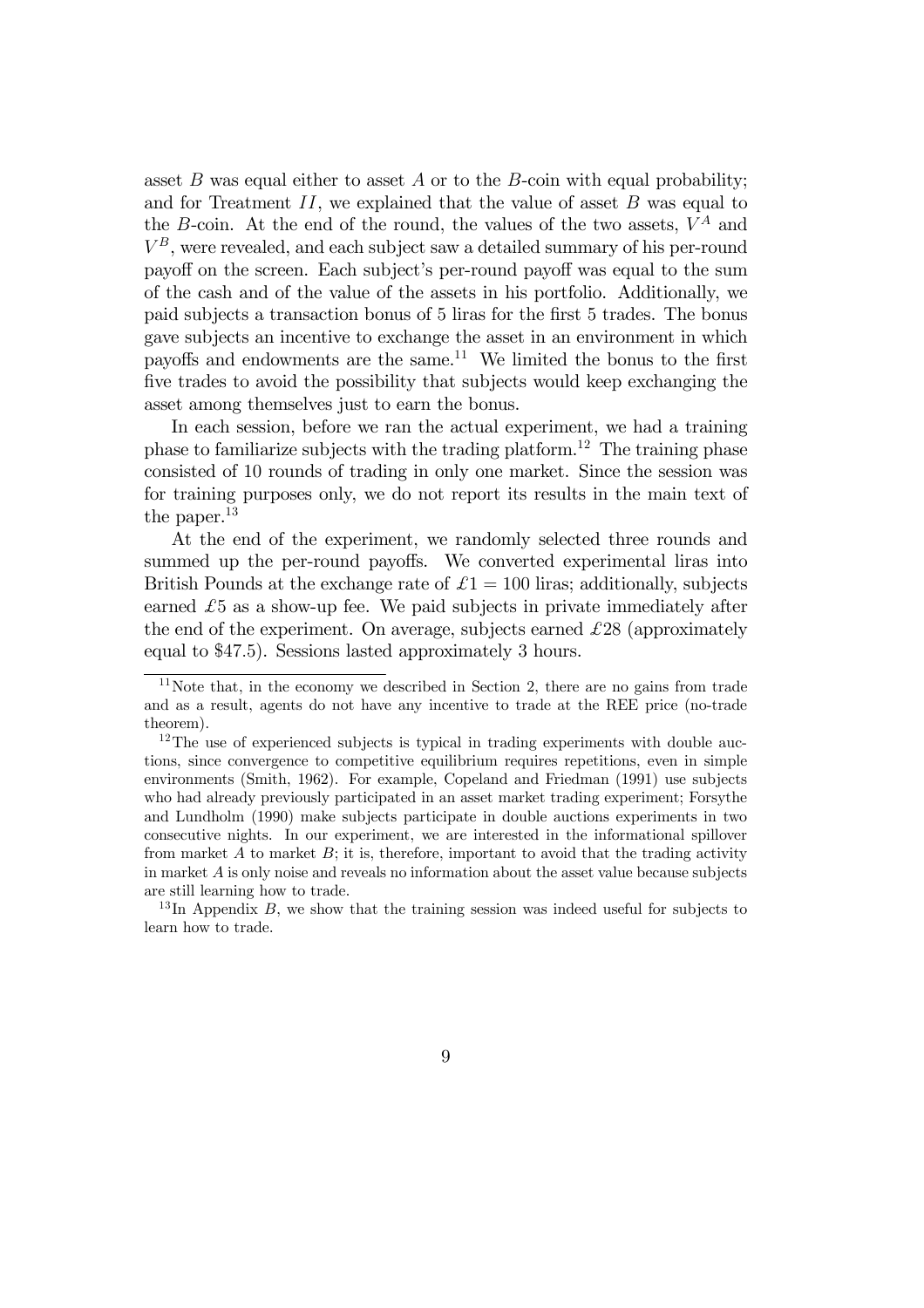asset  $B$  was equal either to asset  $A$  or to the  $B$ -coin with equal probability; and for Treatment  $II$ , we explained that the value of asset  $B$  was equal to the B-coin. At the end of the round, the values of the two assets,  $V^A$  and  $V^B$ , were revealed, and each subject saw a detailed summary of his per-round payoff on the screen. Each subject's per-round payoff was equal to the sum of the cash and of the value of the assets in his portfolio. Additionally, we paid subjects a transaction bonus of 5 liras for the first 5 trades. The bonus gave subjects an incentive to exchange the asset in an environment in which payoffs and endowments are the same.<sup>11</sup> We limited the bonus to the first five trades to avoid the possibility that subjects would keep exchanging the asset among themselves just to earn the bonus.

In each session, before we ran the actual experiment, we had a training phase to familiarize subjects with the trading platform.<sup>12</sup> The training phase consisted of 10 rounds of trading in only one market. Since the session was for training purposes only, we do not report its results in the main text of the paper. $^{13}$ 

At the end of the experiment, we randomly selected three rounds and summed up the per-round payoffs. We converted experimental liras into British Pounds at the exchange rate of  $\mathcal{L}1 = 100$  liras; additionally, subjects earned  $\pounds$ 5 as a show-up fee. We paid subjects in private immediately after the end of the experiment. On average, subjects earned  $\pounds 28$  (approximately equal to \$47.5). Sessions lasted approximately 3 hours.

 $11$ Note that, in the economy we described in Section 2, there are no gains from trade and as a result, agents do not have any incentive to trade at the REE price (no-trade theorem).

 $12$ The use of experienced subjects is typical in trading experiments with double auctions, since convergence to competitive equilibrium requires repetitions, even in simple environments (Smith, 1962). For example, Copeland and Friedman (1991) use subjects who had already previously participated in an asset market trading experiment; Forsythe and Lundholm (1990) make subjects participate in double auctions experiments in two consecutive nights. In our experiment, we are interested in the informational spillover from market  $A$  to market  $B$ ; it is, therefore, important to avoid that the trading activity in market  $A$  is only noise and reveals no information about the asset value because subjects are still learning how to trade.

 $13$  In Appendix B, we show that the training session was indeed useful for subjects to learn how to trade.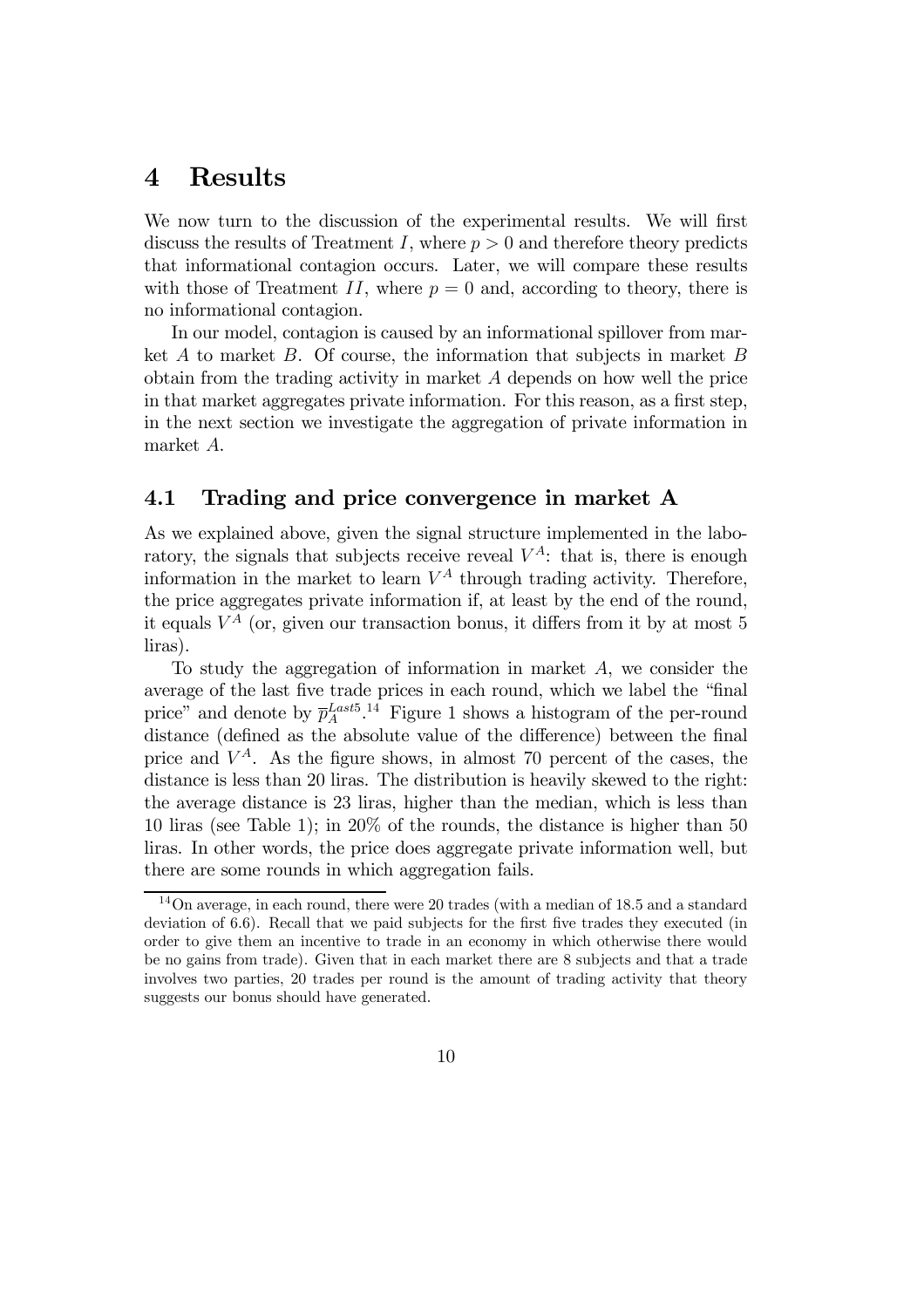## 4 Results

We now turn to the discussion of the experimental results. We will first discuss the results of Treatment I, where  $p > 0$  and therefore theory predicts that informational contagion occurs. Later, we will compare these results with those of Treatment II, where  $p = 0$  and, according to theory, there is no informational contagion.

In our model, contagion is caused by an informational spillover from market  $A$  to market  $B$ . Of course, the information that subjects in market  $B$ obtain from the trading activity in market  $A$  depends on how well the price in that market aggregates private information. For this reason, as a first step, in the next section we investigate the aggregation of private information in market A.

## 4.1 Trading and price convergence in market A

As we explained above, given the signal structure implemented in the laboratory, the signals that subjects receive reveal  $V^A$ : that is, there is enough information in the market to learn  $V^A$  through trading activity. Therefore, the price aggregates private information if, at least by the end of the round, it equals  $V^A$  (or, given our transaction bonus, it differs from it by at most 5 liras).

To study the aggregation of information in market  $A$ , we consider the average of the last five trade prices in each round, which we label the "final price" and denote by  $\bar{p}_{A}^{Last5}$ .<sup>14</sup> Figure 1 shows a histogram of the per-round distance (defined as the absolute value of the difference) between the final price and  $V^A$ . As the figure shows, in almost 70 percent of the cases, the distance is less than 20 liras. The distribution is heavily skewed to the right: the average distance is 23 liras, higher than the median, which is less than 10 liras (see Table 1); in 20% of the rounds, the distance is higher than 50 liras. In other words, the price does aggregate private information well, but there are some rounds in which aggregation fails.

<sup>&</sup>lt;sup>14</sup>On average, in each round, there were 20 trades (with a median of 18.5 and a standard deviation of 6.6). Recall that we paid subjects for the first five trades they executed (in order to give them an incentive to trade in an economy in which otherwise there would be no gains from trade). Given that in each market there are 8 subjects and that a trade involves two parties, 20 trades per round is the amount of trading activity that theory suggests our bonus should have generated.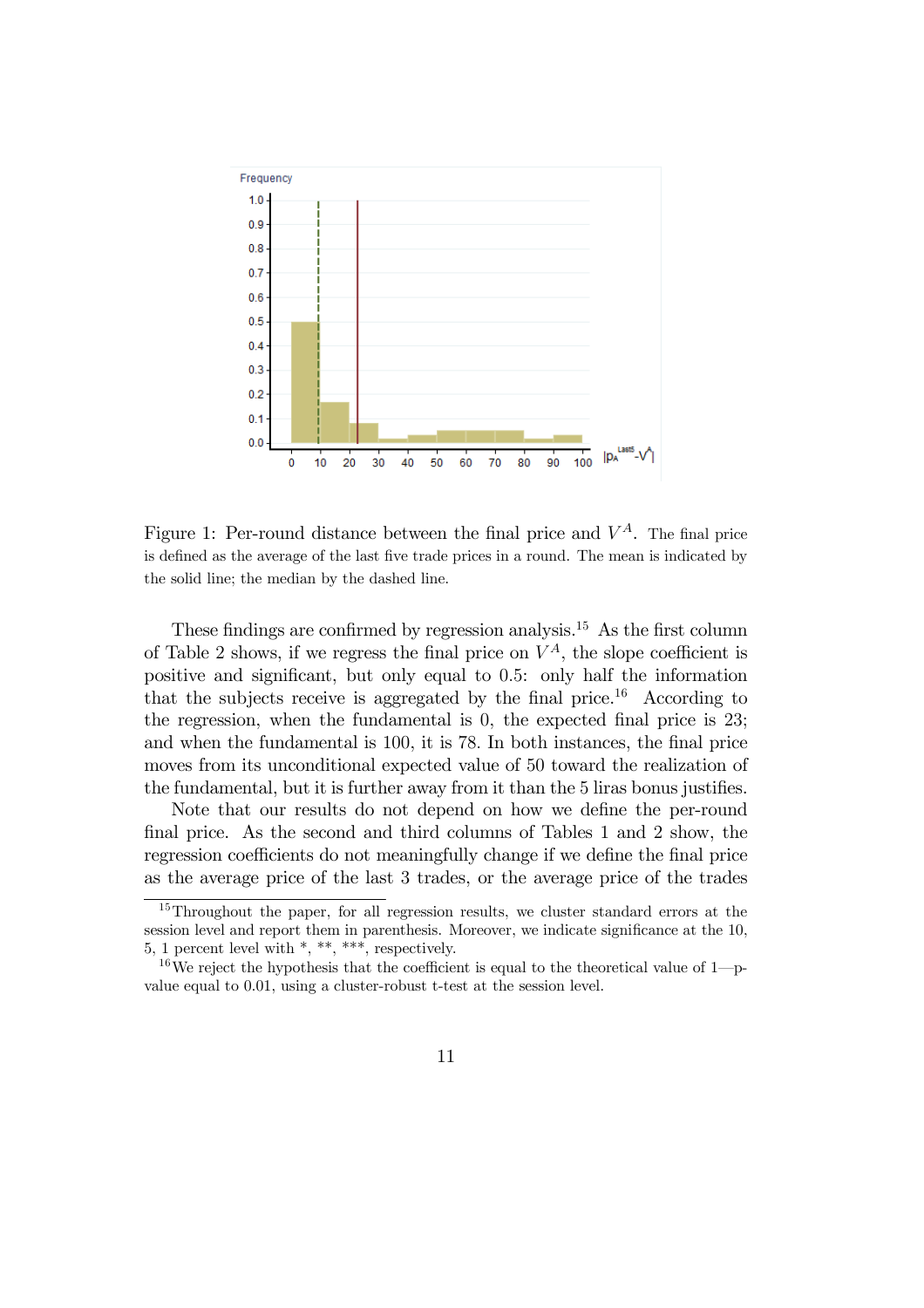

Figure 1: Per-round distance between the final price and  $V^A$ . The final price is defined as the average of the last five trade prices in a round. The mean is indicated by the solid line; the median by the dashed line.

These findings are confirmed by regression analysis.<sup>15</sup> As the first column of Table 2 shows, if we regress the final price on  $V^A$ , the slope coefficient is positive and significant, but only equal to 0.5: only half the information that the subjects receive is aggregated by the final price.<sup>16</sup> According to the regression, when the fundamental is  $0$ , the expected final price is  $23$ ; and when the fundamental is  $100$ , it is 78. In both instances, the final price moves from its unconditional expected value of 50 toward the realization of the fundamental, but it is further away from it than the 5 liras bonus justifies.

Note that our results do not depend on how we define the per-round final price. As the second and third columns of Tables 1 and 2 show, the regression coefficients do not meaningfully change if we define the final price as the average price of the last 3 trades, or the average price of the trades

<sup>&</sup>lt;sup>15</sup>Throughout the paper, for all regression results, we cluster standard errors at the session level and report them in parenthesis. Moreover, we indicate significance at the 10, 5, 1 percent level with \*, \*\*, \*\*\*, respectively.

<sup>&</sup>lt;sup>16</sup>We reject the hypothesis that the coefficient is equal to the theoretical value of 1—pvalue equal to  $0.01$ , using a cluster-robust t-test at the session level.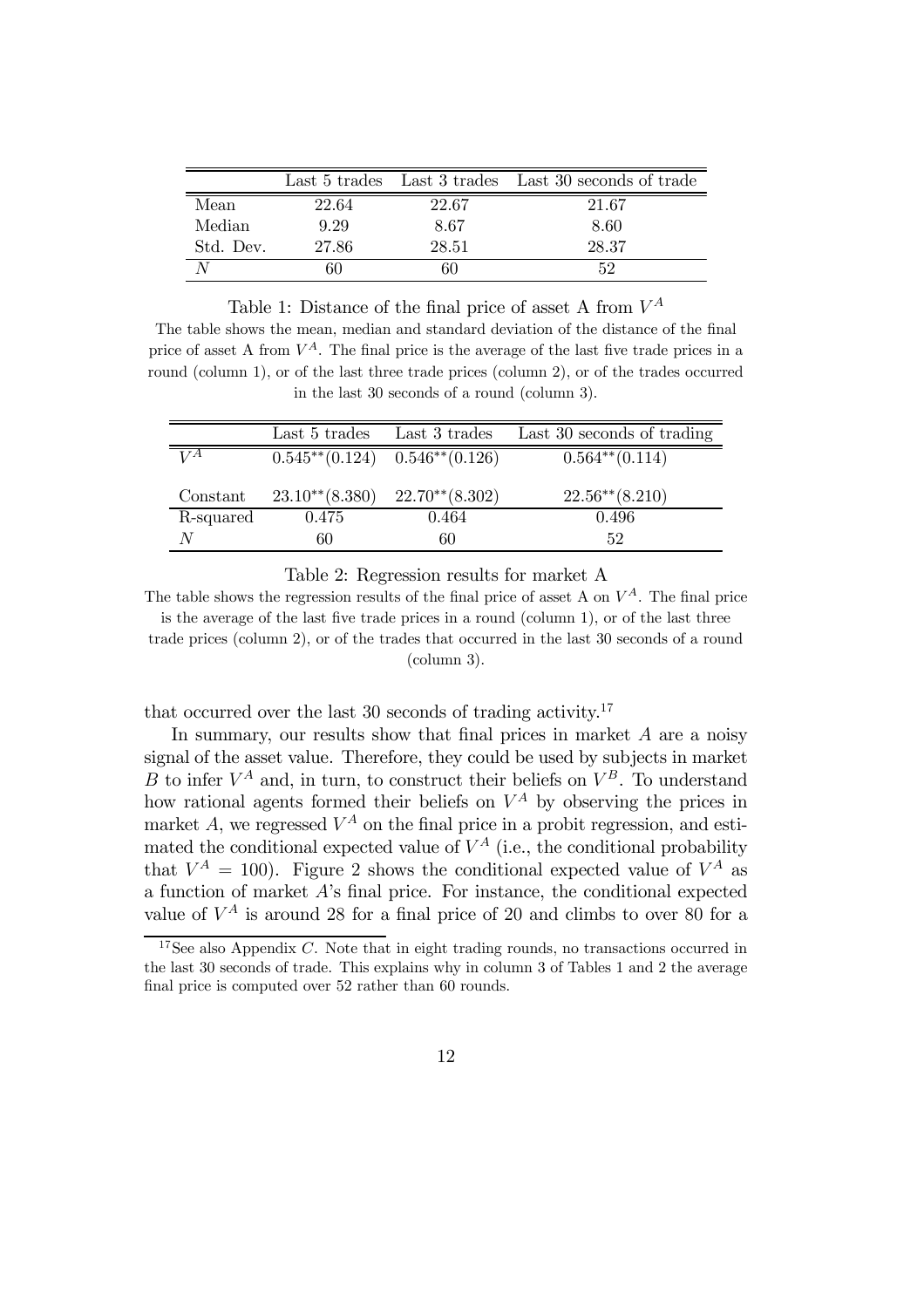|           |       |       | Last 5 trades Last 3 trades Last 30 seconds of trade |
|-----------|-------|-------|------------------------------------------------------|
| Mean      | 22.64 | 22.67 | 21.67                                                |
| Median    | 9.29  | 8.67  | 8.60                                                 |
| Std. Dev. | 27.86 | 28.51 | 28.37                                                |
|           | 60    | 60    | 52                                                   |

Table 1: Distance of the final price of asset A from  $V^A$ 

The table shows the mean, median and standard deviation of the distance of the final price of asset A from  $V^A$ . The final price is the average of the last five trade prices in a round (column 1), or of the last three trade prices (column 2), or of the trades occurred in the last 30 seconds of a round (column 3).

|           | Last 5 trades                     | Last 3 trades       | Last 30 seconds of trading |
|-----------|-----------------------------------|---------------------|----------------------------|
| $V^A$     | $0.545**(0.124)$ $0.546**(0.126)$ |                     | $0.564**$ (0.114)          |
| Constant  | $23.10^{**}(8.380)$               | $22.70^{**}(8.302)$ | $22.56**$ (8.210)          |
| R-squared | 0.475                             | 0.464               | 0.496                      |
| N         | 60                                | 60                  | 52                         |
|           |                                   |                     |                            |

Table 2: Regression results for market A

The table shows the regression results of the final price of asset A on  $V^A$ . The final price is the average of the last five trade prices in a round (column  $1$ ), or of the last three trade prices (column 2), or of the trades that occurred in the last 30 seconds of a round

(column 3).

that occurred over the last 30 seconds of trading activity.<sup>17</sup>

In summary, our results show that final prices in market  $A$  are a noisy signal of the asset value. Therefore, they could be used by subjects in market B to infer  $V^A$  and, in turn, to construct their beliefs on  $V^B$ . To understand how rational agents formed their beliefs on  $V^A$  by observing the prices in market  $A$ , we regressed  $V^A$  on the final price in a probit regression, and estimated the conditional expected value of  $V^A$  (i.e., the conditional probability that  $V^A = 100$ . Figure 2 shows the conditional expected value of  $V^A$  as a function of market  $A$ 's final price. For instance, the conditional expected value of  $V^A$  is around 28 for a final price of 20 and climbs to over 80 for a

 $17$ See also Appendix C. Note that in eight trading rounds, no transactions occurred in the last 30 seconds of trade. This explains why in column 3 of Tables 1 and 2 the average final price is computed over  $52$  rather than  $60$  rounds.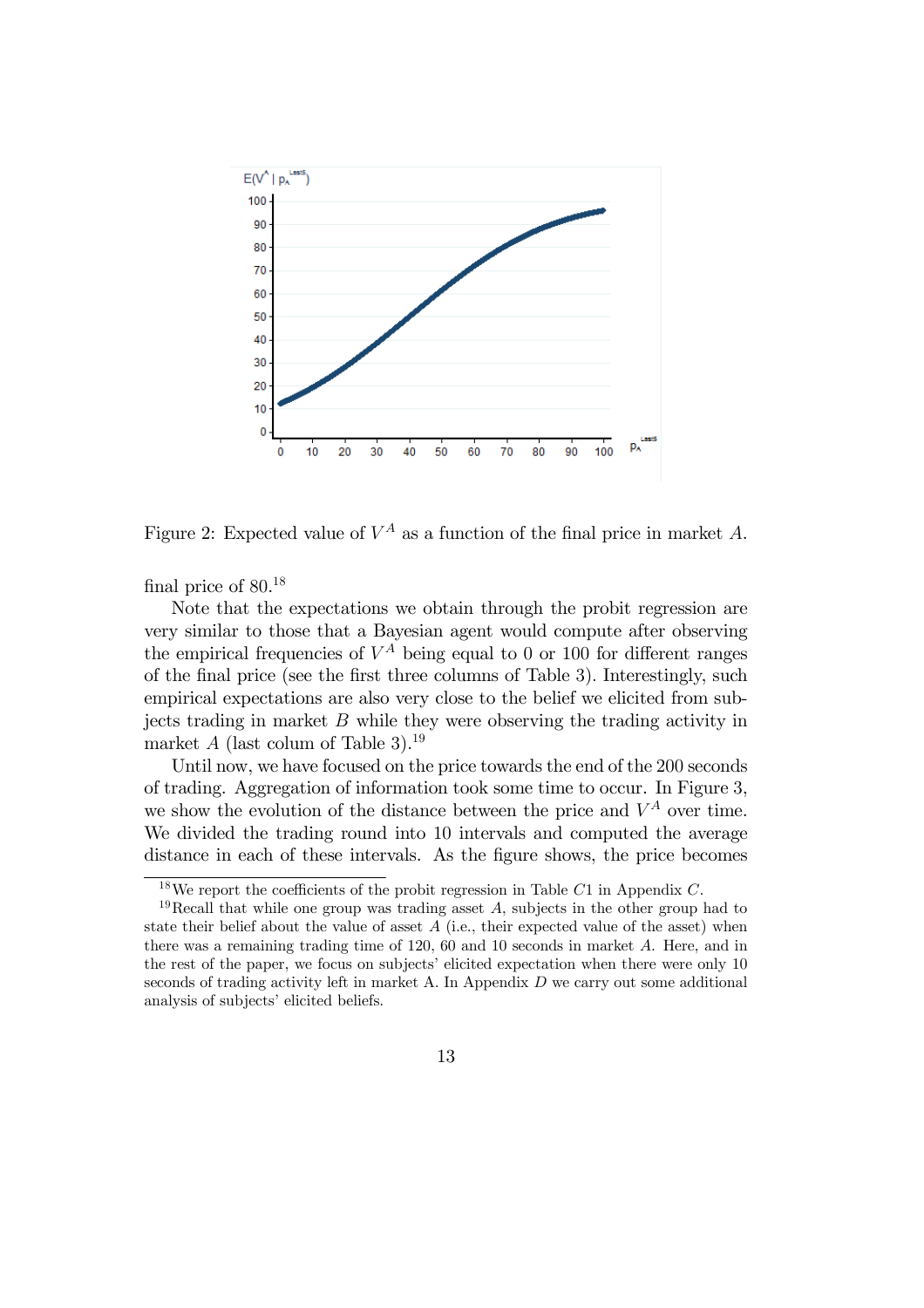

Figure 2: Expected value of  $V^A$  as a function of the final price in market A.

final price of  $80.<sup>18</sup>$ 

Note that the expectations we obtain through the probit regression are very similar to those that a Bayesian agent would compute after observing the empirical frequencies of  $V^A$  being equal to 0 or 100 for different ranges of the final price (see the first three columns of Table 3). Interestingly, such empirical expectations are also very close to the belief we elicited from subjects trading in market  $B$  while they were observing the trading activity in market A (last colum of Table 3).<sup>19</sup>

Until now, we have focused on the price towards the end of the 200 seconds of trading. Aggregation of information took some time to occur. In Figure 3, we show the evolution of the distance between the price and  $V^A$  over time. We divided the trading round into 10 intervals and computed the average distance in each of these intervals. As the figure shows, the price becomes

<sup>&</sup>lt;sup>18</sup>We report the coefficients of the probit regression in Table  $C1$  in Appendix  $C$ .

<sup>&</sup>lt;sup>19</sup>Recall that while one group was trading asset A, subjects in the other group had to state their belief about the value of asset  $A$  (i.e., their expected value of the asset) when there was a remaining trading time of  $120, 60$  and  $10$  seconds in market  $A$ . Here, and in the rest of the paper, we focus on subjects' elicited expectation when there were only 10 seconds of trading activity left in market  $A$ . In Appendix  $D$  we carry out some additional analysis of subjects' elicited beliefs.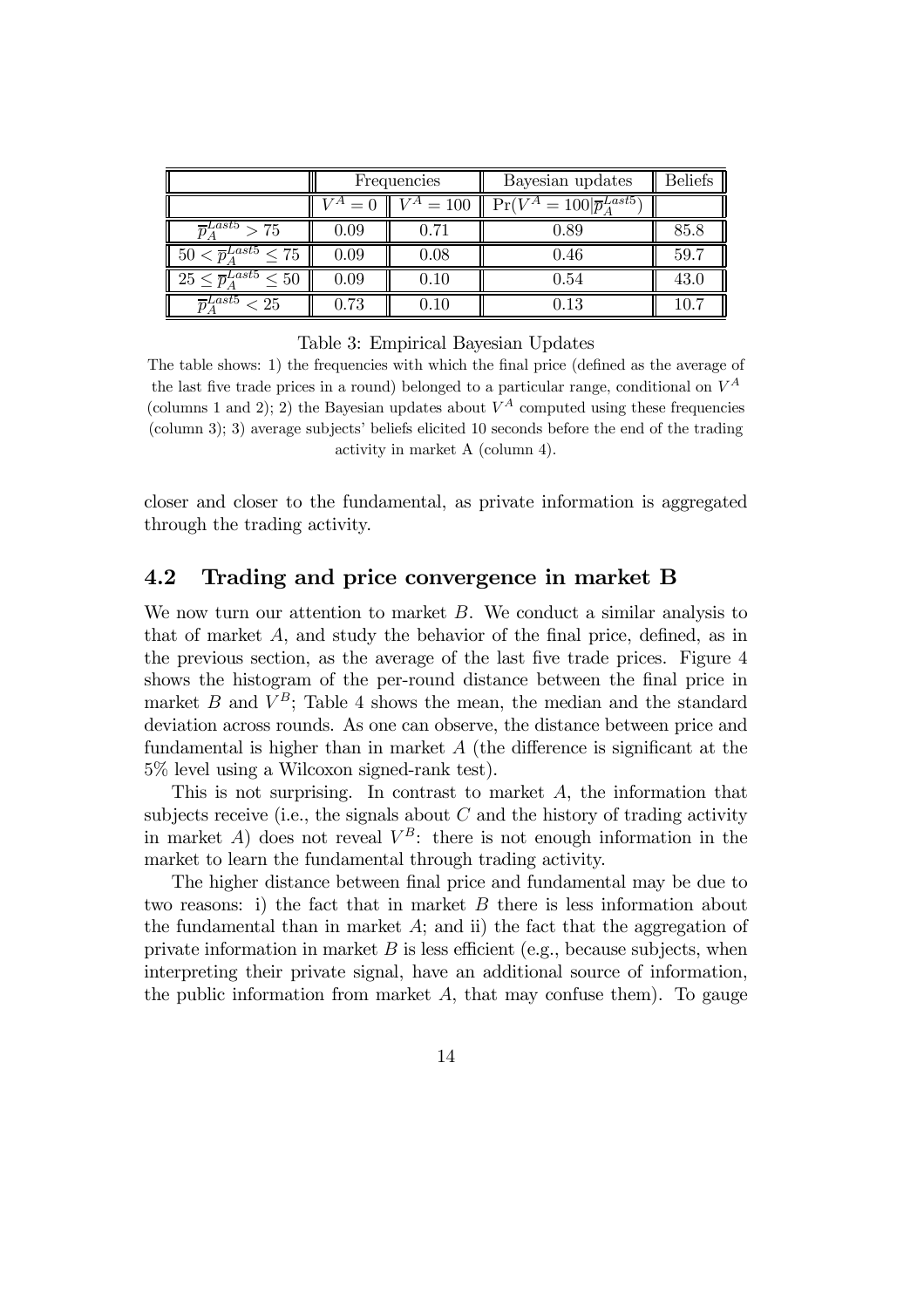|                                         | Frequencies |               | Bayesian updates                              | <b>Beliefs</b> |
|-----------------------------------------|-------------|---------------|-----------------------------------------------|----------------|
|                                         |             | $A^{A} = 100$ | $=100 \overline{p}_{A}^{Last5} $<br>$Pr(V^A)$ |                |
| $\overline{n}$ <sup>Last5</sup> > 75    | 0.09        | 0.71          | 0.89                                          | 85.8           |
| $\emph{Last5}$<br>75<br>-50             | 0.09        | 0.08          | 0.46                                          | 59.7           |
| $\emph{Last5}$<br>50                    | 0.09        | 0.10          | 0.54                                          | 43.0           |
| $\overline{n}$ <sup>Last5</sup><br>< 25 | 0.73        | 0.10          | $\rm 0.13$                                    | $10.7\,$       |

#### Table 3: Empirical Bayesian Updates

The table shows: 1) the frequencies with which the final price (defined as the average of the last five trade prices in a round) belonged to a particular range, conditional on  $V^A$ (columns 1 and 2); 2) the Bayesian updates about  $V^A$  computed using these frequencies (column 3); 3) average subjects' beliefs elicited 10 seconds before the end of the trading activity in market A (column 4).

closer and closer to the fundamental, as private information is aggregated through the trading activity.

### 4.2 Trading and price convergence in market B

We now turn our attention to market  $B$ . We conduct a similar analysis to that of market  $A$ , and study the behavior of the final price, defined, as in the previous section, as the average of the last five trade prices. Figure 4 shows the histogram of the per-round distance between the final price in market  $B$  and  $V^B$ ; Table 4 shows the mean, the median and the standard deviation across rounds. As one can observe, the distance between price and fundamental is higher than in market  $A$  (the difference is significant at the 5% level using a Wilcoxon signed-rank test).

This is not surprising. In contrast to market  $A$ , the information that subjects receive (i.e., the signals about  $C$  and the history of trading activity in market A) does not reveal  $V^B$ : there is not enough information in the market to learn the fundamental through trading activity.

The higher distance between final price and fundamental may be due to two reasons: i) the fact that in market  $B$  there is less information about the fundamental than in market  $A$ ; and ii) the fact that the aggregation of private information in market  $B$  is less efficient (e.g., because subjects, when interpreting their private signal, have an additional source of information, the public information from market  $A$ , that may confuse them). To gauge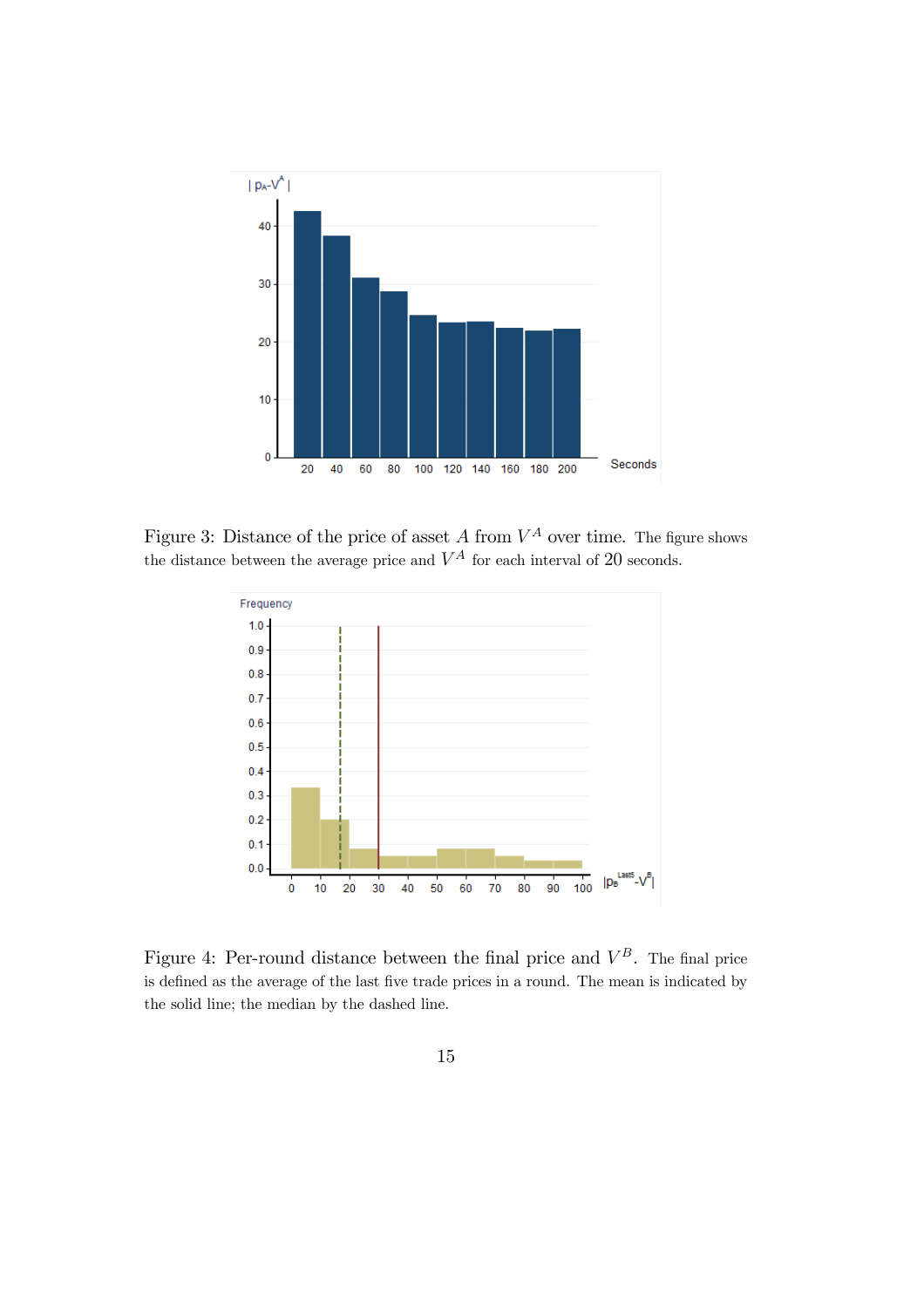

Figure 3: Distance of the price of asset A from  $V^A$  over time. The figure shows the distance between the average price and  $V^A$  for each interval of 20 seconds.



Figure 4: Per-round distance between the final price and  $V^B$ . The final price is defined as the average of the last five trade prices in a round. The mean is indicated by the solid line; the median by the dashed line.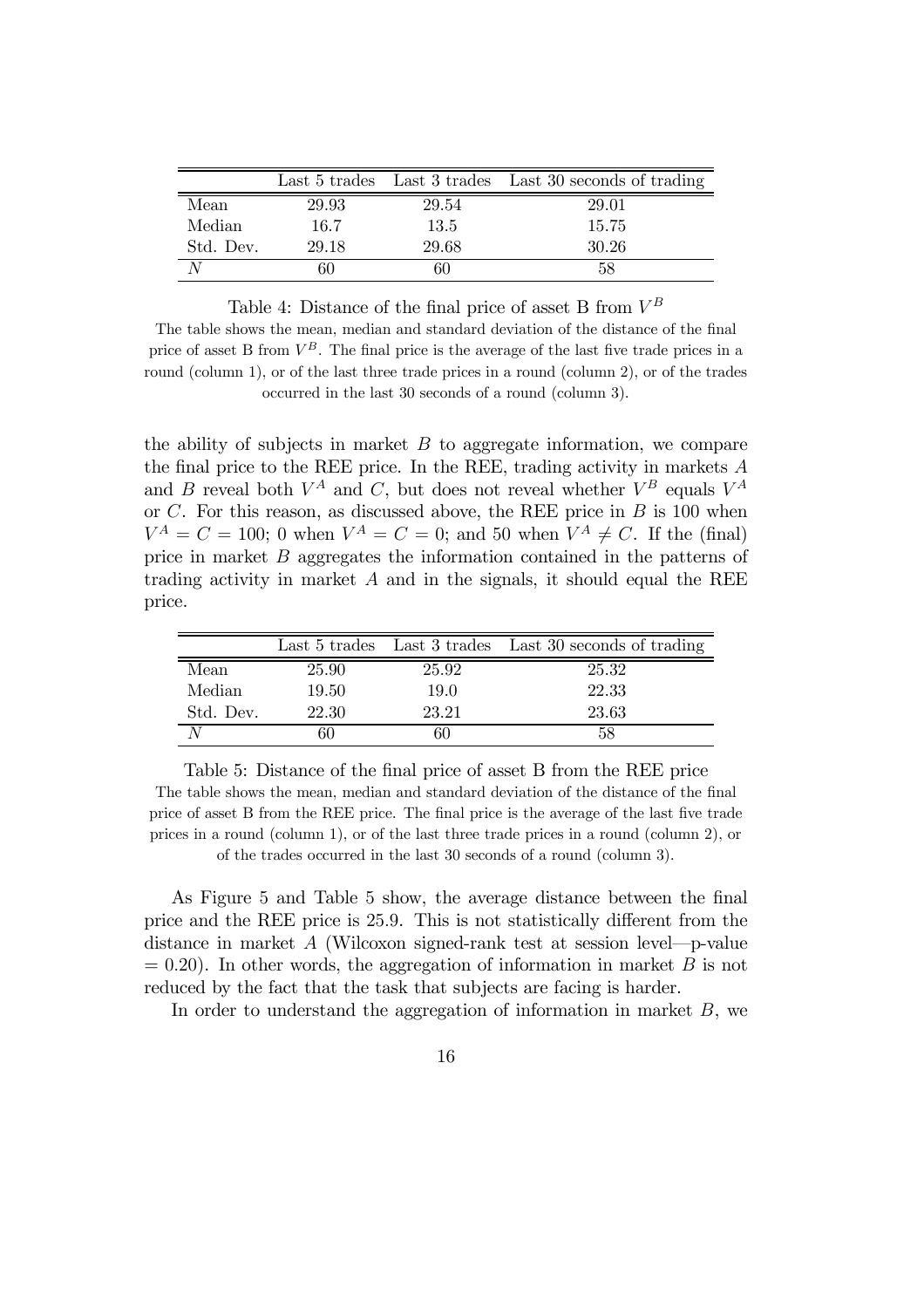|           |       |       | Last 5 trades Last 3 trades Last 30 seconds of trading |
|-----------|-------|-------|--------------------------------------------------------|
| Mean      | 29.93 | 29.54 | 29.01                                                  |
| Median    | 16.7  | 13.5  | 15.75                                                  |
| Std. Dev. | 29.18 | 29.68 | 30.26                                                  |
|           | 60    | 60    | 58                                                     |

Table 4: Distance of the final price of asset B from  $V^B$ 

The table shows the mean, median and standard deviation of the distance of the final price of asset B from  $V^B$ . The final price is the average of the last five trade prices in a round (column 1), or of the last three trade prices in a round (column 2), or of the trades occurred in the last 30 seconds of a round (column 3).

the ability of subjects in market  $B$  to aggregate information, we compare the final price to the REE price. In the REE, trading activity in markets  $A$ and B reveal both  $V^A$  and C, but does not reveal whether  $V^B$  equals  $V^A$ or  $C$ . For this reason, as discussed above, the REE price in  $B$  is 100 when  $V^A = C = 100; 0$  when  $V^A = C = 0;$  and 50 when  $V^A \neq C$ . If the (final) price in market  $B$  aggregates the information contained in the patterns of trading activity in market  $A$  and in the signals, it should equal the REE price.

|           |       |       | Last 5 trades Last 3 trades Last 30 seconds of trading |
|-----------|-------|-------|--------------------------------------------------------|
| Mean      | 25.90 | 25.92 | 25.32                                                  |
| Median    | 19.50 | 19.0  | 22.33                                                  |
| Std. Dev. | 22.30 | 23.21 | 23.63                                                  |
|           | 60    | 60    | 58                                                     |

Table 5: Distance of the final price of asset B from the REE price The table shows the mean, median and standard deviation of the distance of the final price of asset B from the REE price. The final price is the average of the last five trade prices in a round (column 1), or of the last three trade prices in a round (column 2), or of the trades occurred in the last 30 seconds of a round (column 3).

As Figure 5 and Table 5 show, the average distance between the final price and the REE price is 25.9. This is not statistically different from the distance in market  $A$  (Wilcoxon signed-rank test at session level—p-value  $= 0.20$ . In other words, the aggregation of information in market B is not reduced by the fact that the task that subjects are facing is harder.

In order to understand the aggregation of information in market  $B$ , we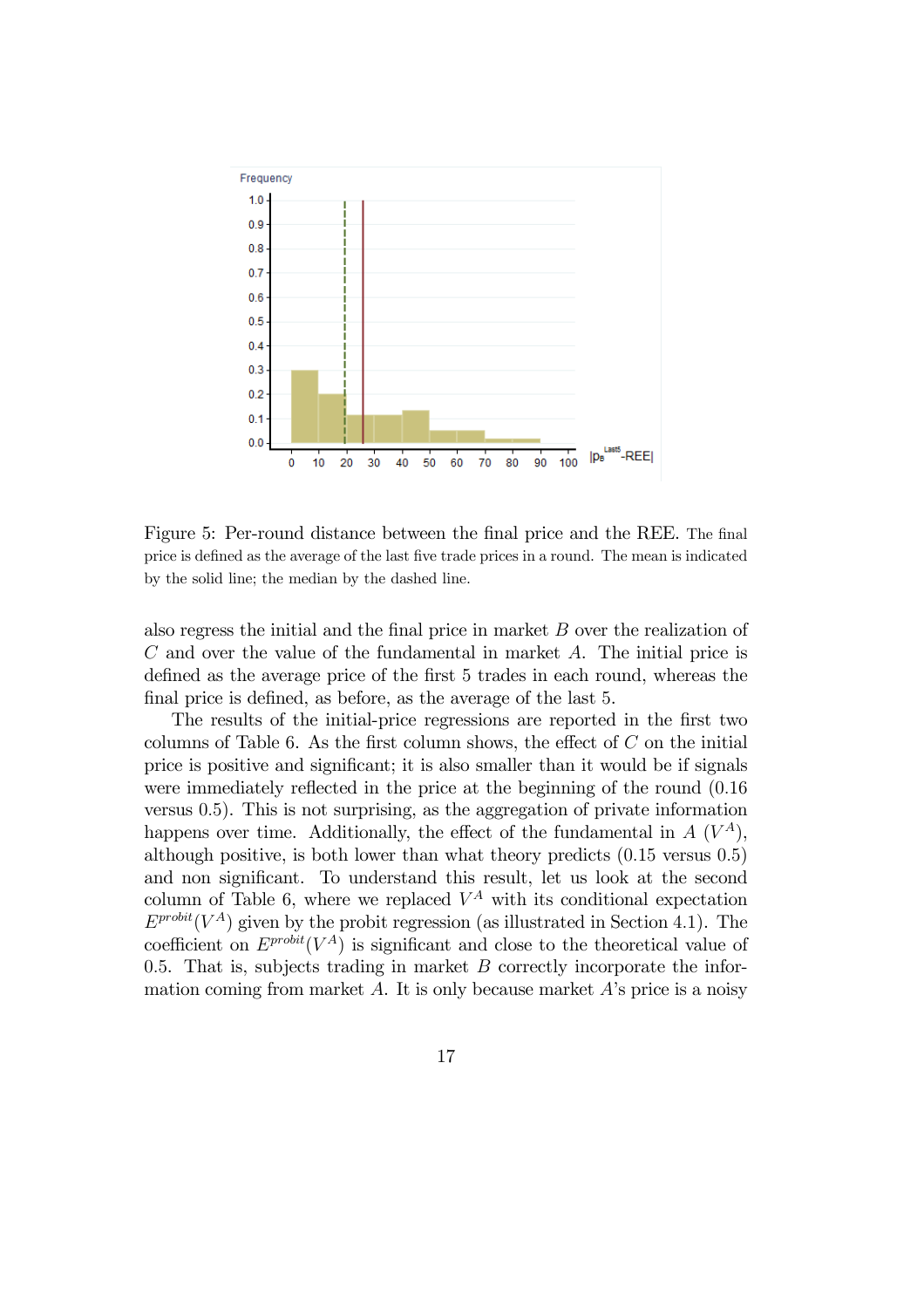

Figure 5: Per-round distance between the final price and the REE. The final price is defined as the average of the last five trade prices in a round. The mean is indicated by the solid line; the median by the dashed line.

also regress the initial and the final price in market  $B$  over the realization of  $C$  and over the value of the fundamental in market  $A$ . The initial price is defined as the average price of the first 5 trades in each round, whereas the final price is defined, as before, as the average of the last 5.

The results of the initial-price regressions are reported in the first two columns of Table 6. As the first column shows, the effect of  $C$  on the initial price is positive and significant; it is also smaller than it would be if signals were immediately reflected in the price at the beginning of the round  $(0.16$ versus  $(0.5)$ . This is not surprising, as the aggregation of private information happens over time. Additionally, the effect of the fundamental in  $A(V^A)$ , although positive, is both lower than what theory predicts  $(0.15 \text{ versus } 0.5)$ and non significant. To understand this result, let us look at the second column of Table 6, where we replaced  $V^A$  with its conditional expectation  $E<sup>probit</sup>(V<sup>A</sup>)$  given by the probit regression (as illustrated in Section 4.1). The coefficient on  $E^{probit}(V^A)$  is significant and close to the theoretical value of 0.5. That is, subjects trading in market  $B$  correctly incorporate the information coming from market  $A$ . It is only because market  $A$ 's price is a noisy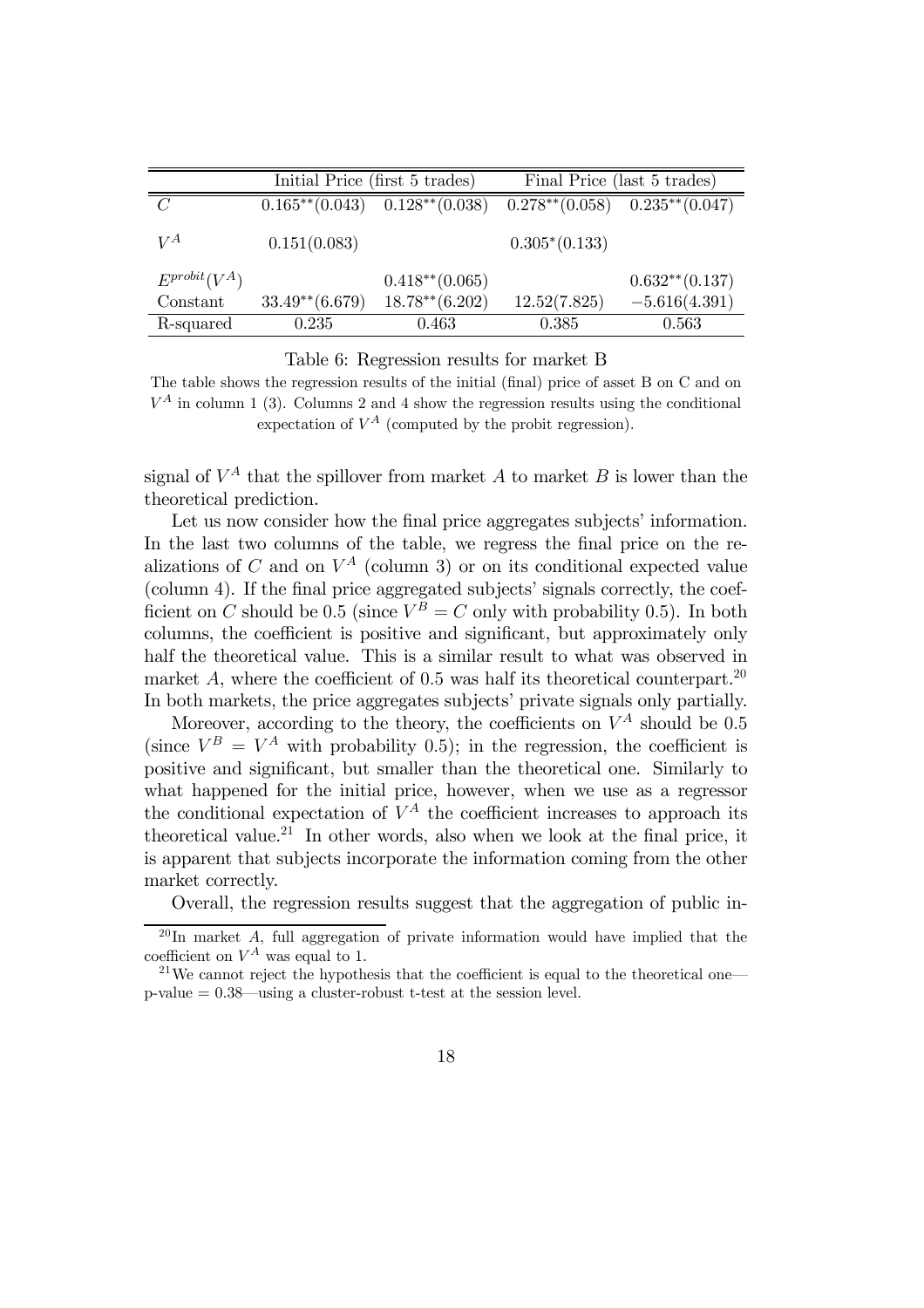|                   | Initial Price (first 5 trades) |                                         | Final Price (last 5 trades) |                                     |
|-------------------|--------------------------------|-----------------------------------------|-----------------------------|-------------------------------------|
| $\mathcal{C}$     |                                | $0.165^{**}(0.043)$ $0.128^{**}(0.038)$ |                             | $0.278**$ (0.058) $0.235**$ (0.047) |
| $V^A$             | 0.151(0.083)                   |                                         | $0.305*(0.133)$             |                                     |
| $E^{probit}(V^A)$ |                                | $0.418**$ (0.065)                       |                             | $0.632**$ (0.137)                   |
| Constant          | $33.49** (6.679)$              | $18.78**$ (6.202)                       | 12.52(7.825)                | $-5.616(4.391)$                     |
| R-squared         | 0.235                          | 0.463                                   | 0.385                       | 0.563                               |

Table 6: Regression results for market B

The table shows the regression results of the initial (final) price of asset B on C and on  $V^A$  in column 1 (3). Columns 2 and 4 show the regression results using the conditional expectation of  $V^A$  (computed by the probit regression).

signal of  $V^A$  that the spillover from market A to market B is lower than the theoretical prediction.

Let us now consider how the final price aggregates subjects' information. In the last two columns of the table, we regress the final price on the realizations of C and on  $V^A$  (column 3) or on its conditional expected value  $\alpha$  (column 4). If the final price aggregated subjects' signals correctly, the coefficient on C should be 0.5 (since  $V^B = C$  only with probability 0.5). In both columns, the coefficient is positive and significant, but approximately only half the theoretical value. This is a similar result to what was observed in market A, where the coefficient of 0.5 was half its theoretical counterpart.<sup>20</sup> In both markets, the price aggregates subjects' private signals only partially.

Moreover, according to the theory, the coefficients on  $V^A$  should be 0.5 (since  $V^B = V^A$  with probability 0.5); in the regression, the coefficient is positive and significant, but smaller than the theoretical one. Similarly to what happened for the initial price, however, when we use as a regressor the conditional expectation of  $V^A$  the coefficient increases to approach its theoretical value.<sup>21</sup> In other words, also when we look at the final price, it is apparent that subjects incorporate the information coming from the other market correctly.

Overall, the regression results suggest that the aggregation of public in-

 $^{20}$ In market A, full aggregation of private information would have implied that the coefficient on  $V^A$  was equal to 1.

<sup>&</sup>lt;sup>21</sup>We cannot reject the hypothesis that the coefficient is equal to the theoretical one  $p$ -value  $= 0.38$ —using a cluster-robust t-test at the session level.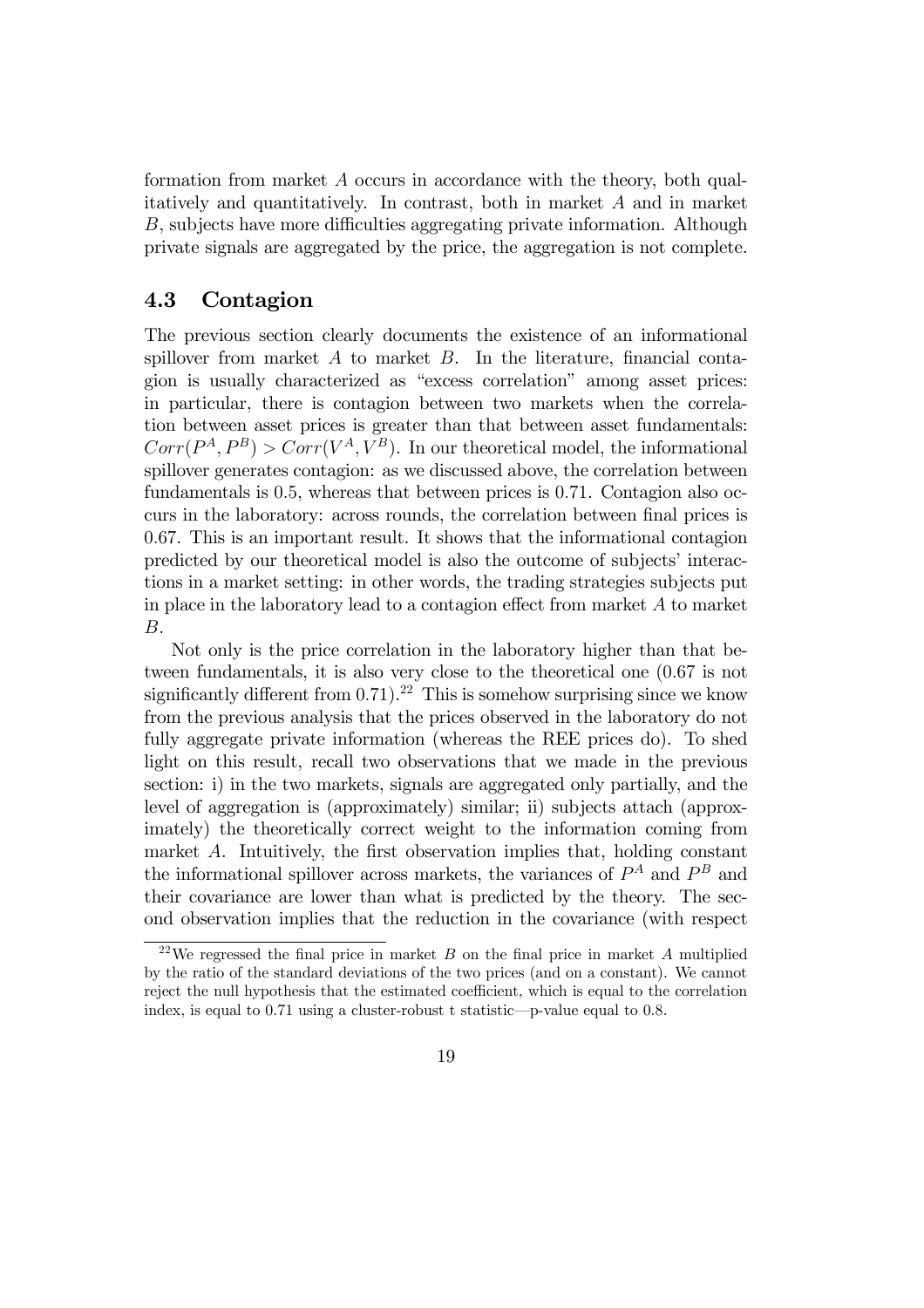formation from market  $A$  occurs in accordance with the theory, both qualitatively and quantitatively. In contrast, both in market  $A$  and in market  $B$ , subjects have more difficulties aggregating private information. Although private signals are aggregated by the price, the aggregation is not complete.

## 4.3 Contagion

The previous section clearly documents the existence of an informational spillover from market  $A$  to market  $B$ . In the literature, financial contagion is usually characterized as "excess correlation" among asset prices: in particular, there is contagion between two markets when the correlation between asset prices is greater than that between asset fundamentals:  $Corr(P^A, P^B) > Corr(V^A, V^B)$ . In our theoretical model, the informational spillover generates contagion: as we discussed above, the correlation between fundamentals is  $0.5$ , whereas that between prices is  $0.71$ . Contagion also occurs in the laboratory: across rounds, the correlation between final prices is 067. This is an important result. It shows that the informational contagion predicted by our theoretical model is also the outcome of subjects' interactions in a market setting: in other words, the trading strategies subjects put in place in the laboratory lead to a contagion effect from market  $A$  to market  $B$ .

Not only is the price correlation in the laboratory higher than that between fundamentals, it is also very close to the theoretical one  $(0.67$  is not significantly different from  $(0.71)$ .<sup>22</sup> This is somehow surprising since we know from the previous analysis that the prices observed in the laboratory do not fully aggregate private information (whereas the REE prices do). To shed light on this result, recall two observations that we made in the previous section: i) in the two markets, signals are aggregated only partially, and the level of aggregation is (approximately) similar; ii) subjects attach (approximately) the theoretically correct weight to the information coming from market  $\Lambda$ . Intuitively, the first observation implies that, holding constant the informational spillover across markets, the variances of  $P^A$  and  $P^B$  and their covariance are lower than what is predicted by the theory. The second observation implies that the reduction in the covariance (with respect

<sup>&</sup>lt;sup>22</sup>We regressed the final price in market  $B$  on the final price in market  $A$  multiplied by the ratio of the standard deviations of the two prices (and on a constant). We cannot reject the null hypothesis that the estimated coefficient, which is equal to the correlation index, is equal to  $0.71$  using a cluster-robust t statistic—p-value equal to  $0.8$ .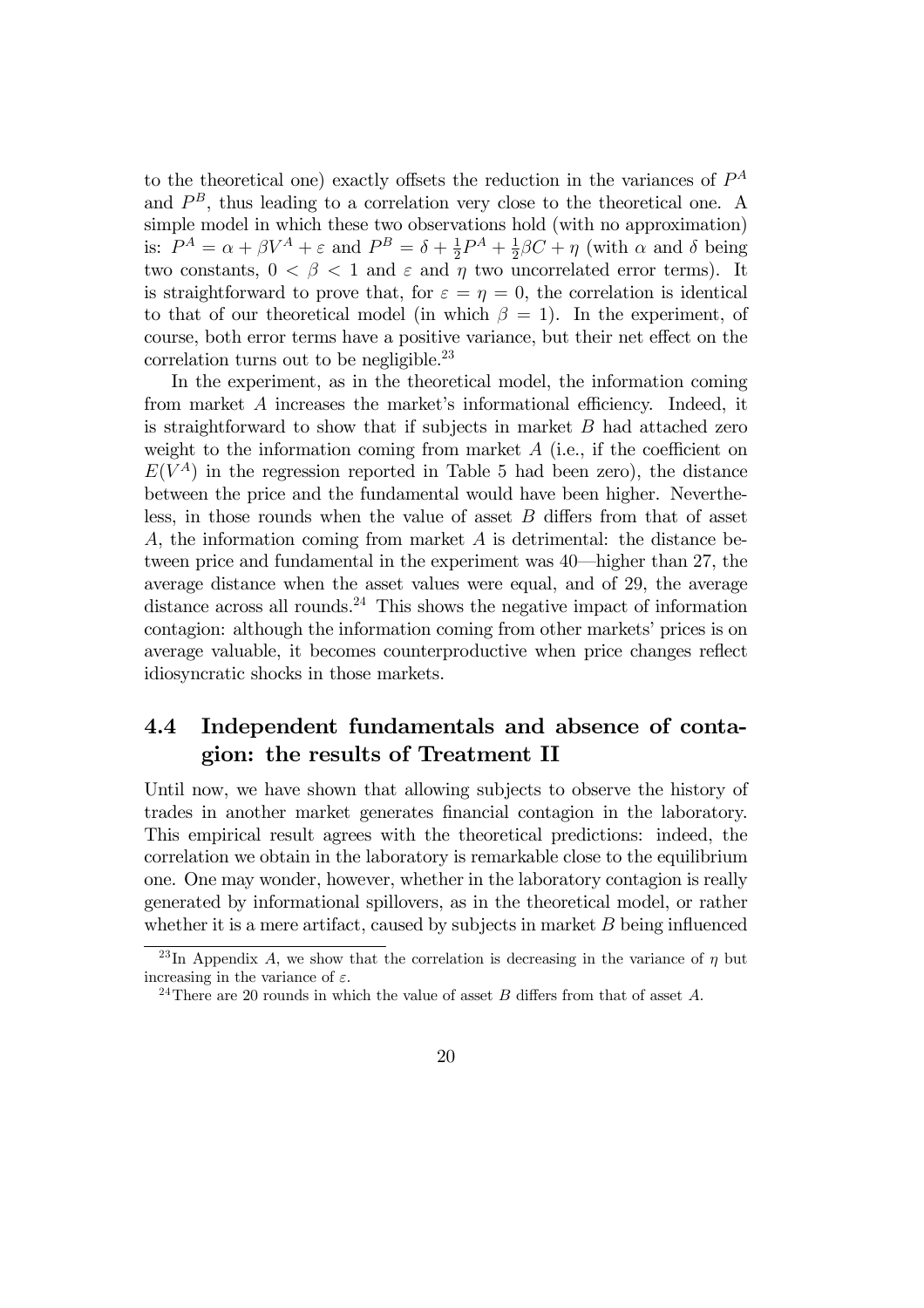to the theoretical one) exactly offsets the reduction in the variances of  $P^A$ and  $P^B$ , thus leading to a correlation very close to the theoretical one. A simple model in which these two observations hold (with no approximation) is:  $P^A = \alpha + \beta V^A + \varepsilon$  and  $P^B = \delta + \frac{1}{2}$  $\frac{1}{2}P^A + \frac{1}{2}$  $\frac{1}{2}\beta C + \eta$  (with  $\alpha$  and  $\delta$  being two constants,  $0 < \beta < 1$  and  $\varepsilon$  and  $\eta$  two uncorrelated error terms). It is straightforward to prove that, for  $\varepsilon = \eta = 0$ , the correlation is identical to that of our theoretical model (in which  $\beta = 1$ ). In the experiment, of course, both error terms have a positive variance, but their net effect on the correlation turns out to be negligible.<sup>23</sup>

In the experiment, as in the theoretical model, the information coming from market  $A$  increases the market's informational efficiency. Indeed, it is straightforward to show that if subjects in market  $B$  had attached zero weight to the information coming from market  $A$  (i.e., if the coefficient on  $E(V^A)$  in the regression reported in Table 5 had been zero), the distance between the price and the fundamental would have been higher. Nevertheless, in those rounds when the value of asset  $B$  differs from that of asset A, the information coming from market  $A$  is detrimental: the distance between price and fundamental in the experiment was 40—higher than 27, the average distance when the asset values were equal, and of 29, the average distance across all rounds.<sup>24</sup> This shows the negative impact of information contagion: although the information coming from other markets' prices is on average valuable, it becomes counterproductive when price changes reflect idiosyncratic shocks in those markets.

## 4.4 Independent fundamentals and absence of contagion: the results of Treatment II

Until now, we have shown that allowing subjects to observe the history of trades in another market generates financial contagion in the laboratory. This empirical result agrees with the theoretical predictions: indeed, the correlation we obtain in the laboratory is remarkable close to the equilibrium one. One may wonder, however, whether in the laboratory contagion is really generated by informational spillovers, as in the theoretical model, or rather whether it is a mere artifact, caused by subjects in market  $B$  being influenced

<sup>&</sup>lt;sup>23</sup>In Appendix A, we show that the correlation is decreasing in the variance of  $\eta$  but increasing in the variance of  $\varepsilon$ .

<sup>&</sup>lt;sup>24</sup>There are 20 rounds in which the value of asset  $B$  differs from that of asset  $A$ .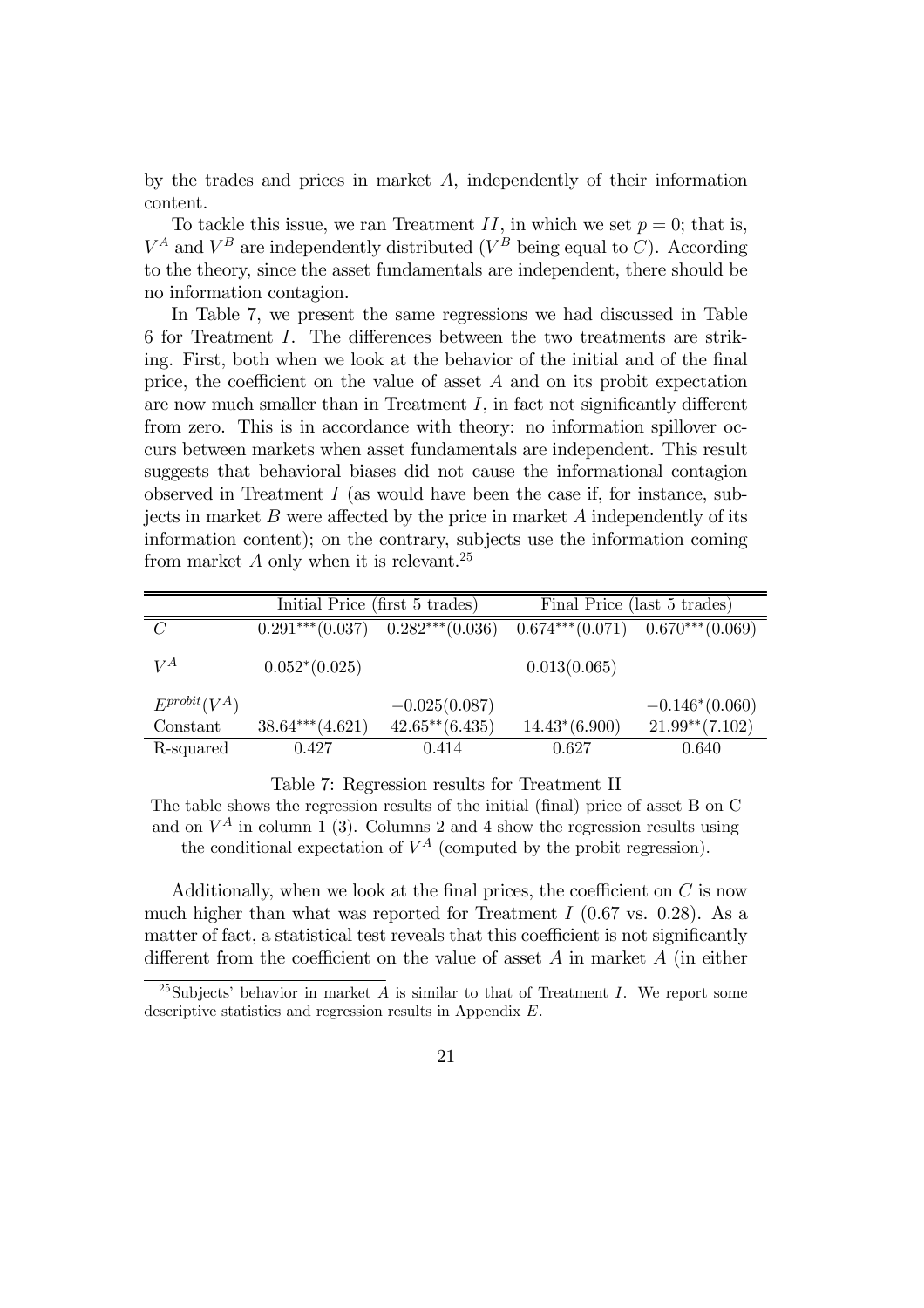by the trades and prices in market  $A$ , independently of their information content.

To tackle this issue, we ran Treatment II, in which we set  $p = 0$ ; that is,  $V^A$  and  $V^B$  are independently distributed ( $V^B$  being equal to C). According to the theory, since the asset fundamentals are independent, there should be no information contagion.

In Table 7, we present the same regressions we had discussed in Table  $6$  for Treatment I. The differences between the two treatments are striking. First, both when we look at the behavior of the initial and of the final price, the coefficient on the value of asset  $A$  and on its probit expectation are now much smaller than in Treatment  $I$ , in fact not significantly different from zero. This is in accordance with theory: no information spillover occurs between markets when asset fundamentals are independent. This result suggests that behavioral biases did not cause the informational contagion observed in Treatment  $I$  (as would have been the case if, for instance, subjects in market  $B$  were affected by the price in market  $A$  independently of its information content); on the contrary, subjects use the information coming from market  $A$  only when it is relevant.<sup>25</sup>

|                   | Initial Price (first 5 trades) |                   | Final Price (last 5 trades)         |                   |
|-------------------|--------------------------------|-------------------|-------------------------------------|-------------------|
| $\mathcal{C}$     | $0.291***(0.037)$              | $0.282***(0.036)$ | $0.674***(0.071)$ $0.670***(0.069)$ |                   |
| $V^A$             | $0.052*(0.025)$                |                   | 0.013(0.065)                        |                   |
| $E^{probit}(V^A)$ |                                | $-0.025(0.087)$   |                                     | $-0.146*(0.060)$  |
| Constant          | $38.64***(4.621)$              | $42.65**$ (6.435) | $14.43*(6.900)$                     | $21.99**$ (7.102) |
| R-squared         | 0.427                          | 0.414             | 0.627                               | 0.640             |

|  |  | Table 7: Regression results for Treatment II |
|--|--|----------------------------------------------|
|  |  |                                              |

The table shows the regression results of the initial (final) price of asset B on C and on  $V^A$  in column 1 (3). Columns 2 and 4 show the regression results using the conditional expectation of  $V^A$  (computed by the probit regression).

Additionally, when we look at the final prices, the coefficient on  $C$  is now much higher than what was reported for Treatment  $I(0.67 \text{ vs. } 0.28)$ . As a matter of fact, a statistical test reveals that this coefficient is not significantly different from the coefficient on the value of asset  $A$  in market  $A$  (in either

<sup>&</sup>lt;sup>25</sup>Subjects' behavior in market  $A$  is similar to that of Treatment  $I$ . We report some descriptive statistics and regression results in Appendix  $E$ .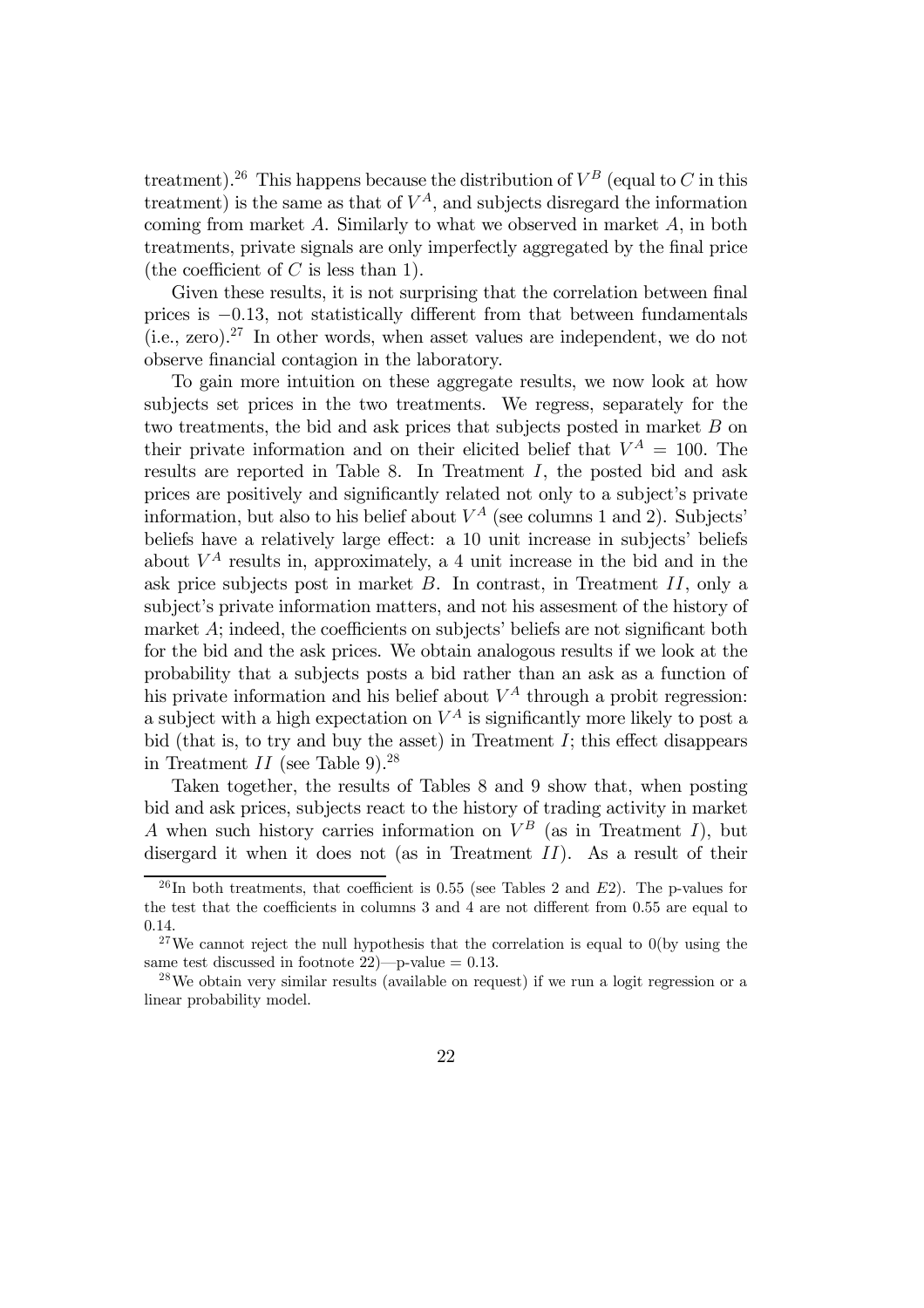treatment).<sup>26</sup> This happens because the distribution of  $V^B$  (equal to C in this treatment) is the same as that of  $V^A$ , and subjects disregard the information coming from market  $A$ . Similarly to what we observed in market  $A$ , in both treatments, private signals are only imperfectly aggregated by the final price (the coefficient of  $C$  is less than 1).

Given these results, it is not surprising that the correlation between final prices is  $-0.13$ , not statistically different from that between fundamentals  $(i.e., zero).$ <sup>27</sup> In other words, when asset values are independent, we do not observe financial contagion in the laboratory.

To gain more intuition on these aggregate results, we now look at how subjects set prices in the two treatments. We regress, separately for the two treatments, the bid and ask prices that subjects posted in market  $B$  on their private information and on their elicited belief that  $V^A = 100$ . The results are reported in Table 8. In Treatment  $I$ , the posted bid and ask prices are positively and significantly related not only to a subject's private information, but also to his belief about  $V^A$  (see columns 1 and 2). Subjects' beliefs have a relatively large effect: a 10 unit increase in subjects' beliefs about  $V^A$  results in, approximately, a 4 unit increase in the bid and in the ask price subjects post in market  $B$ . In contrast, in Treatment  $II$ , only a subject's private information matters, and not his assesment of the history of market  $A$ ; indeed, the coefficients on subjects' beliefs are not significant both for the bid and the ask prices. We obtain analogous results if we look at the probability that a subjects posts a bid rather than an ask as a function of his private information and his belief about  $V^A$  through a probit regression: a subject with a high expectation on  $V^A$  is significantly more likely to post a bid (that is, to try and buy the asset) in Treatment  $I$ ; this effect disappears in Treatment II (see Table 9).<sup>28</sup>

Taken together, the results of Tables 8 and 9 show that, when posting bid and ask prices, subjects react to the history of trading activity in market A when such history carries information on  $V^B$  (as in Treatment I), but disergard it when it does not (as in Treatment  $II$ ). As a result of their

<sup>&</sup>lt;sup>26</sup>In both treatments, that coefficient is 0.55 (see Tables 2 and  $E$ 2). The p-values for the test that the coefficients in columns  $3$  and  $4$  are not different from  $0.55$  are equal to 0.14.

<sup>&</sup>lt;sup>27</sup>We cannot reject the null hypothesis that the correlation is equal to  $0$ (by using the same test discussed in footnote  $22$ )—p-value = 0.13.

<sup>28</sup>We obtain very similar results (available on request) if we run a logit regression or a linear probability model.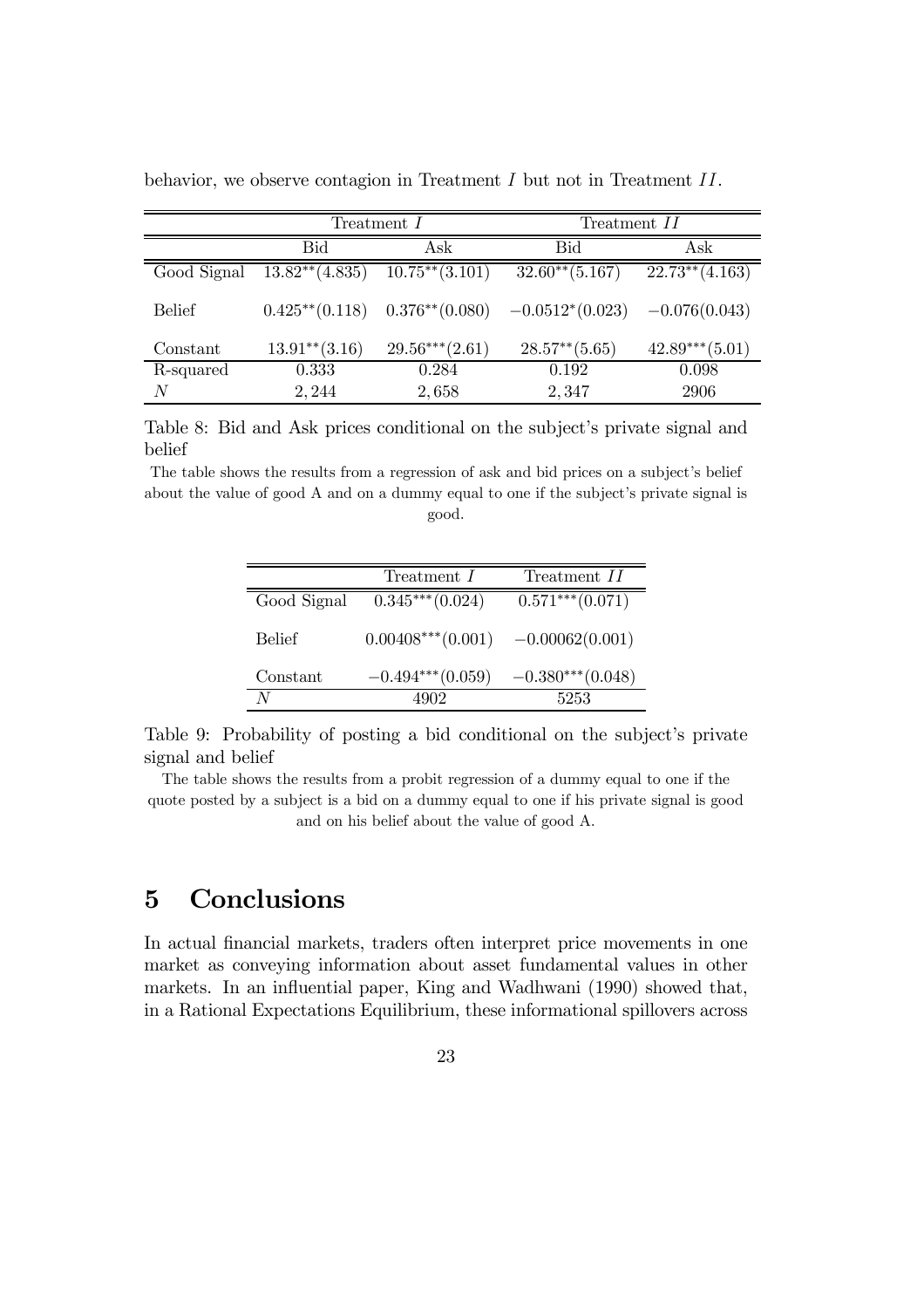|               | Treatment I      |                                         | Treatment II                                                 |                   |
|---------------|------------------|-----------------------------------------|--------------------------------------------------------------|-------------------|
|               | <b>Bid</b>       | Ask                                     | Bid                                                          | Ask               |
| Good Signal   |                  | $13.82^{**}(4.835)$ $10.75^{**}(3.101)$ | $32.60**$ (5.167)                                            | $22.73**$ (4.163) |
| <b>Belief</b> |                  |                                         | $0.425^{**}(0.118)$ $0.376^{**}(0.080)$ $-0.0512^{*}(0.023)$ | $-0.076(0.043)$   |
| Constant      | $13.91**$ (3.16) | $29.56***(2.61)$                        | $28.57**$ (5.65)                                             | $42.89***(5.01)$  |
| R-squared     | 0.333            | 0.284                                   | 0.192                                                        | 0.098             |
| N             | 2,244            | 2,658                                   | 2,347                                                        | 2906              |

behavior, we observe contagion in Treatment  $I$  but not in Treatment  $II$ .

Table 8: Bid and Ask prices conditional on the subject's private signal and belief

The table shows the results from a regression of ask and bid prices on a subject's belief about the value of good A and on a dummy equal to one if the subject's private signal is good.

|               | Treatment I         | Treatment II       |
|---------------|---------------------|--------------------|
| Good Signal   | $0.345***(0.024)$   | $0.571***(0.071)$  |
| <b>Belief</b> | $0.00408***(0.001)$ | $-0.00062(0.001)$  |
| Constant      | $-0.494***(0.059)$  | $-0.380***(0.048)$ |
| N             | 4902                | 5253               |

Table 9: Probability of posting a bid conditional on the subject's private signal and belief

The table shows the results from a probit regression of a dummy equal to one if the quote posted by a subject is a bid on a dummy equal to one if his private signal is good and on his belief about the value of good A.

# 5 Conclusions

In actual financial markets, traders often interpret price movements in one market as conveying information about asset fundamental values in other markets. In an influential paper, King and Wadhwani (1990) showed that, in a Rational Expectations Equilibrium, these informational spillovers across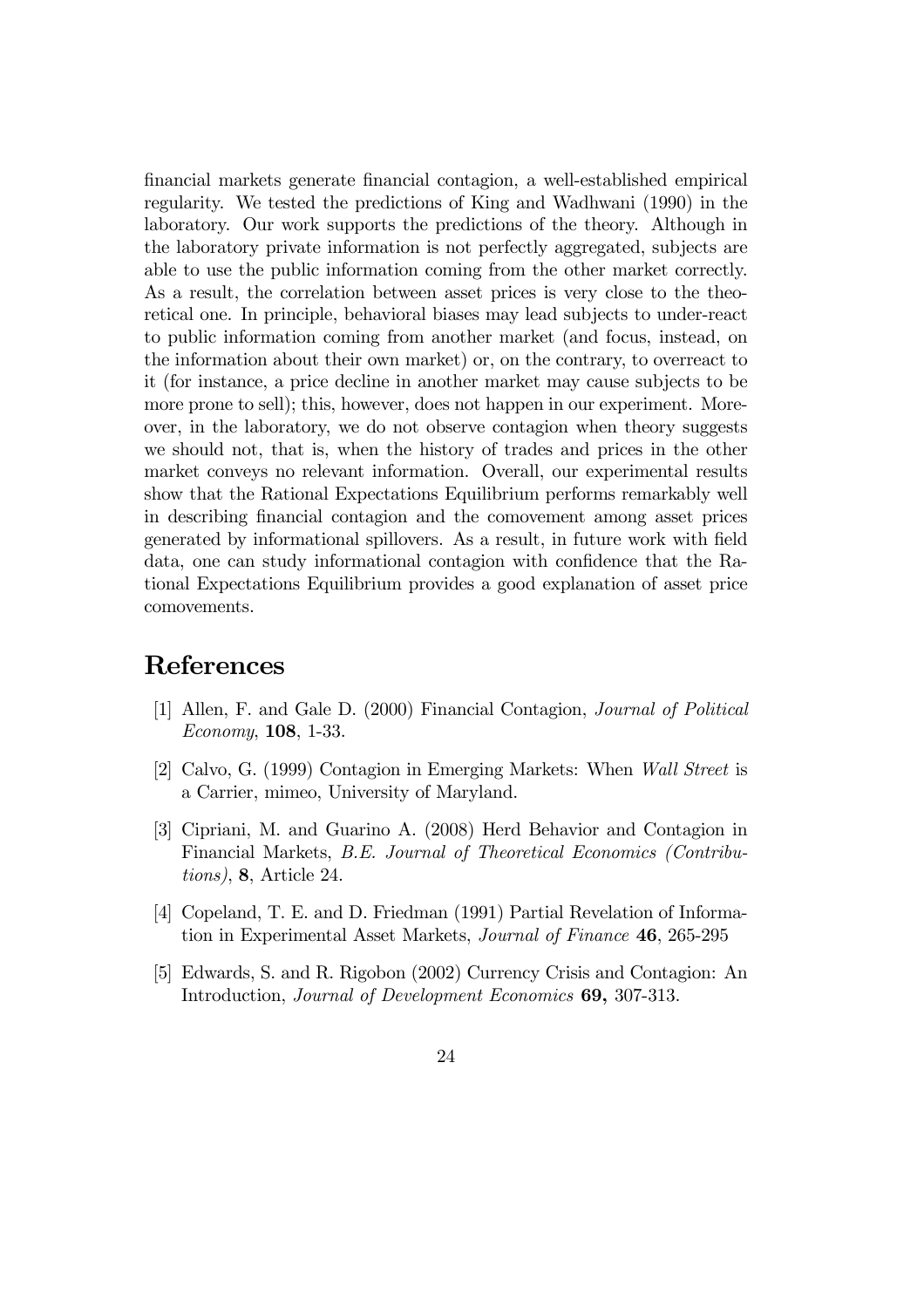financial markets generate financial contagion, a well-established empirical regularity. We tested the predictions of King and Wadhwani (1990) in the laboratory. Our work supports the predictions of the theory. Although in the laboratory private information is not perfectly aggregated, subjects are able to use the public information coming from the other market correctly. As a result, the correlation between asset prices is very close to the theoretical one. In principle, behavioral biases may lead subjects to under-react to public information coming from another market (and focus, instead, on the information about their own market) or, on the contrary, to overreact to it (for instance, a price decline in another market may cause subjects to be more prone to sell); this, however, does not happen in our experiment. Moreover, in the laboratory, we do not observe contagion when theory suggests we should not, that is, when the history of trades and prices in the other market conveys no relevant information. Overall, our experimental results show that the Rational Expectations Equilibrium performs remarkably well in describing financial contagion and the comovement among asset prices generated by informational spillovers. As a result, in future work with field data, one can study informational contagion with confidence that the Rational Expectations Equilibrium provides a good explanation of asset price comovements.

## References

- [1] Allen, F. and Gale D. (2000) Financial Contagion, *Journal of Political Economy*, 108, 1-33.
- [2] Calvo, G. (1999) Contagion in Emerging Markets: When *Wall Street* is a Carrier, mimeo, University of Maryland.
- [3] Cipriani, M. and Guarino A. (2008) Herd Behavior and Contagion in Financial Markets, *B.E. Journal of Theoretical Economics (Contributions)*, 8, Article 24.
- [4] Copeland, T. E. and D. Friedman (1991) Partial Revelation of Information in Experimental Asset Markets, *Journal of Finance* 46, 265-295
- [5] Edwards, S. and R. Rigobon (2002) Currency Crisis and Contagion: An Introduction, *Journal of Development Economics* 69, 307-313.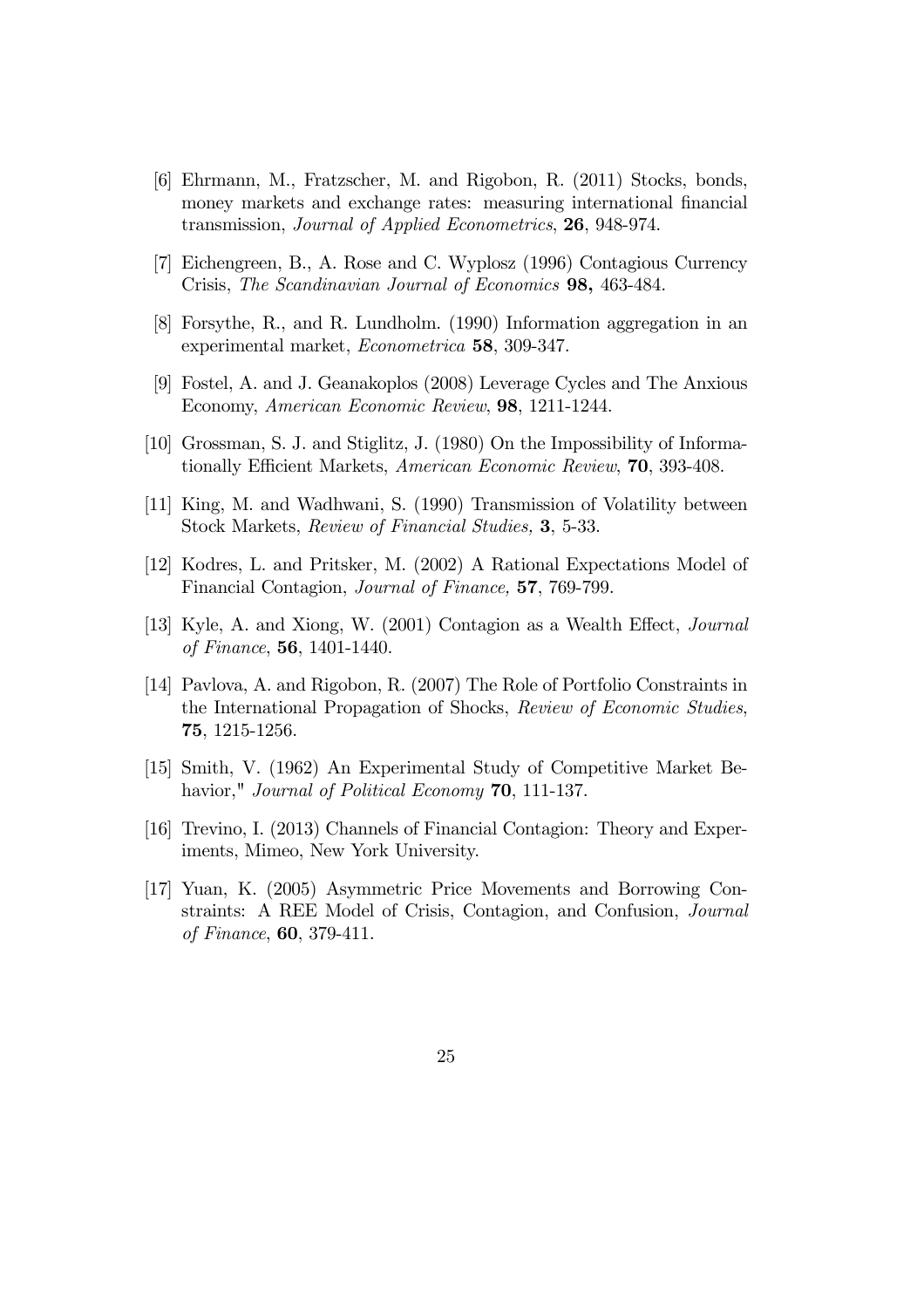- [6] Ehrmann, M., Fratzscher, M. and Rigobon, R. (2011) Stocks, bonds, money markets and exchange rates: measuring international financial transmission, *Journal of Applied Econometrics*, 26, 948-974.
- [7] Eichengreen, B., A. Rose and C. Wyplosz (1996) Contagious Currency Crisis, *The Scandinavian Journal of Economics* 98, 463-484.
- [8] Forsythe, R., and R. Lundholm. (1990) Information aggregation in an experimental market, *Econometrica* 58, 309-347.
- [9] Fostel, A. and J. Geanakoplos (2008) Leverage Cycles and The Anxious Economy, *American Economic Review*, 98, 1211-1244.
- [10] Grossman, S. J. and Stiglitz, J. (1980) On the Impossibility of Informationally Efficient Markets, *American Economic Review*, **70**, 393-408.
- [11] King, M. and Wadhwani, S. (1990) Transmission of Volatility between Stock Markets, *Review of Financial Studies,* 3, 5-33.
- [12] Kodres, L. and Pritsker, M. (2002) A Rational Expectations Model of Financial Contagion, *Journal of Finance,* 57, 769-799.
- [13] Kyle, A. and Xiong, W. (2001) Contagion as a Wealth Effect, *Journal of Finance*, 56, 1401-1440.
- [14] Pavlova, A. and Rigobon, R. (2007) The Role of Portfolio Constraints in the International Propagation of Shocks, *Review of Economic Studies*, 75, 1215-1256.
- [15] Smith, V. (1962) An Experimental Study of Competitive Market Behavior," *Journal of Political Economy* 70, 111-137.
- [16] Trevino, I. (2013) Channels of Financial Contagion: Theory and Experiments, Mimeo, New York University.
- [17] Yuan, K. (2005) Asymmetric Price Movements and Borrowing Constraints: A REE Model of Crisis, Contagion, and Confusion, *Journal of Finance*, 60, 379-411.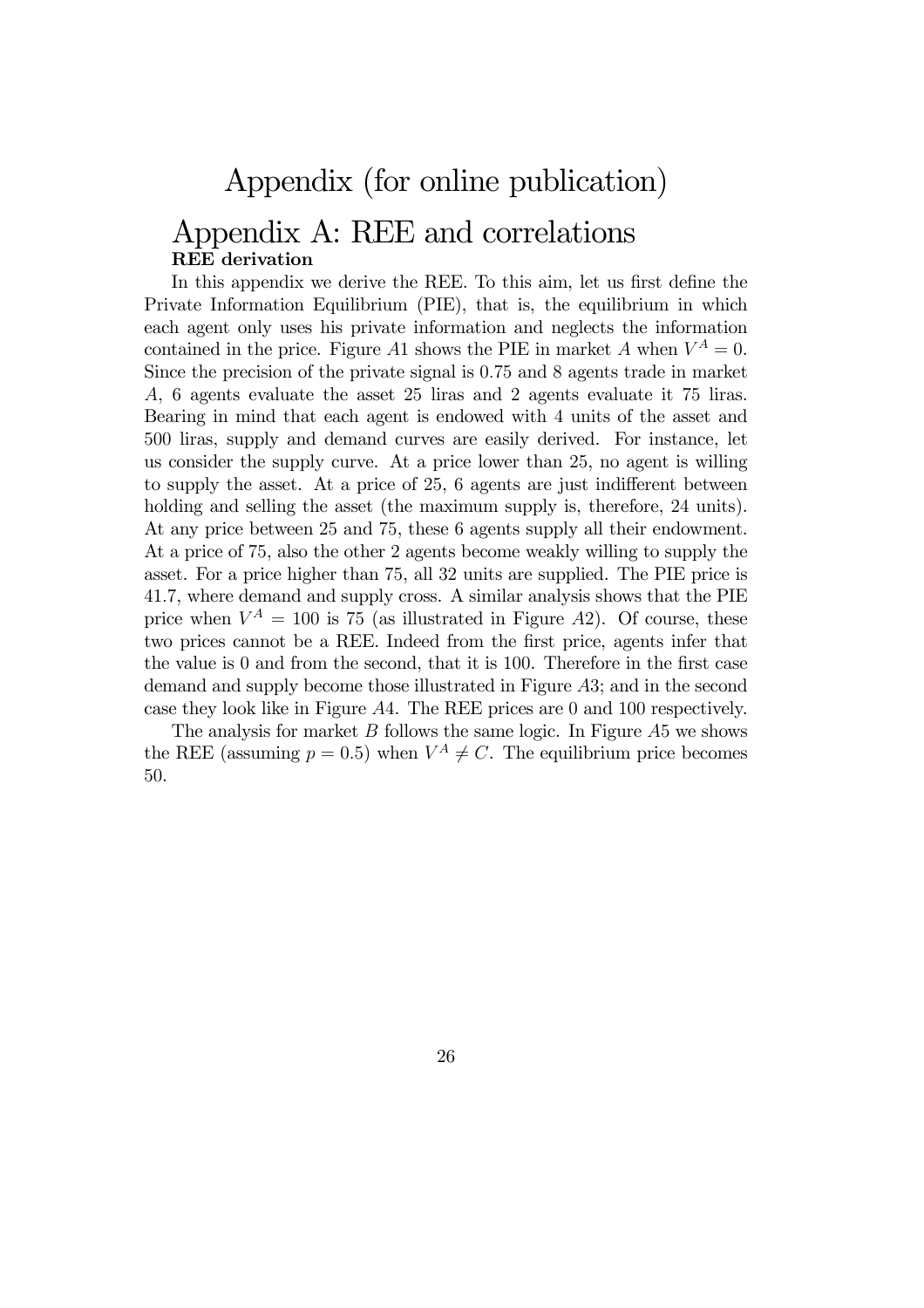# Appendix (for online publication)

## Appendix A: REE and correlations REE derivation

In this appendix we derive the REE. To this aim, let us first define the Private Information Equilibrium (PIE), that is, the equilibrium in which each agent only uses his private information and neglects the information contained in the price. Figure A1 shows the PIE in market A when  $V^A = 0$ . Since the precision of the private signal is 075 and 8 agents trade in market , 6 agents evaluate the asset 25 liras and 2 agents evaluate it 75 liras. Bearing in mind that each agent is endowed with 4 units of the asset and 500 liras, supply and demand curves are easily derived. For instance, let us consider the supply curve. At a price lower than 25, no agent is willing to supply the asset. At a price of  $25, 6$  agents are just indifferent between holding and selling the asset (the maximum supply is, therefore, 24 units). At any price between 25 and 75, these 6 agents supply all their endowment. At a price of 75, also the other 2 agents become weakly willing to supply the asset. For a price higher than 75, all 32 units are supplied. The PIE price is 417, where demand and supply cross. A similar analysis shows that the PIE price when  $V^A = 100$  is 75 (as illustrated in Figure A2). Of course, these two prices cannot be a REE. Indeed from the first price, agents infer that the value is  $0$  and from the second, that it is  $100$ . Therefore in the first case demand and supply become those illustrated in Figure  $A3$ ; and in the second case they look like in Figure A4. The REE prices are 0 and 100 respectively.

The analysis for market  $B$  follows the same logic. In Figure  $A5$  we shows the REE (assuming  $p = 0.5$ ) when  $V^A \neq C$ . The equilibrium price becomes 50.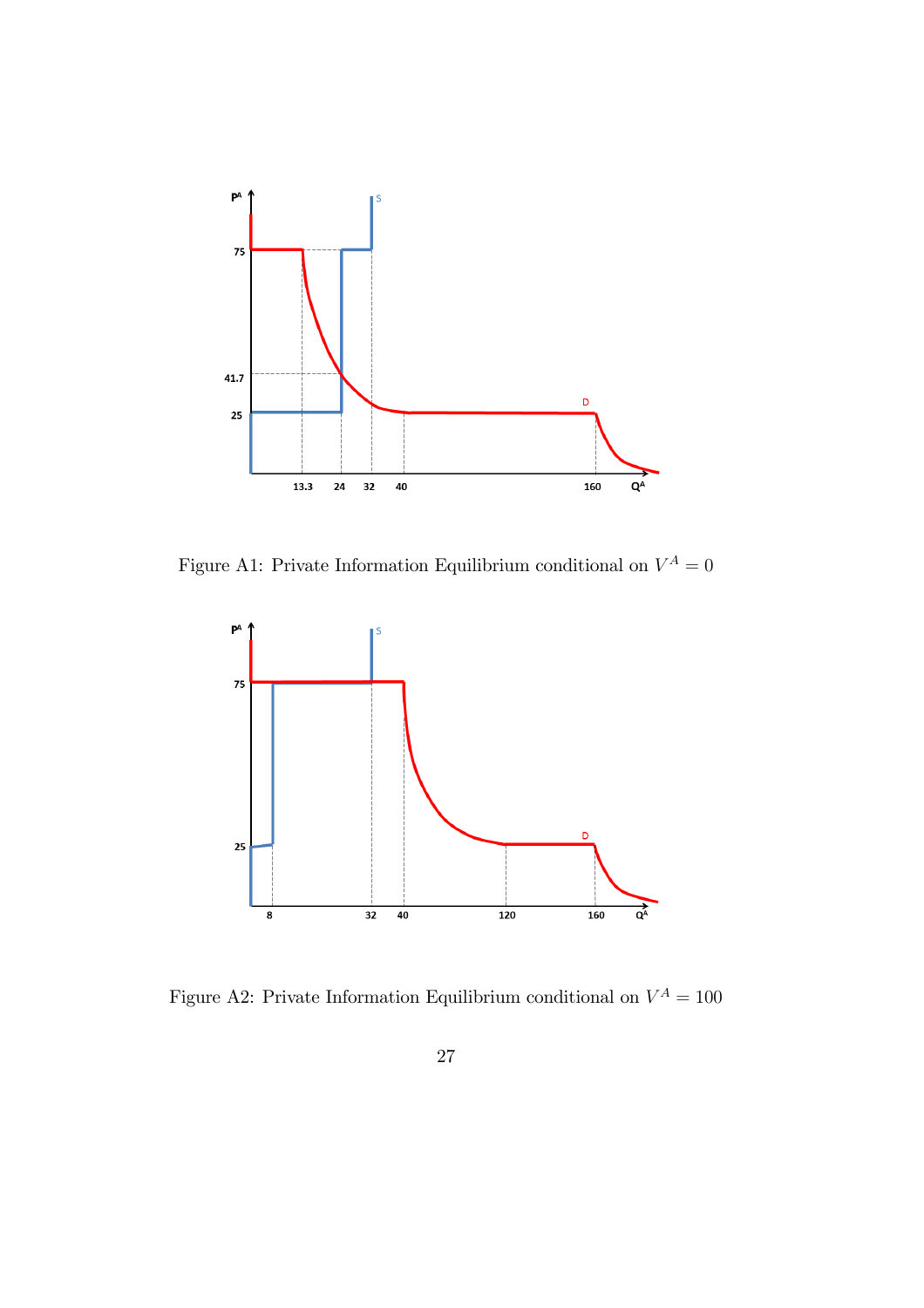

Figure A1: Private Information Equilibrium conditional on  $V^A = 0$ 



Figure A2: Private Information Equilibrium conditional on  $V^A = 100$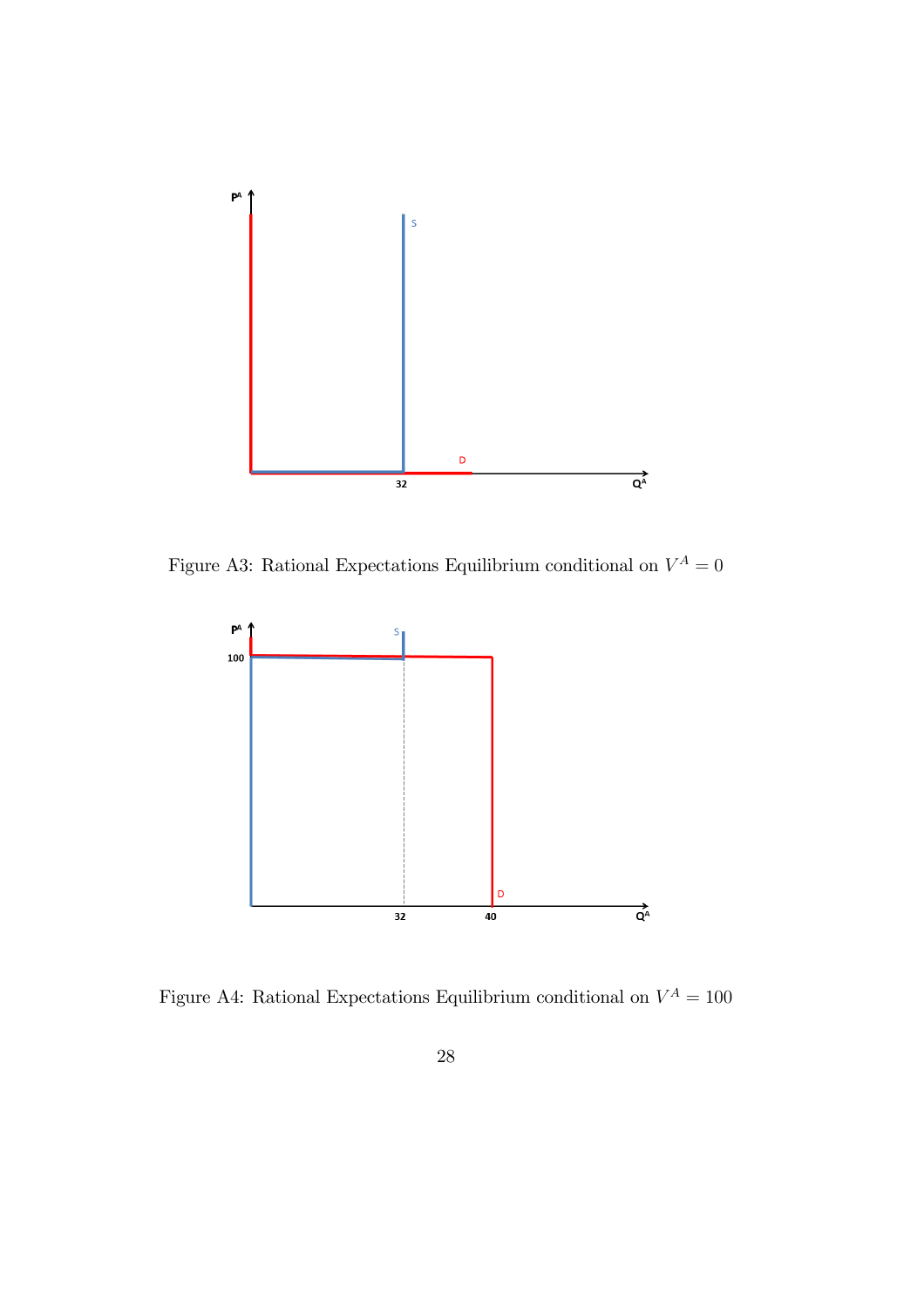

Figure A3: Rational Expectations Equilibrium conditional on  $V^A = 0$ 



Figure A4: Rational Expectations Equilibrium conditional on  $V^A = 100$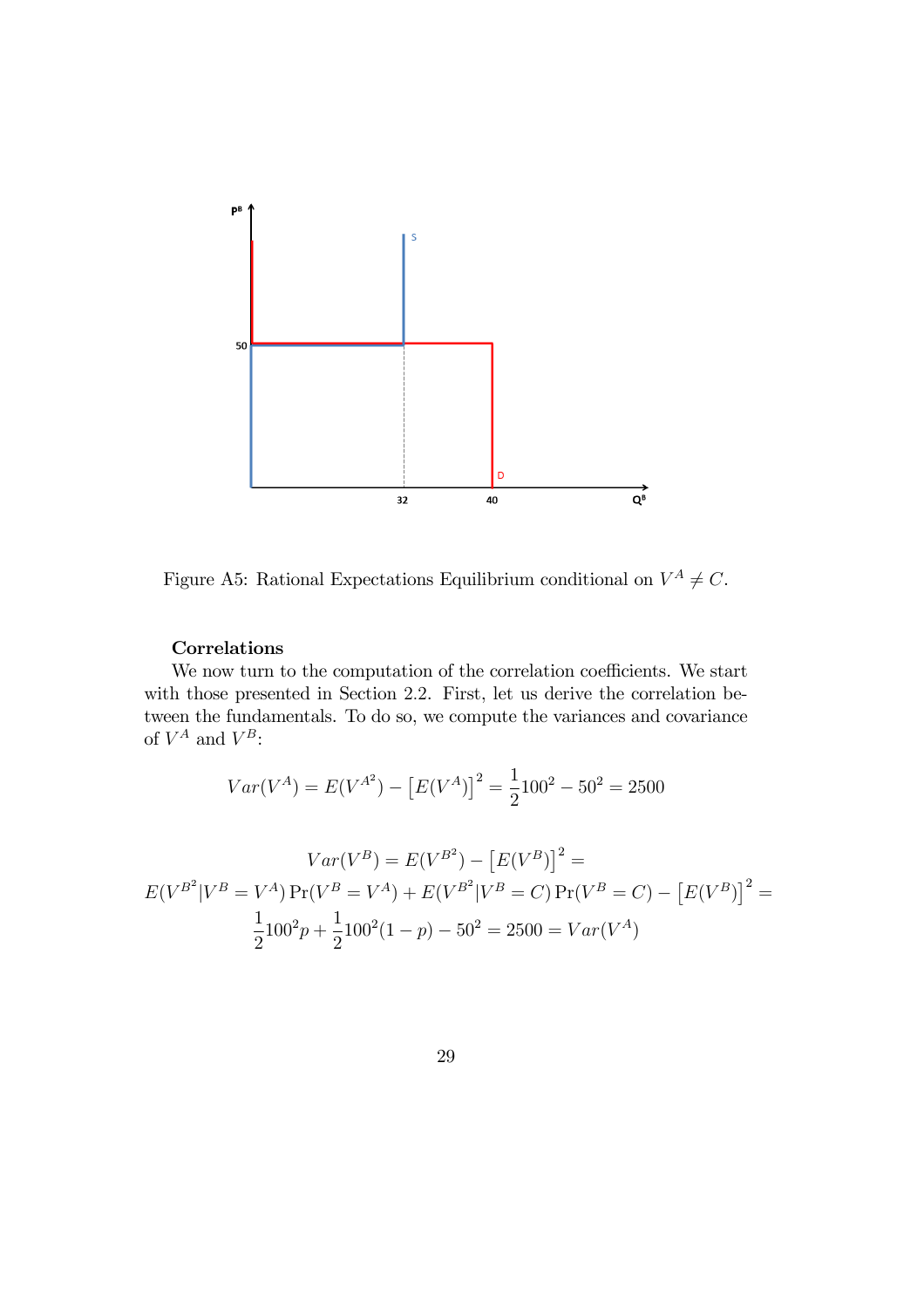

Figure A5: Rational Expectations Equilibrium conditional on  $V^A \neq C$ .

### Correlations

We now turn to the computation of the correlation coefficients. We start with those presented in Section 2.2. First, let us derive the correlation between the fundamentals. To do so, we compute the variances and covariance of  $V^A$  and  $V^B$ :

$$
Var(V^{A}) = E(V^{A^{2}}) - [E(V^{A})]^{2} = \frac{1}{2}100^{2} - 50^{2} = 2500
$$

$$
Var(V^{B}) = E(V^{B^{2}}) - [E(V^{B})]^{2} =
$$
  
\n
$$
E(V^{B^{2}}|V^{B} = V^{A}) Pr(V^{B} = V^{A}) + E(V^{B^{2}}|V^{B} = C) Pr(V^{B} = C) - [E(V^{B})]^{2} =
$$
  
\n
$$
\frac{1}{2}100^{2}p + \frac{1}{2}100^{2}(1-p) - 50^{2} = 2500 = Var(V^{A})
$$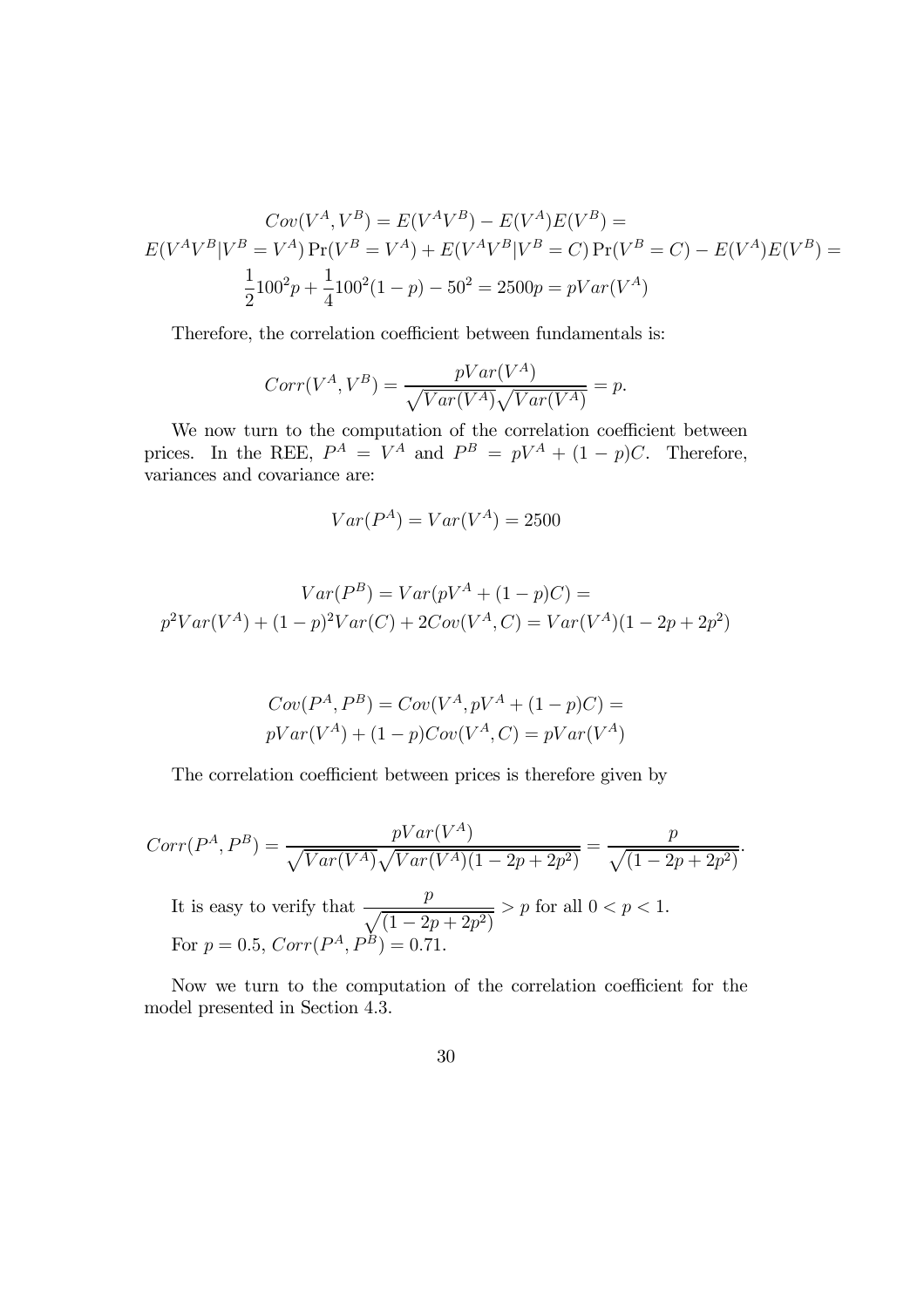$$
Cov(V^A, V^B) = E(V^A V^B) - E(V^A)E(V^B) =
$$
  
\n
$$
E(V^A V^B | V^B = V^A) Pr(V^B = V^A) + E(V^A V^B | V^B = C) Pr(V^B = C) - E(V^A)E(V^B) =
$$
  
\n
$$
\frac{1}{2} 100^2 p + \frac{1}{4} 100^2 (1 - p) - 50^2 = 2500p = pVar(V^A)
$$

Therefore, the correlation coefficient between fundamentals is:

$$
Corr(V^A, V^B) = \frac{pVar(V^A)}{\sqrt{Var(V^A)}\sqrt{Var(V^A)}} = p.
$$

We now turn to the computation of the correlation coefficient between prices. In the REE,  $P^A = V^A$  and  $P^B = pV^A + (1 - p)C$ . Therefore, variances and covariance are:

$$
Var(P^A) = Var(V^A) = 2500
$$

$$
Var(P^{B}) = Var(pV^{A} + (1 - p)C) =
$$
  

$$
p^{2}Var(V^{A}) + (1 - p)^{2}Var(C) + 2Cov(V^{A}, C) = Var(V^{A})(1 - 2p + 2p^{2})
$$

$$
Cov(P^A, P^B) = Cov(V^A, pV^A + (1 - p)C) =
$$
  

$$
pVar(V^A) + (1 - p)Cov(V^A, C) = pVar(V^A)
$$

The correlation coefficient between prices is therefore given by

$$
Corr(P^A, P^B) = \frac{pVar(V^A)}{\sqrt{Var(V^A)}\sqrt{Var(V^A)(1 - 2p + 2p^2)}} = \frac{p}{\sqrt{(1 - 2p + 2p^2)}}.
$$
  
It is easy to verify that  $\frac{p}{\sqrt{(1 - 2p + 2p^2)}} > p$  for all  $0 < p < 1$ .  
For  $p = 0.5$ ,  $Corr(P^A, P^B) = 0.71$ .

Now we turn to the computation of the correlation coefficient for the model presented in Section 43.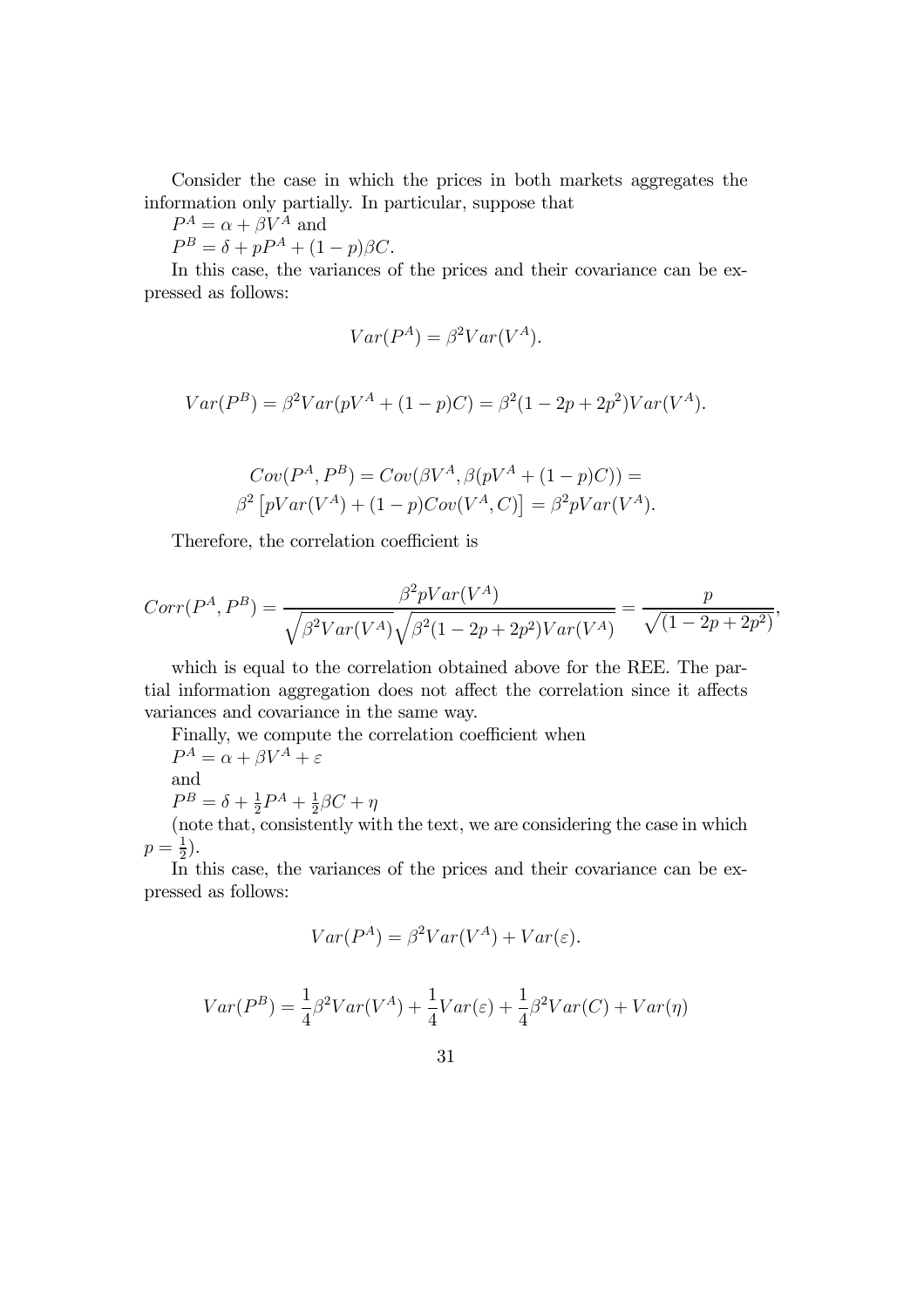Consider the case in which the prices in both markets aggregates the information only partially. In particular, suppose that

 $P^A = \alpha + \beta V^A$  and

 $P^B = \delta + pP^A + (1-p)\beta C.$ 

In this case, the variances of the prices and their covariance can be expressed as follows:

$$
Var(P^A) = \beta^2 Var(V^A).
$$

 $Var(P^{B}) = \beta^{2}Var(pV^{A} + (1-p)C) = \beta^{2}(1-2p+2p^{2})Var(V^{A}).$ 

$$
Cov(P^A, P^B) = Cov(\beta V^A, \beta(pV^A + (1 - p)C)) =
$$
  

$$
\beta^2 [pVar(V^A) + (1 - p)Cov(V^A, C)] = \beta^2 pVar(V^A).
$$

Therefore, the correlation coefficient is

$$
Corr(P^A, P^B) = \frac{\beta^2 pVar(V^A)}{\sqrt{\beta^2 Var(V^A)} \sqrt{\beta^2 (1 - 2p + 2p^2) Var(V^A)}} = \frac{p}{\sqrt{(1 - 2p + 2p^2)}},
$$

which is equal to the correlation obtained above for the REE. The partial information aggregation does not affect the correlation since it affects variances and covariance in the same way.

Finally, we compute the correlation coefficient when  $P^A = \alpha + \beta V^A + \varepsilon$ and  $P^B = \delta + \frac{1}{2}$  $\frac{1}{2}P^{A} + \frac{1}{2}$  $\frac{1}{2}\beta C + \eta$ 

(note that, consistently with the text, we are considering the case in which  $p=\frac{1}{2}$  $(\frac{1}{2})$ .

In this case, the variances of the prices and their covariance can be expressed as follows:

$$
Var(P^{A}) = \beta^{2}Var(V^{A}) + Var(\varepsilon).
$$

$$
Var(P^B) = \frac{1}{4}\beta^2 Var(V^A) + \frac{1}{4}Var(\varepsilon) + \frac{1}{4}\beta^2 Var(C) + Var(\eta)
$$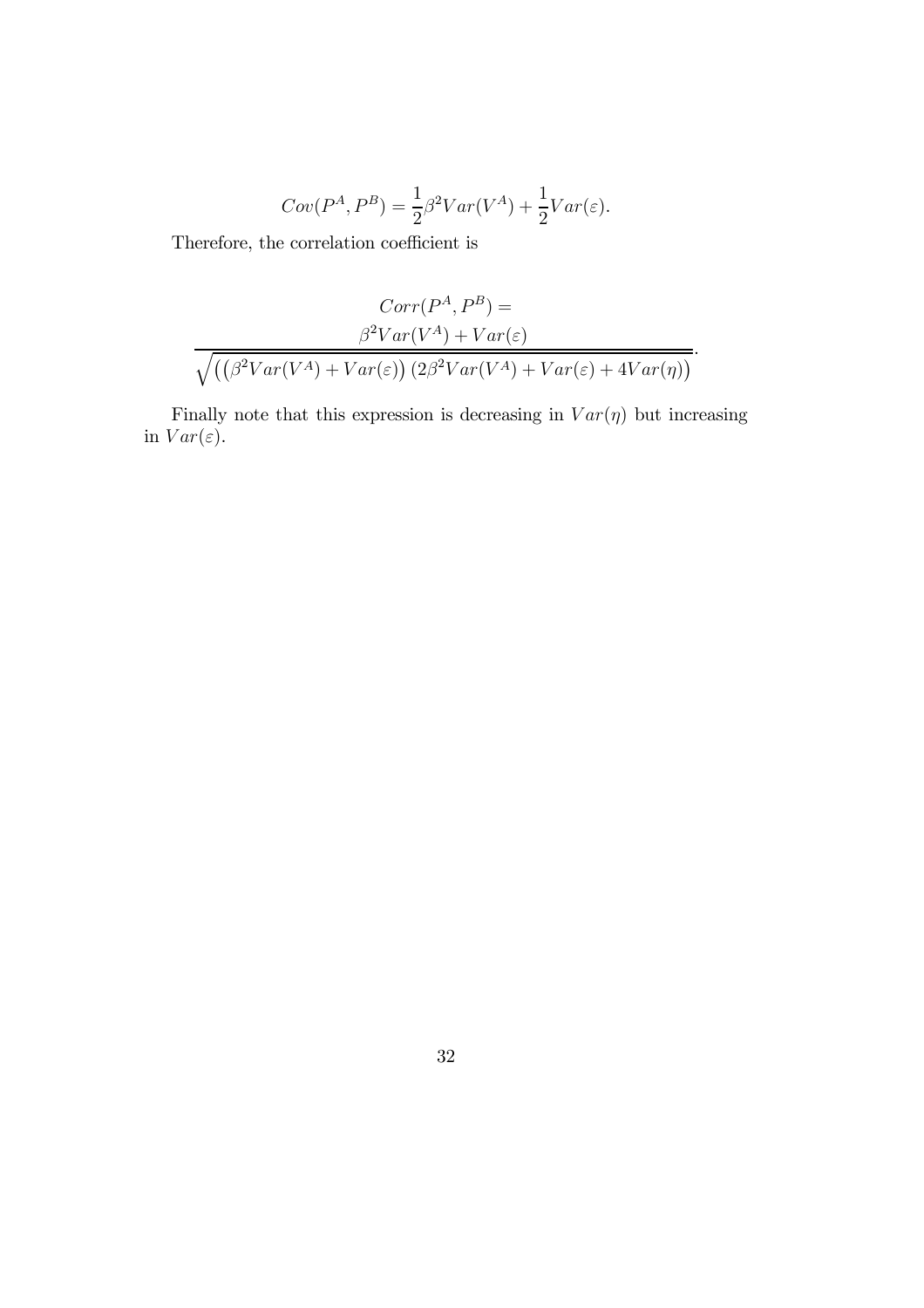$$
Cov(P^A, P^B) = \frac{1}{2}\beta^2 Var(V^A) + \frac{1}{2}Var(\varepsilon).
$$

Therefore, the correlation coefficient is  $% \mathcal{N}$ 

$$
Corr(P^{A}, P^{B}) =
$$

$$
\beta^{2}Var(V^{A}) + Var(\varepsilon)
$$

$$
\sqrt{((\beta^{2}Var(V^{A}) + Var(\varepsilon)) (2\beta^{2}Var(V^{A}) + Var(\varepsilon) + 4Var(\eta))}.
$$

Finally note that this expression is decreasing in  $Var(\eta)$  but increasing in  $Var(\varepsilon)$ .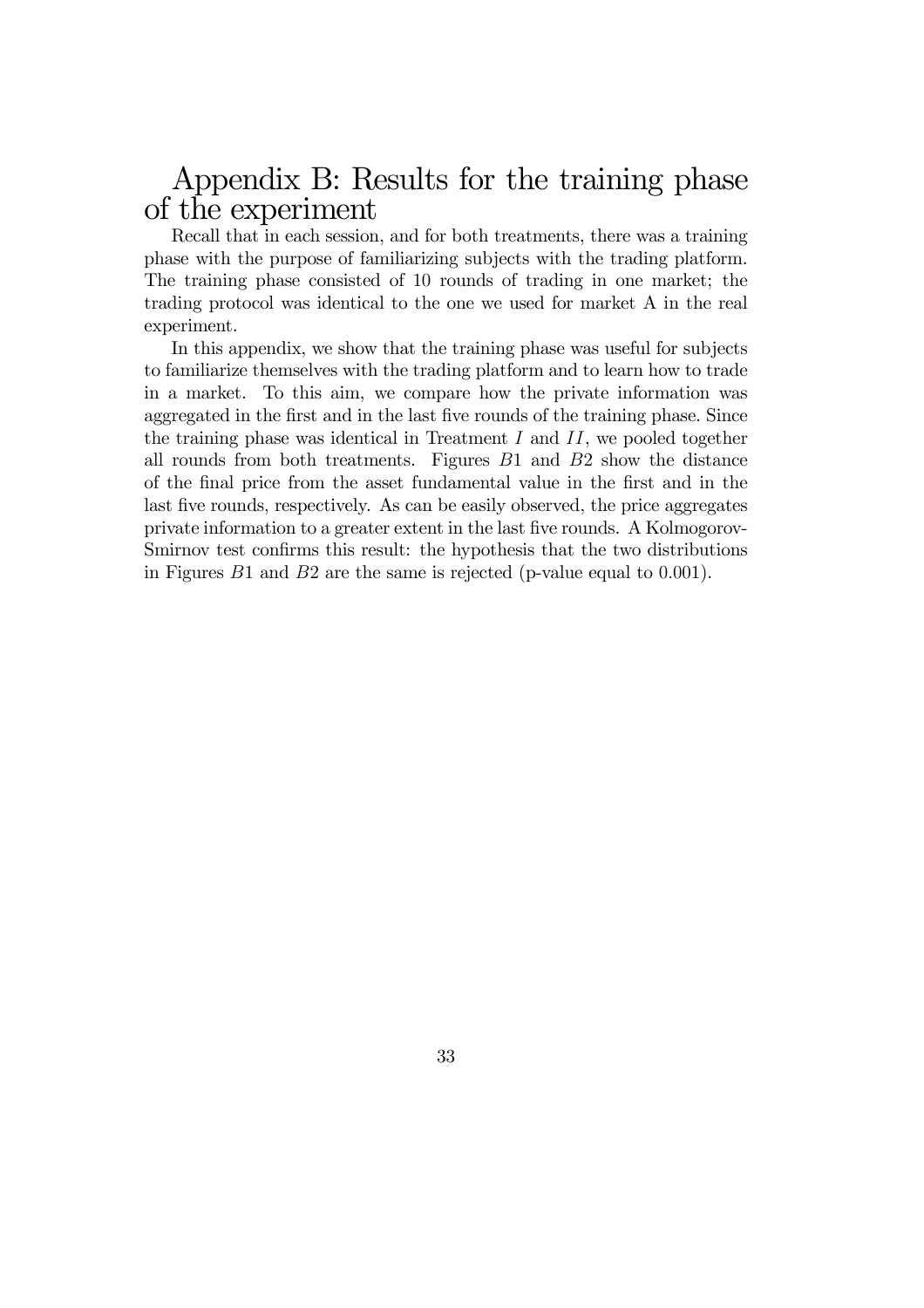# Appendix B: Results for the training phase of the experiment

Recall that in each session, and for both treatments, there was a training phase with the purpose of familiarizing subjects with the trading platform. The training phase consisted of 10 rounds of trading in one market; the trading protocol was identical to the one we used for market A in the real experiment.

In this appendix, we show that the training phase was useful for subjects to familiarize themselves with the trading platform and to learn how to trade in a market. To this aim, we compare how the private information was aggregated in the first and in the last five rounds of the training phase. Since the training phase was identical in Treatment  $I$  and  $II$ , we pooled together all rounds from both treatments. Figures  $B1$  and  $B2$  show the distance of the final price from the asset fundamental value in the first and in the last five rounds, respectively. As can be easily observed, the price aggregates private information to a greater extent in the last five rounds. A Kolmogorov-Smirnov test confirms this result: the hypothesis that the two distributions in Figures  $B1$  and  $B2$  are the same is rejected (p-value equal to 0.001).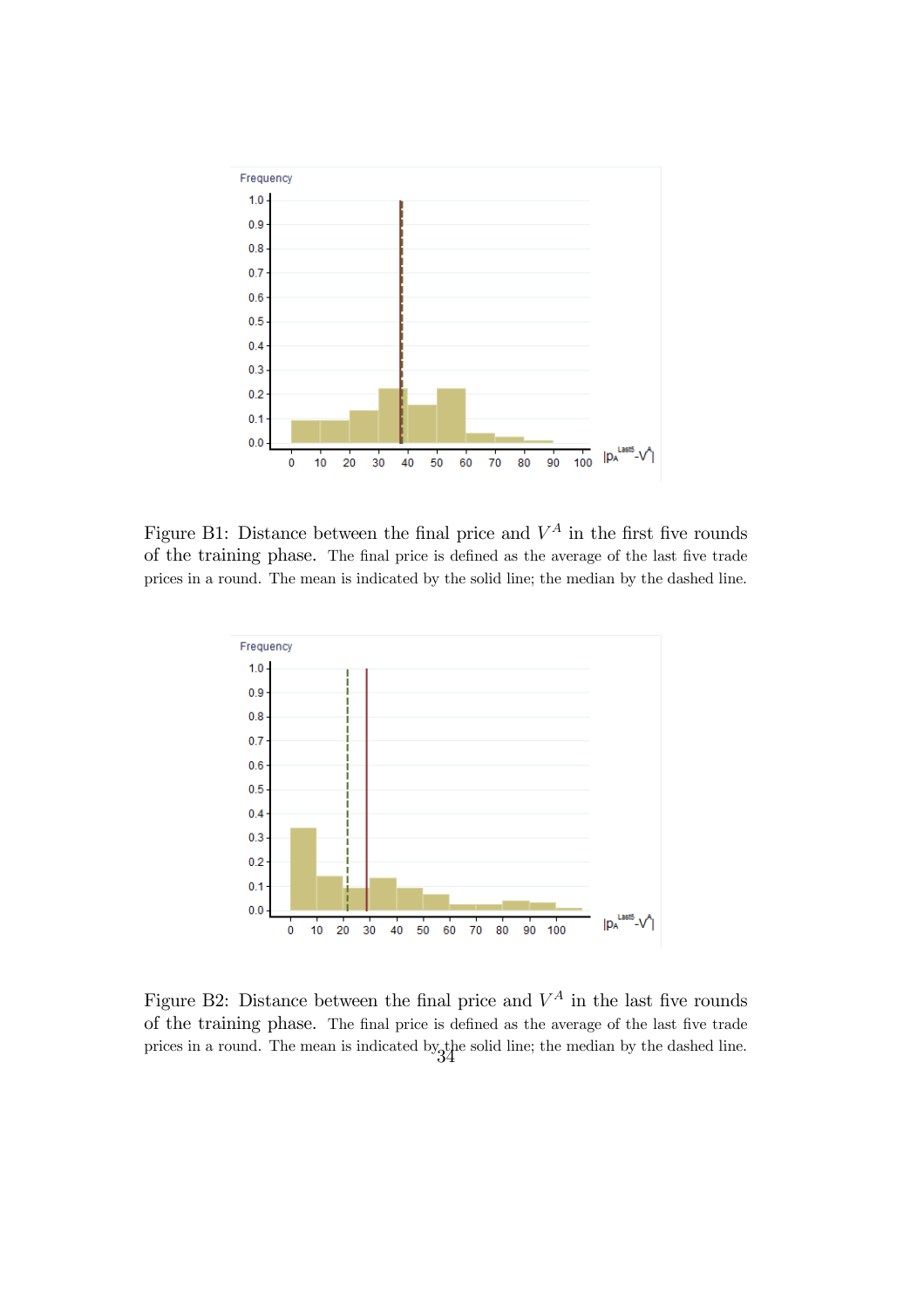

Figure B1: Distance between the final price and  $V^A$  in the first five rounds of the training phase. The final price is defined as the average of the last five trade prices in a round. The mean is indicated by the solid line; the median by the dashed line.



Figure B2: Distance between the final price and  $V^A$  in the last five rounds of the training phase. The final price is defined as the average of the last five trade prices in a round. The mean is indicated by the solid line; the median by the dashed line.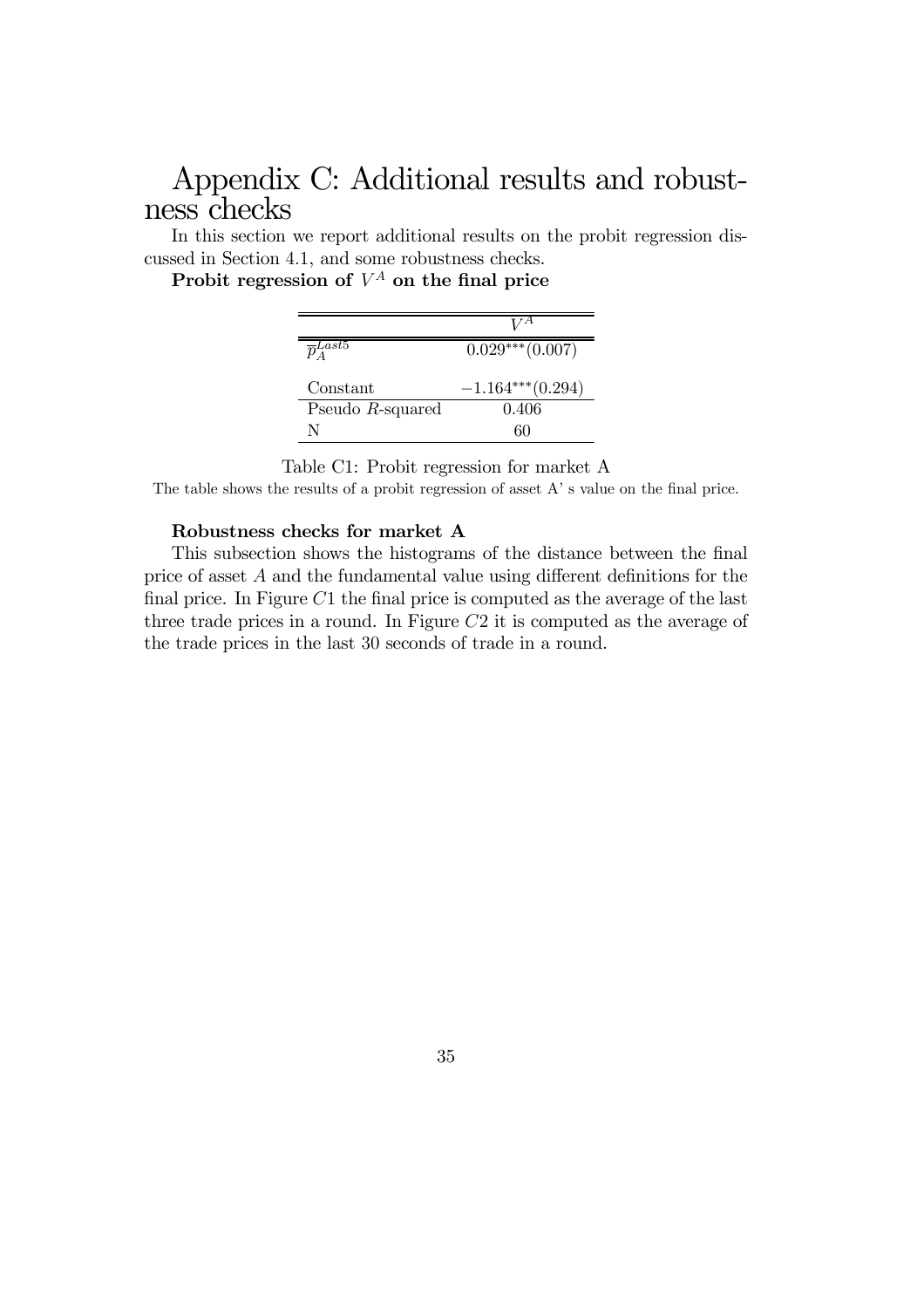# Appendix C: Additional results and robustness checks

In this section we report additional results on the probit regression discussed in Section 41, and some robustness checks.

Probit regression of  $V^A$  on the final price

|                            | $\mathfrak{t}^{\gamma A}$ |
|----------------------------|---------------------------|
| $\overline{p}_{A}^{Last5}$ | $0.029***(0.007)$         |
| Constant                   | $-1.164***(0.294)$        |
| Pseudo $R$ -squared        | 0.406                     |
|                            | 60                        |

Table C1: Probit regression for market A

The table shows the results of a probit regression of asset  $A'$  s value on the final price.

#### Robustness checks for market A

This subsection shows the histograms of the distance between the final price of asset  $A$  and the fundamental value using different definitions for the final price. In Figure  $C1$  the final price is computed as the average of the last three trade prices in a round. In Figure  $C2$  it is computed as the average of the trade prices in the last 30 seconds of trade in a round.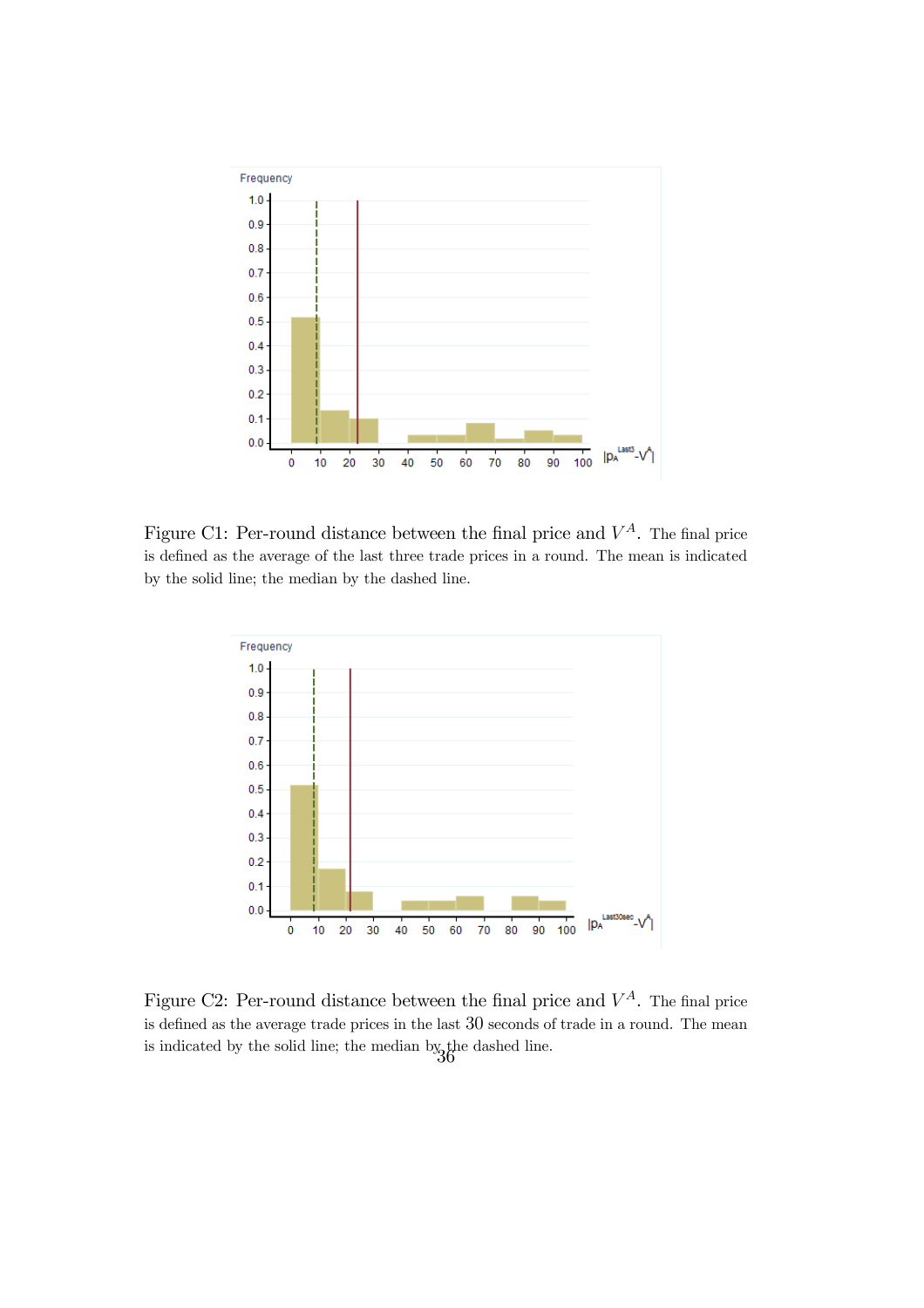

Figure C1: Per-round distance between the final price and  $V^A$ . The final price is defined as the average of the last three trade prices in a round. The mean is indicated by the solid line; the median by the dashed line.



Figure C2: Per-round distance between the final price and  $V^A$ . The final price is defined as the average trade prices in the last  $30$  seconds of trade in a round. The mean is indicated by the solid line; the median by the dashed line.  $\frac{36}{36}$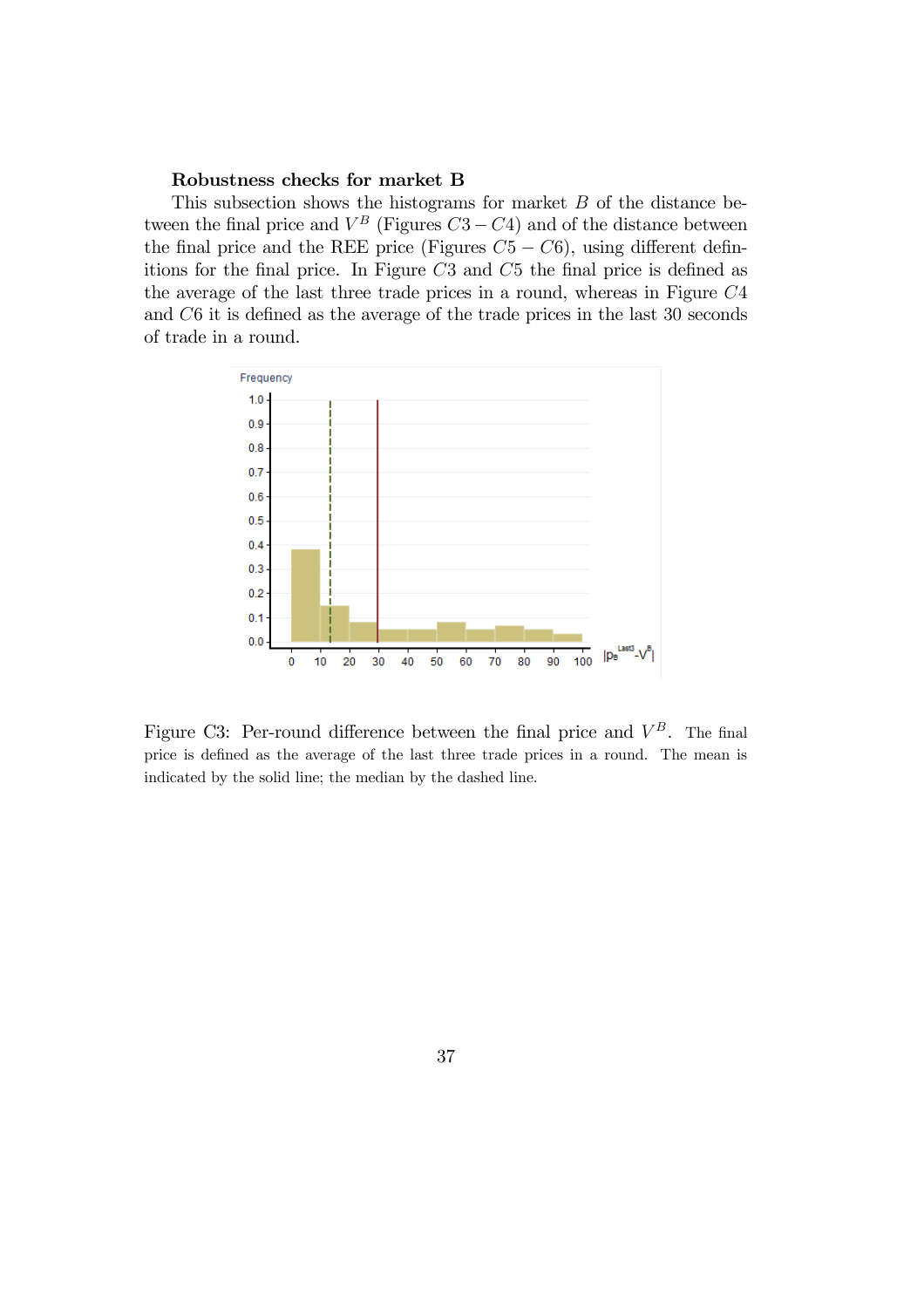#### Robustness checks for market B

This subsection shows the histograms for market  $B$  of the distance between the final price and  $V^B$  (Figures  $C3 - C4$ ) and of the distance between the final price and the REE price (Figures  $C5 - C6$ ), using different definitions for the final price. In Figure  $C3$  and  $C5$  the final price is defined as the average of the last three trade prices in a round, whereas in Figure  $C4$ and  $C6$  it is defined as the average of the trade prices in the last 30 seconds of trade in a round.



Figure C3: Per-round difference between the final price and  $V^B$ . The final price is defined as the average of the last three trade prices in a round. The mean is indicated by the solid line; the median by the dashed line.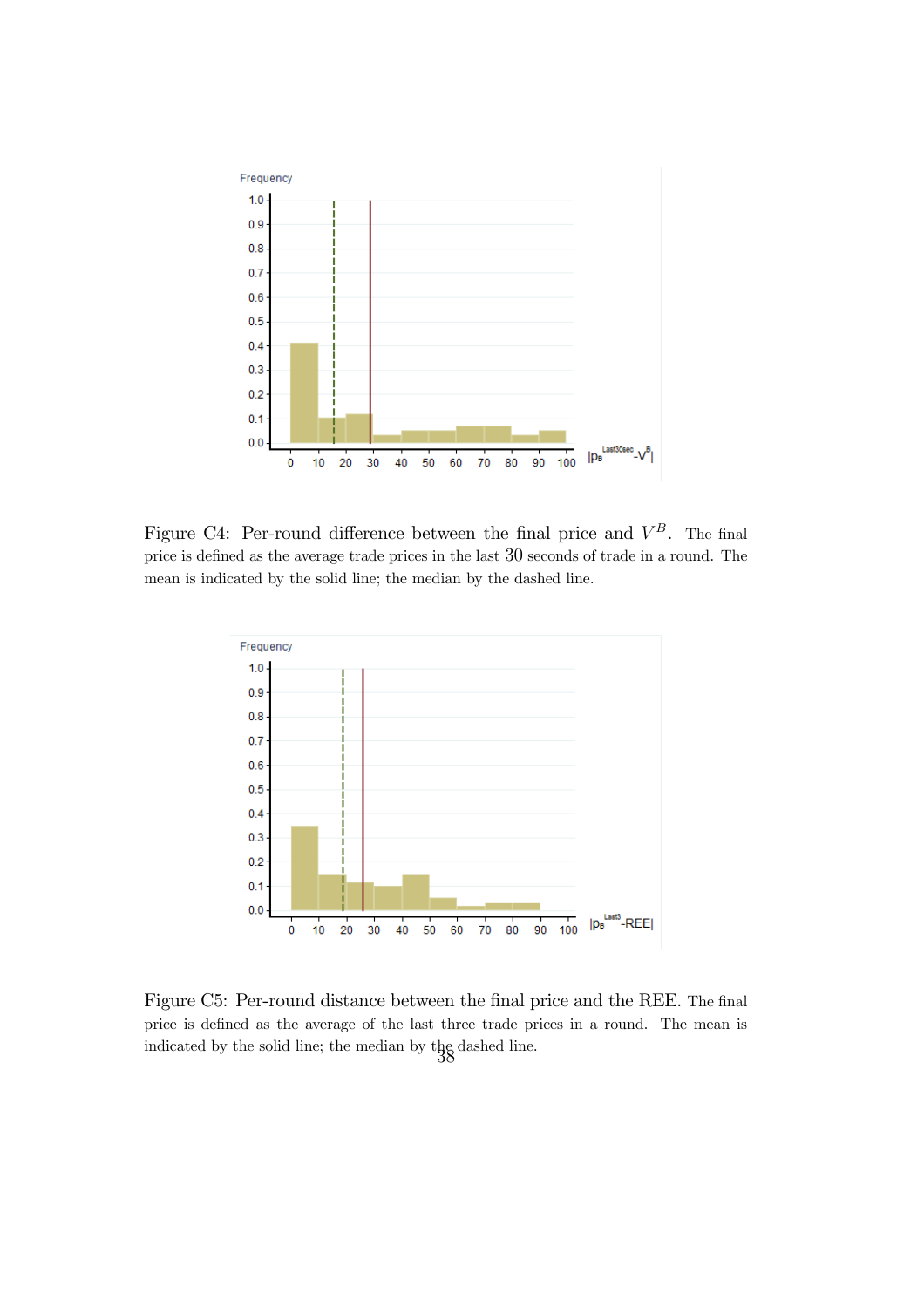

Figure C4: Per-round difference between the final price and  $V^B$ . The final price is defined as the average trade prices in the last  $30$  seconds of trade in a round. The mean is indicated by the solid line; the median by the dashed line.



Figure C5: Per-round distance between the final price and the REE. The final price is defined as the average of the last three trade prices in a round. The mean is indicated by the solid line; the median by the dashed line.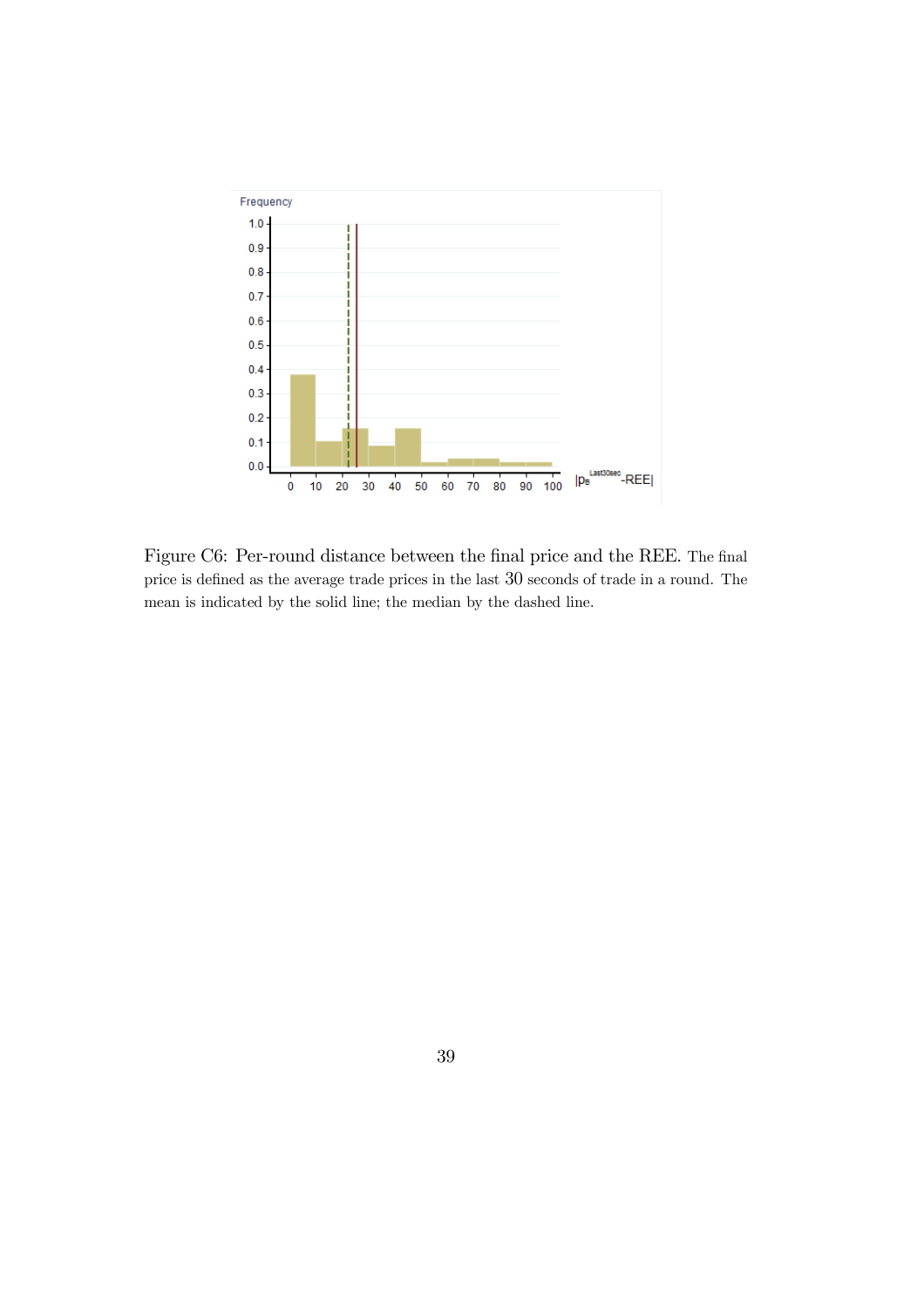

Figure C6: Per-round distance between the final price and the REE. The final price is defined as the average trade prices in the last  $30$  seconds of trade in a round. The mean is indicated by the solid line; the median by the dashed line.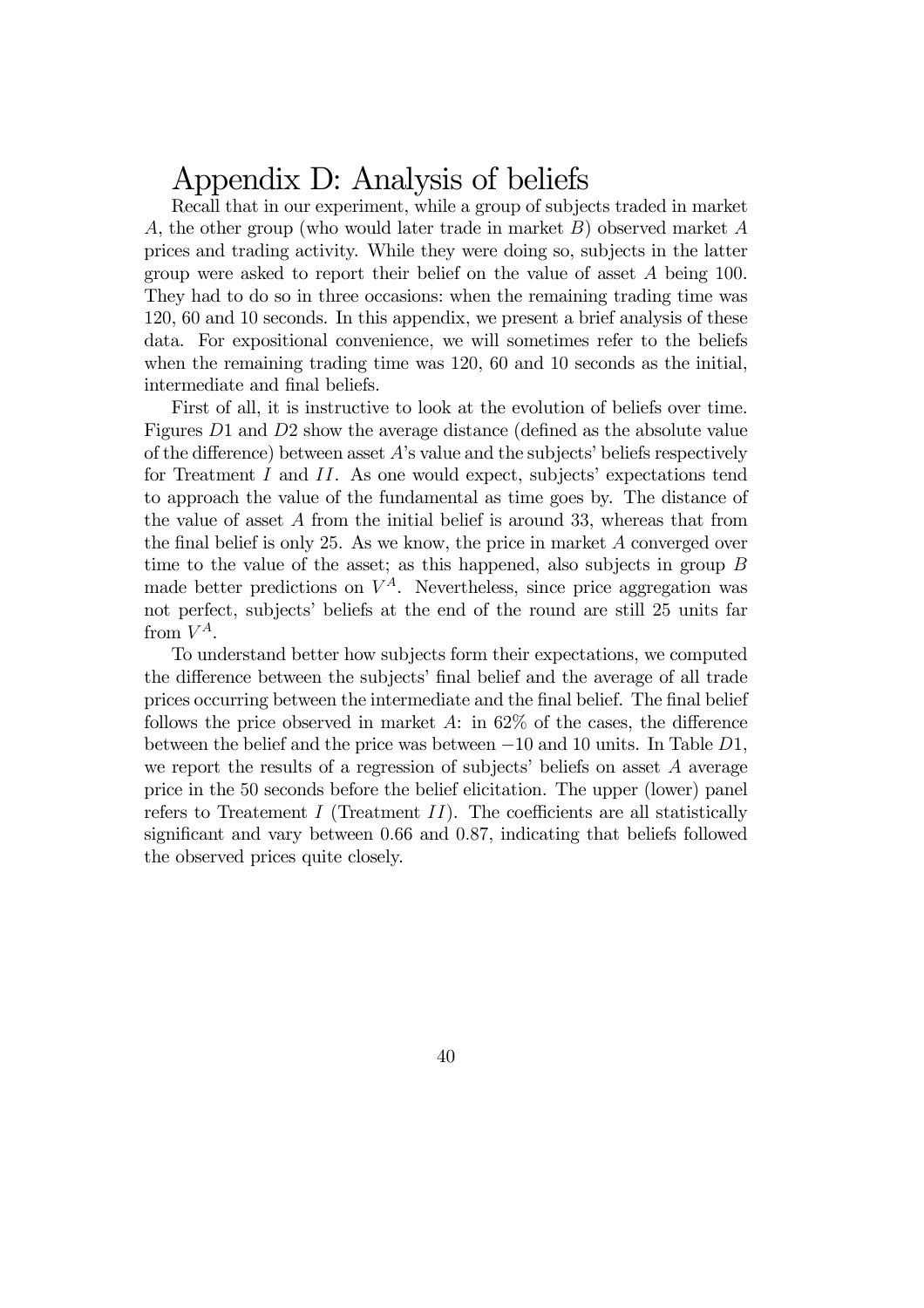# Appendix D: Analysis of beliefs

Recall that in our experiment, while a group of subjects traded in market A, the other group (who would later trade in market  $B$ ) observed market  $A$ prices and trading activity. While they were doing so, subjects in the latter group were asked to report their belief on the value of asset  $A$  being 100. They had to do so in three occasions: when the remaining trading time was 120, 60 and 10 seconds. In this appendix, we present a brief analysis of these data. For expositional convenience, we will sometimes refer to the beliefs when the remaining trading time was 120, 60 and 10 seconds as the initial, intermediate and final beliefs.

First of all, it is instructive to look at the evolution of beliefs over time. Figures  $D1$  and  $D2$  show the average distance (defined as the absolute value of the difference) between asset  $A$ 's value and the subjects' beliefs respectively for Treatment  $I$  and  $II$ . As one would expect, subjects' expectations tend to approach the value of the fundamental as time goes by. The distance of the value of asset  $A$  from the initial belief is around 33, whereas that from the final belief is only 25. As we know, the price in market  $A$  converged over time to the value of the asset; as this happened, also subjects in group  $B$ made better predictions on  $V^A$ . Nevertheless, since price aggregation was not perfect, subjects' beliefs at the end of the round are still 25 units far from  $V^A$ .

To understand better how subjects form their expectations, we computed the difference between the subjects' final belief and the average of all trade prices occurring between the intermediate and the final belief. The final belief follows the price observed in market  $A$ : in 62% of the cases, the difference between the belief and the price was between  $-10$  and 10 units. In Table  $D1$ , we report the results of a regression of subjects' beliefs on asset  $A$  average price in the 50 seconds before the belief elicitation. The upper (lower) panel refers to Treatement  $I$  (Treatment  $II$ ). The coefficients are all statistically significant and vary between 0.66 and 0.87, indicating that beliefs followed the observed prices quite closely.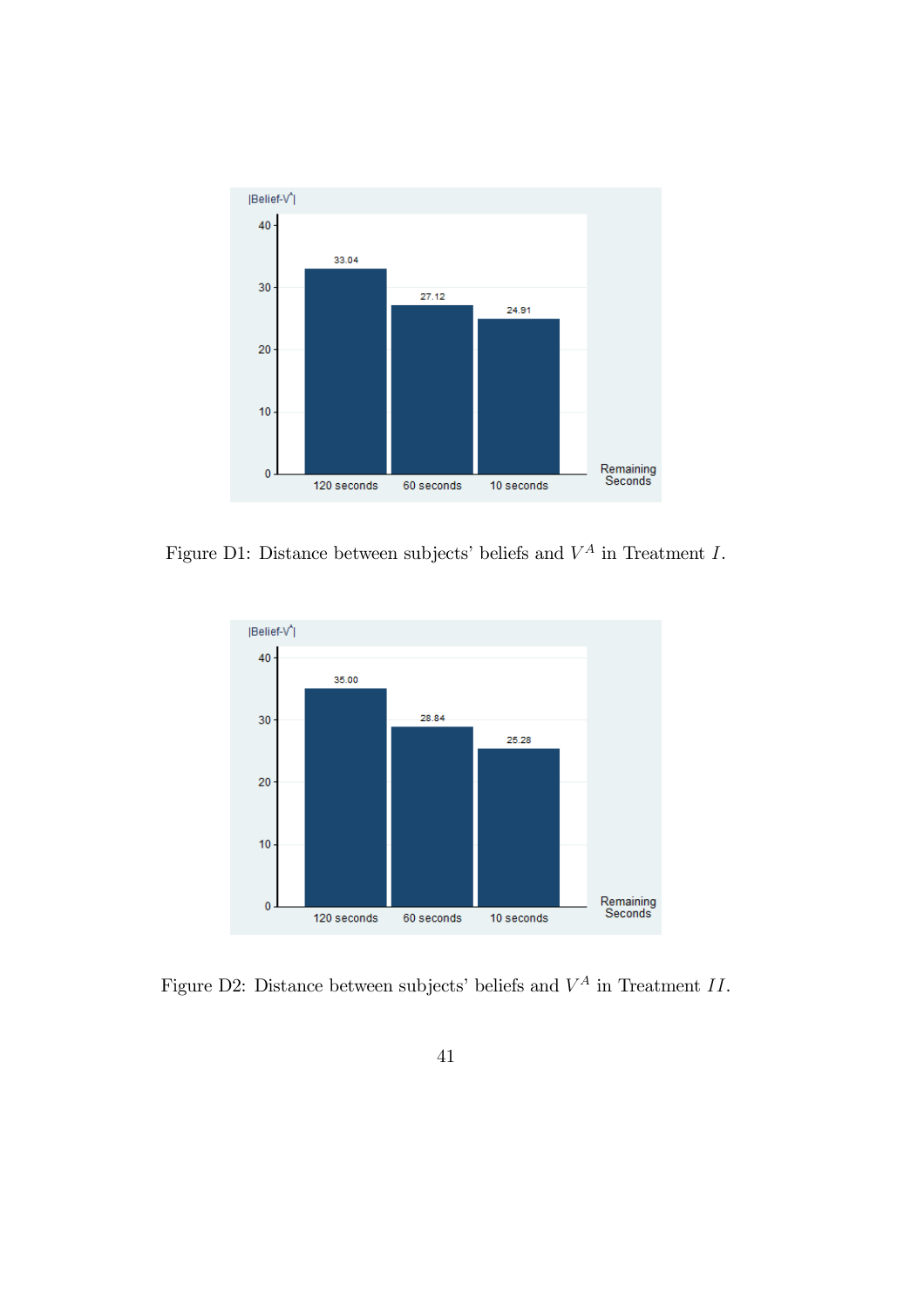

Figure D1: Distance between subjects' beliefs and  $V^A$  in Treatment I.



Figure D2: Distance between subjects' beliefs and  $V^A$  in Treatment II.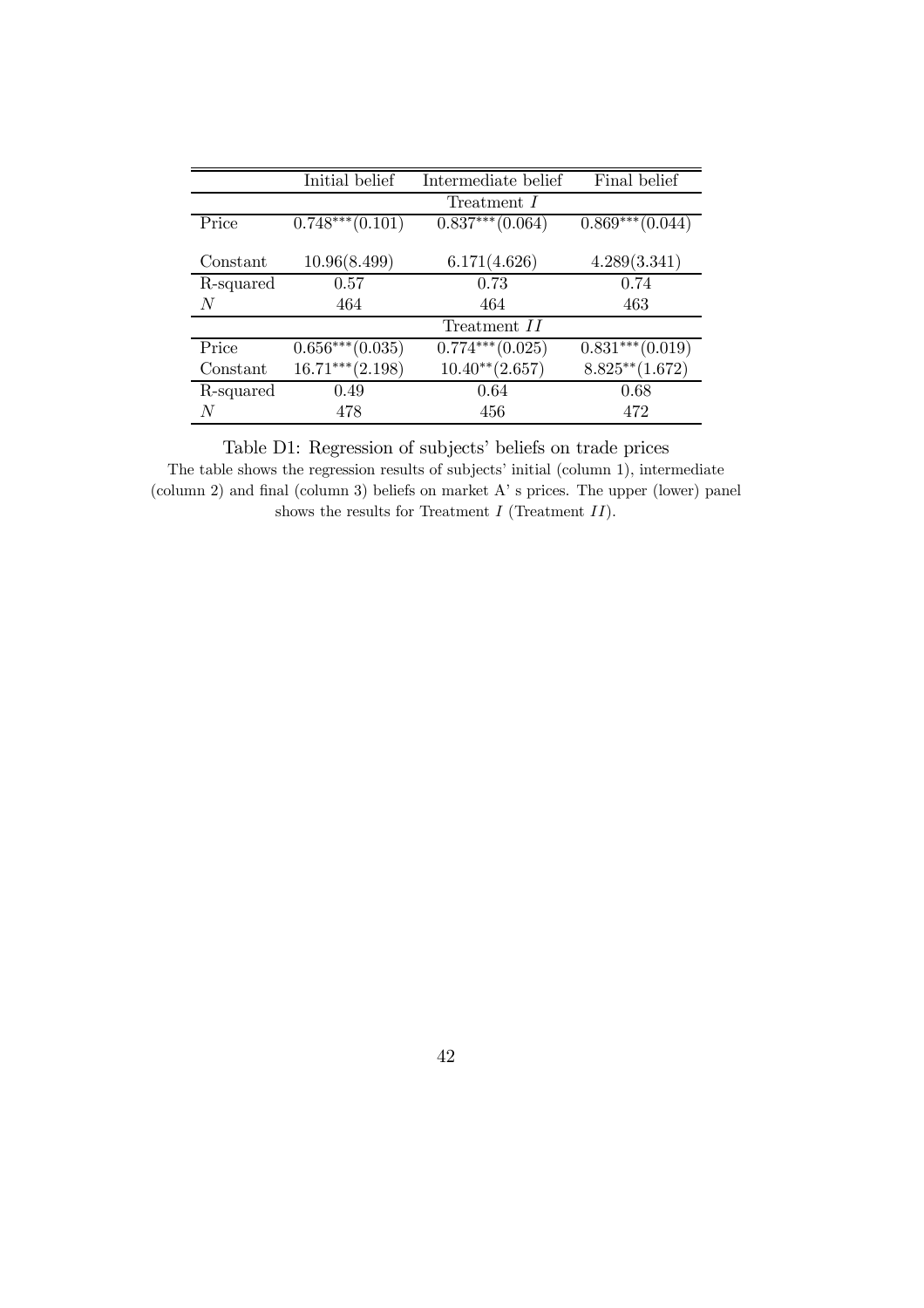|           | Initial belief     | Intermediate belief | Final belief      |
|-----------|--------------------|---------------------|-------------------|
|           |                    | Treatment I         |                   |
| Price     | $0.748***(0.101)$  | $0.837***(0.064)$   | $0.869***(0.044)$ |
|           |                    |                     |                   |
| Constant  | 10.96(8.499)       | 6.171(4.626)        | 4.289(3.341)      |
| R-squared | 0.57               | 0.73                | 0.74              |
| N         | 464                | 464                 | 463               |
|           |                    | Treatment II        |                   |
| Price     | $0.656***(0.035)$  | $0.774***$ (0.025)  | $0.831***(0.019)$ |
| Constant  | $16.71***$ (2.198) | $10.40**$ (2.657)   | $8.825**$ (1.672) |
| R-squared | 0.49               | 0.64                | 0.68              |
| N         | 478                | 456                 | 472               |
|           |                    |                     |                   |

Table D1: Regression of subjects' beliefs on trade prices The table shows the regression results of subjects' initial (column 1), intermediate (column 2) and final (column 3) beliefs on market A' s prices. The upper (lower) panel shows the results for Treatment  $I$  (Treatment  $II$ ).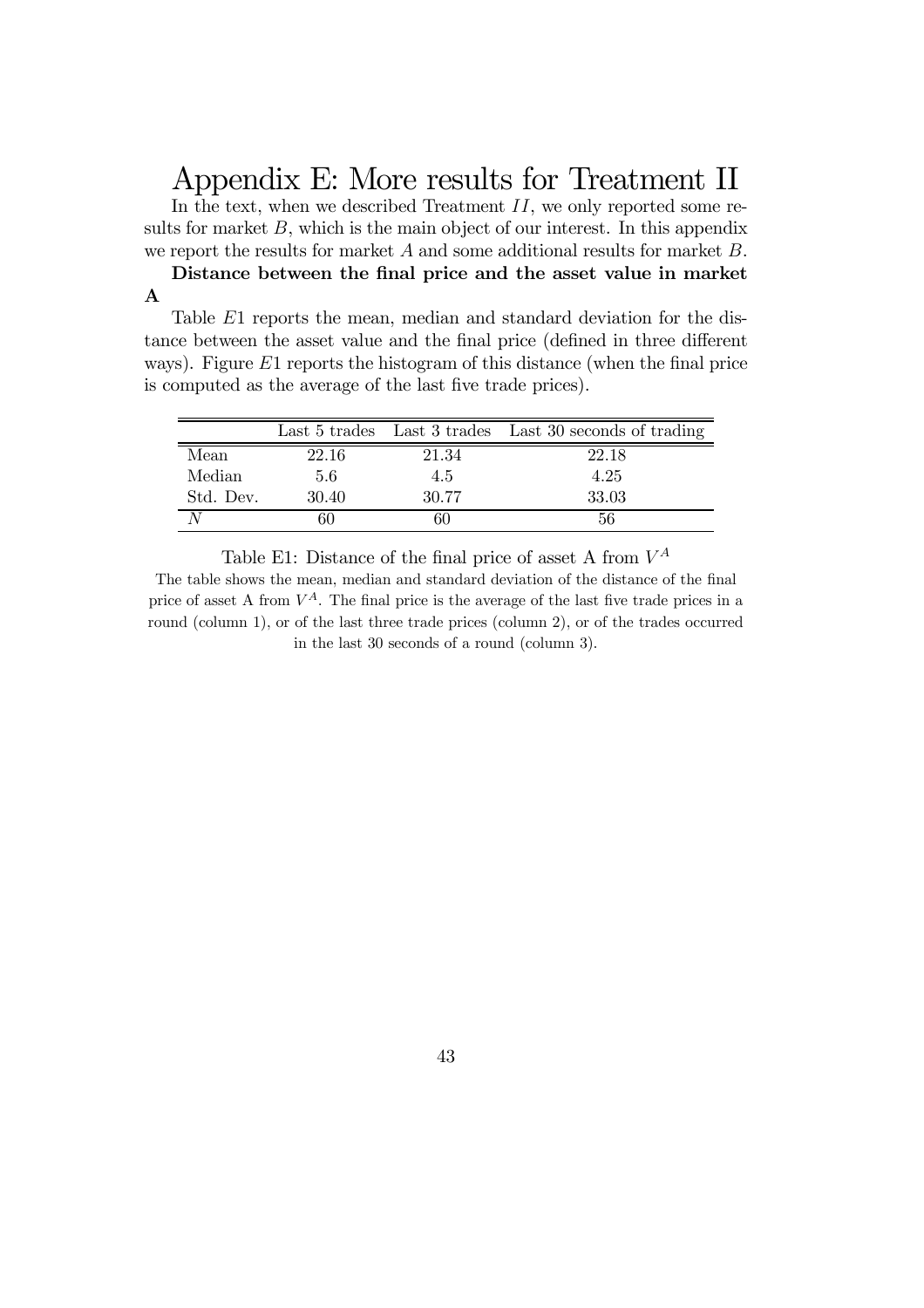# Appendix E: More results for Treatment II

In the text, when we described Treatment  $II$ , we only reported some results for market  $B$ , which is the main object of our interest. In this appendix we report the results for market  $A$  and some additional results for market  $B$ .

### Distance between the final price and the asset value in market A

Table  $E1$  reports the mean, median and standard deviation for the distance between the asset value and the final price (defined in three different ways). Figure  $E1$  reports the histogram of this distance (when the final price is computed as the average of the last five trade prices).

|           |       |       | Last 5 trades Last 3 trades Last 30 seconds of trading |
|-----------|-------|-------|--------------------------------------------------------|
| Mean      | 22.16 | 21.34 | 22.18                                                  |
| Median    | 5.6   | 4.5   | 4.25                                                   |
| Std. Dev. | 30.40 | 30.77 | 33.03                                                  |
|           | 60    | 60    | 56                                                     |

Table E1: Distance of the final price of asset A from  $V^A$ 

The table shows the mean, median and standard deviation of the distance of the final price of asset A from  $V^A$ . The final price is the average of the last five trade prices in a round (column 1), or of the last three trade prices (column 2), or of the trades occurred in the last 30 seconds of a round (column 3).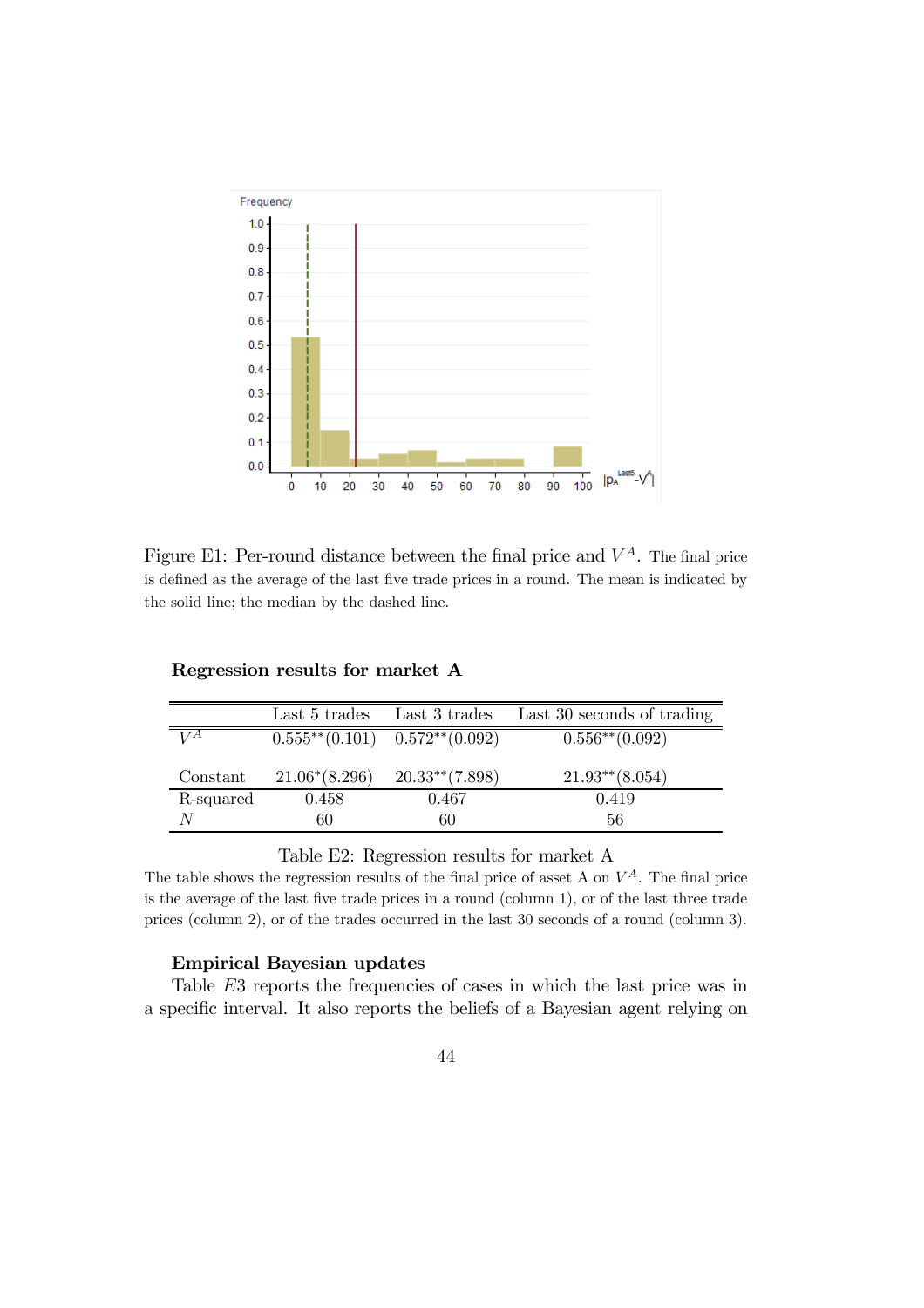

Figure E1: Per-round distance between the final price and  $V^A$ . The final price is defined as the average of the last five trade prices in a round. The mean is indicated by the solid line; the median by the dashed line.

|                 | Last 5 trades   | Last 3 trades                     | Last 30 seconds of trading |
|-----------------|-----------------|-----------------------------------|----------------------------|
| $\overline{V}A$ |                 | $0.555**(0.101)$ $0.572**(0.092)$ | $0.556**$ (0.092)          |
| Constant        | $21.06*(8.296)$ | $20.33**$ (7.898)                 | $21.93**$ (8.054)          |
| R-squared       | 0.458           | 0.467                             | 0.419                      |
| N               | 60              | 60                                | 56                         |

Regression results for market A

#### Table E2: Regression results for market A

The table shows the regression results of the final price of asset A on  $V^A$ . The final price is the average of the last five trade prices in a round (column 1), or of the last three trade prices (column 2), or of the trades occurred in the last 30 seconds of a round (column 3).

#### Empirical Bayesian updates

Table E3 reports the frequencies of cases in which the last price was in a specific interval. It also reports the beliefs of a Bayesian agent relying on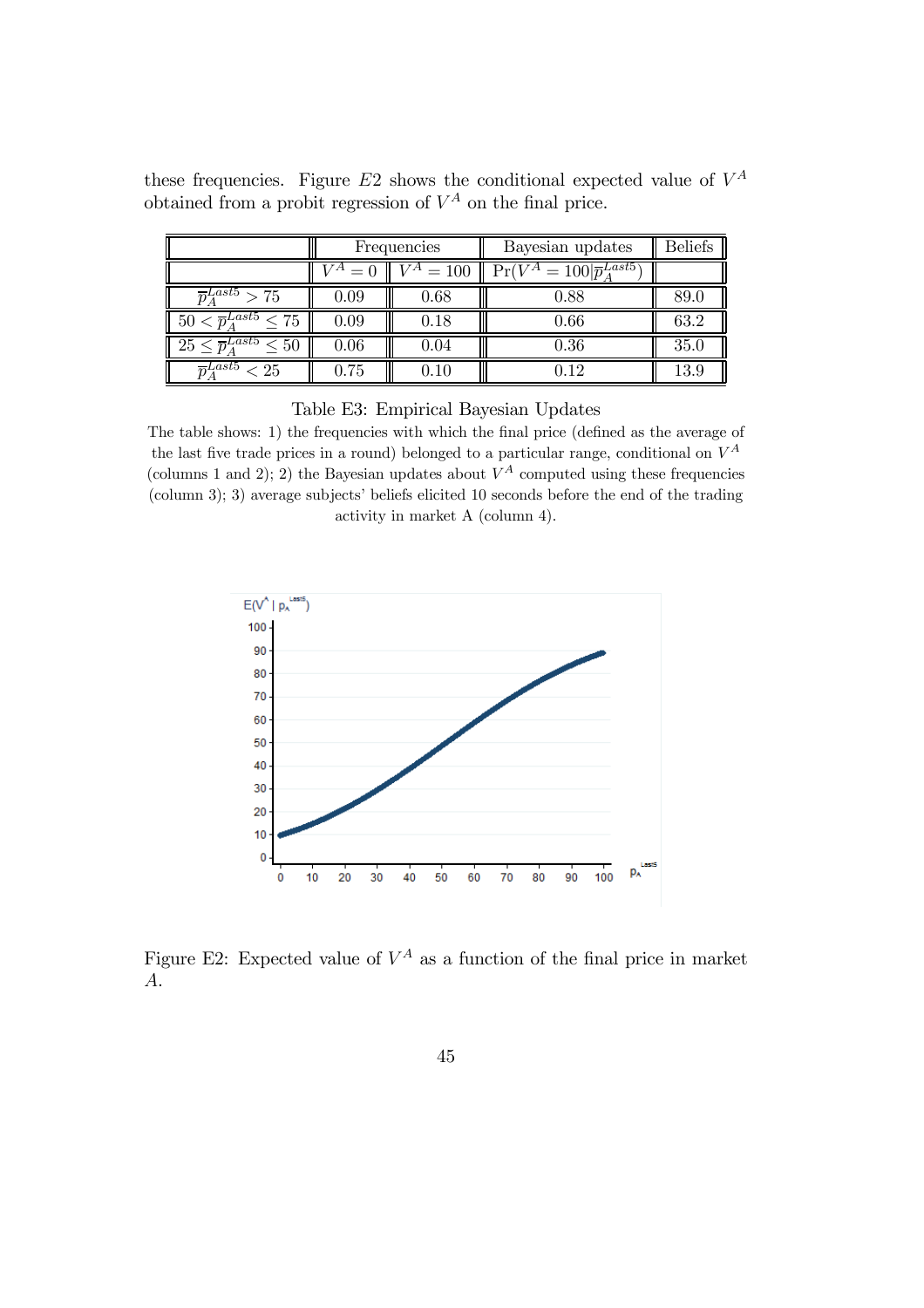|                                                    |      | Frequencies | Bayesian updates | <b>Beliefs</b> |
|----------------------------------------------------|------|-------------|------------------|----------------|
|                                                    |      | $=100$      | Last5            |                |
| $\overline{\eta}$ Last5<br>75                      | 0.09 | 0.68        | 0.88             | 89.0           |
| $_{last5}$<br>50<br>75                             | 0.09 | 0.18        | 0.66             | 63.2           |
| $_{last5}$<br>50<br>25                             | 0.06 | 0.04        | 0.36             | 35.0           |
| $\overline{n}$ <i>Last</i> <sub>5</sub><br>25<br>Α | 0.75 | $0.10\,$    | በ 19             | 13.9           |

these frequencies. Figure  $E2$  shows the conditional expected value of  $V^A$ obtained from a probit regression of  $V^A$  on the final price.

Table E3: Empirical Bayesian Updates

The table shows: 1) the frequencies with which the final price (defined as the average of the last five trade prices in a round) belonged to a particular range, conditional on  $V^A$ (columns 1 and 2); 2) the Bayesian updates about  $V^A$  computed using these frequencies (column 3); 3) average subjects' beliefs elicited 10 seconds before the end of the trading activity in market A (column 4).



Figure E2: Expected value of  $V^A$  as a function of the final price in market  $\overline{A}$ .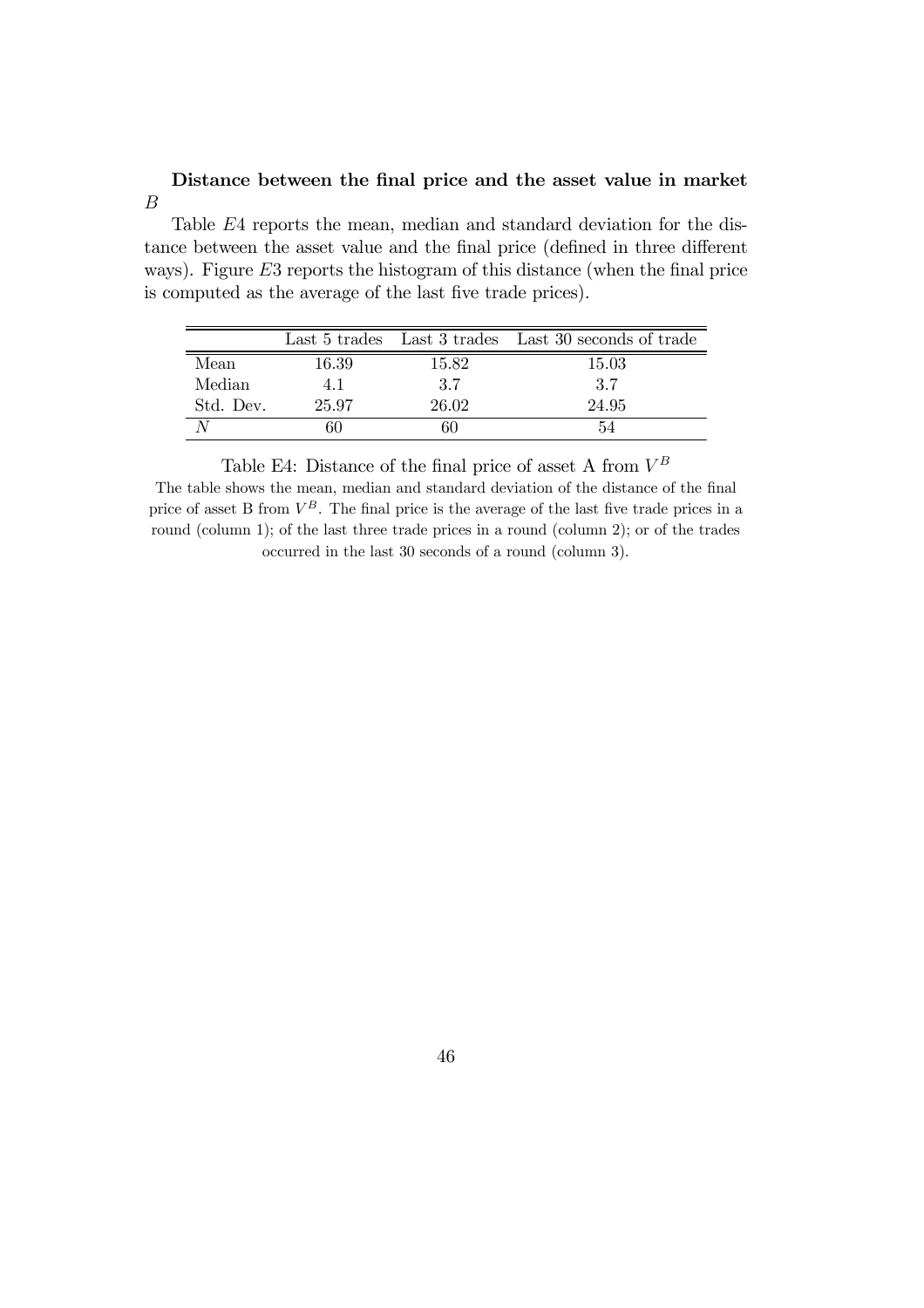## Distance between the final price and the asset value in market  $\boldsymbol{B}$

Table E4 reports the mean, median and standard deviation for the distance between the asset value and the final price (defined in three different ways). Figure  $E3$  reports the histogram of this distance (when the final price is computed as the average of the last five trade prices).

|           |       |       | Last 5 trades Last 3 trades Last 30 seconds of trade |
|-----------|-------|-------|------------------------------------------------------|
| Mean      | 16.39 | 15.82 | 15.03                                                |
| Median    | 4.1   | 3.7   | 3.7                                                  |
| Std. Dev. | 25.97 | 26.02 | 24.95                                                |
|           |       | 60    | 54                                                   |

Table E4: Distance of the final price of asset A from  $V^B$ The table shows the mean, median and standard deviation of the distance of the final

price of asset B from  $V^B$ . The final price is the average of the last five trade prices in a round (column 1); of the last three trade prices in a round (column 2); or of the trades occurred in the last 30 seconds of a round (column 3).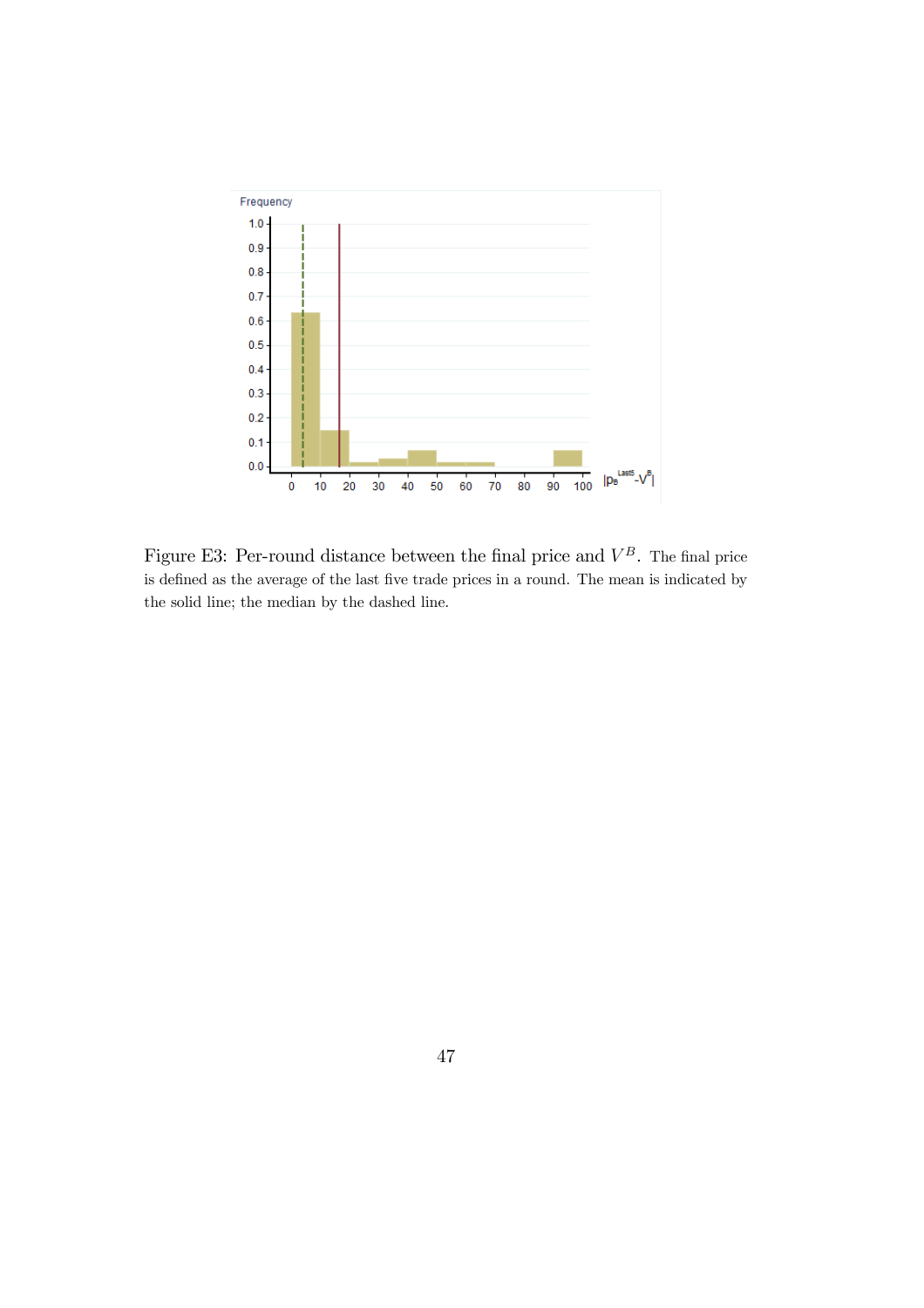

Figure E3: Per-round distance between the final price and  $V^B$ . The final price is defined as the average of the last five trade prices in a round. The mean is indicated by the solid line; the median by the dashed line.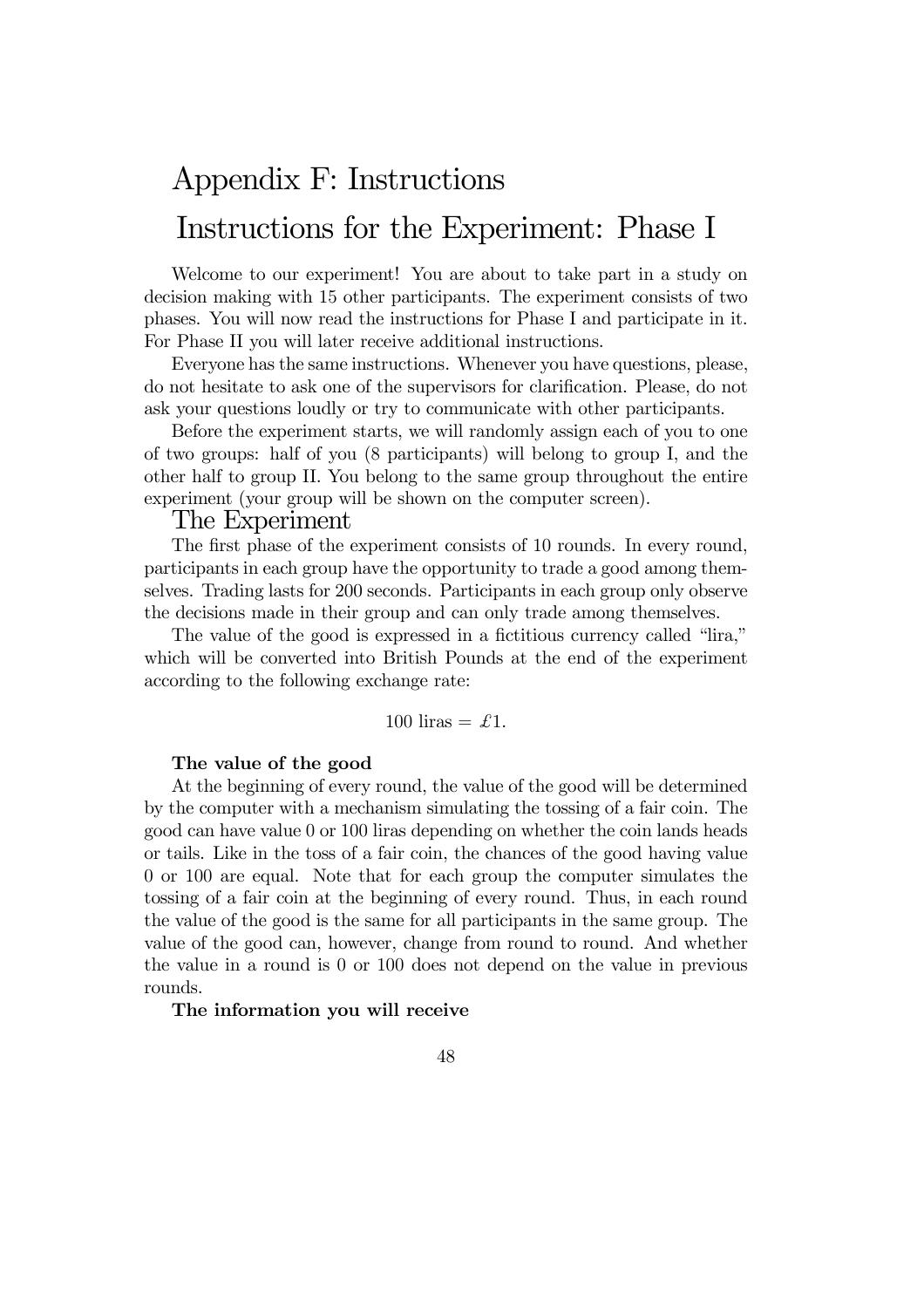# Appendix F: Instructions Instructions for the Experiment: Phase I

Welcome to our experiment! You are about to take part in a study on decision making with 15 other participants. The experiment consists of two phases. You will now read the instructions for Phase I and participate in it. For Phase II you will later receive additional instructions.

Everyone has the same instructions. Whenever you have questions, please, do not hesitate to ask one of the supervisors for clarification. Please, do not ask your questions loudly or try to communicate with other participants.

Before the experiment starts, we will randomly assign each of you to one of two groups: half of you (8 participants) will belong to group I, and the other half to group II. You belong to the same group throughout the entire experiment (your group will be shown on the computer screen).

### The Experiment

The first phase of the experiment consists of 10 rounds. In every round, participants in each group have the opportunity to trade a good among themselves. Trading lasts for 200 seconds. Participants in each group only observe the decisions made in their group and can only trade among themselves.

The value of the good is expressed in a fictitious currency called "lira," which will be converted into British Pounds at the end of the experiment according to the following exchange rate:

100 liras  $=$  £1.

#### The value of the good

At the beginning of every round, the value of the good will be determined by the computer with a mechanism simulating the tossing of a fair coin. The good can have value 0 or 100 liras depending on whether the coin lands heads or tails. Like in the toss of a fair coin, the chances of the good having value 0 or 100 are equal. Note that for each group the computer simulates the tossing of a fair coin at the beginning of every round. Thus, in each round the value of the good is the same for all participants in the same group. The value of the good can, however, change from round to round. And whether the value in a round is 0 or 100 does not depend on the value in previous rounds.

The information you will receive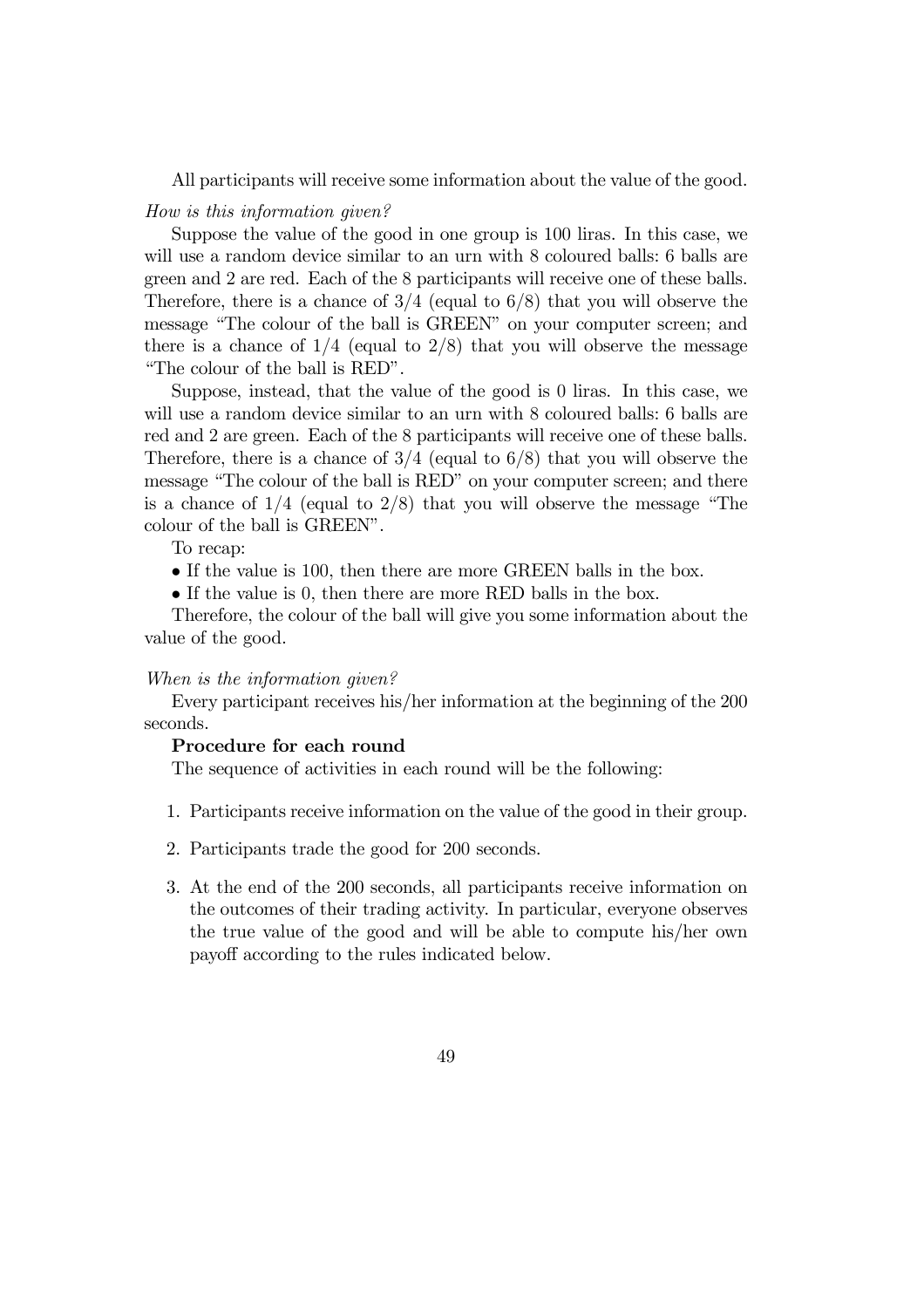All participants will receive some information about the value of the good.

#### *How is this information given?*

Suppose the value of the good in one group is 100 liras. In this case, we will use a random device similar to an urn with 8 coloured balls: 6 balls are green and 2 are red. Each of the 8 participants will receive one of these balls. Therefore, there is a chance of  $3/4$  (equal to  $6/8$ ) that you will observe the message "The colour of the ball is GREEN" on your computer screen; and there is a chance of  $1/4$  (equal to  $2/8$ ) that you will observe the message "The colour of the ball is RED".

Suppose, instead, that the value of the good is 0 liras. In this case, we will use a random device similar to an urn with 8 coloured balls: 6 balls are red and 2 are green. Each of the 8 participants will receive one of these balls. Therefore, there is a chance of  $3/4$  (equal to  $6/8$ ) that you will observe the message "The colour of the ball is RED" on your computer screen; and there is a chance of  $1/4$  (equal to  $2/8$ ) that you will observe the message "The colour of the ball is GREEN".

To recap:

• If the value is 100, then there are more GREEN balls in the box.

• If the value is 0, then there are more RED balls in the box.

Therefore, the colour of the ball will give you some information about the value of the good.

#### *When is the information given?*

Every participant receives his/her information at the beginning of the 200 seconds.

#### Procedure for each round

The sequence of activities in each round will be the following:

- 1. Participants receive information on the value of the good in their group.
- 2. Participants trade the good for 200 seconds.
- 3. At the end of the 200 seconds, all participants receive information on the outcomes of their trading activity. In particular, everyone observes the true value of the good and will be able to compute his/her own payoff according to the rules indicated below.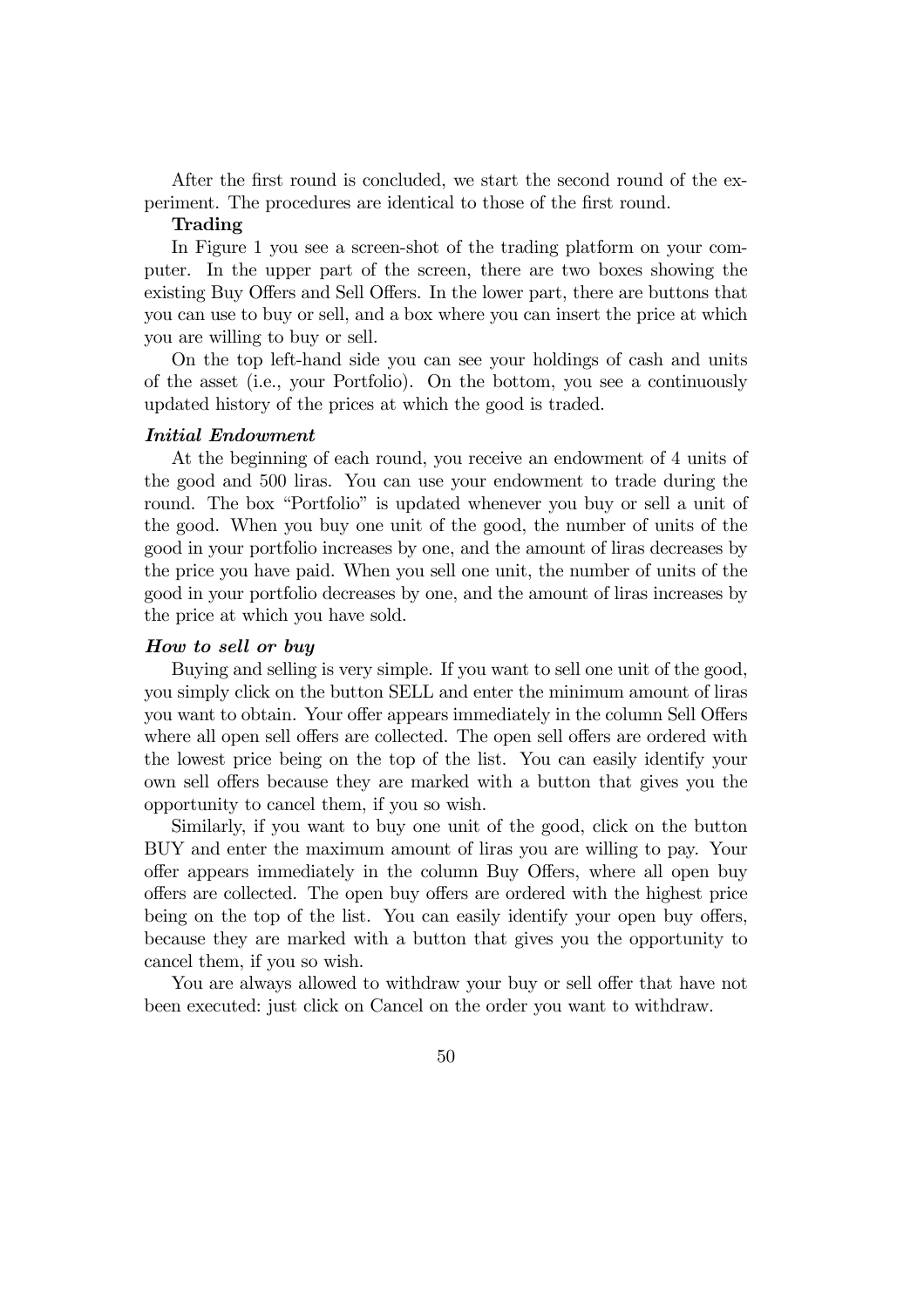After the first round is concluded, we start the second round of the experiment. The procedures are identical to those of the first round.

#### Trading

In Figure 1 you see a screen-shot of the trading platform on your computer. In the upper part of the screen, there are two boxes showing the existing Buy Offers and Sell Offers. In the lower part, there are buttons that you can use to buy or sell, and a box where you can insert the price at which you are willing to buy or sell.

On the top left-hand side you can see your holdings of cash and units of the asset (i.e., your Portfolio). On the bottom, you see a continuously updated history of the prices at which the good is traded.

#### *Initial Endowment*

At the beginning of each round, you receive an endowment of 4 units of the good and 500 liras. You can use your endowment to trade during the round. The box "Portfolio" is updated whenever you buy or sell a unit of the good. When you buy one unit of the good, the number of units of the good in your portfolio increases by one, and the amount of liras decreases by the price you have paid. When you sell one unit, the number of units of the good in your portfolio decreases by one, and the amount of liras increases by the price at which you have sold.

#### *How to sell or buy*

Buying and selling is very simple. If you want to sell one unit of the good, you simply click on the button SELL and enter the minimum amount of liras you want to obtain. Your offer appears immediately in the column Sell Offers where all open sell offers are collected. The open sell offers are ordered with the lowest price being on the top of the list. You can easily identify your own sell offers because they are marked with a button that gives you the opportunity to cancel them, if you so wish.

Similarly, if you want to buy one unit of the good, click on the button BUY and enter the maximum amount of liras you are willing to pay. Your offer appears immediately in the column Buy Offers, where all open buy offers are collected. The open buy offers are ordered with the highest price being on the top of the list. You can easily identify your open buy offers, because they are marked with a button that gives you the opportunity to cancel them, if you so wish.

You are always allowed to withdraw your buy or sell offer that have not been executed: just click on Cancel on the order you want to withdraw.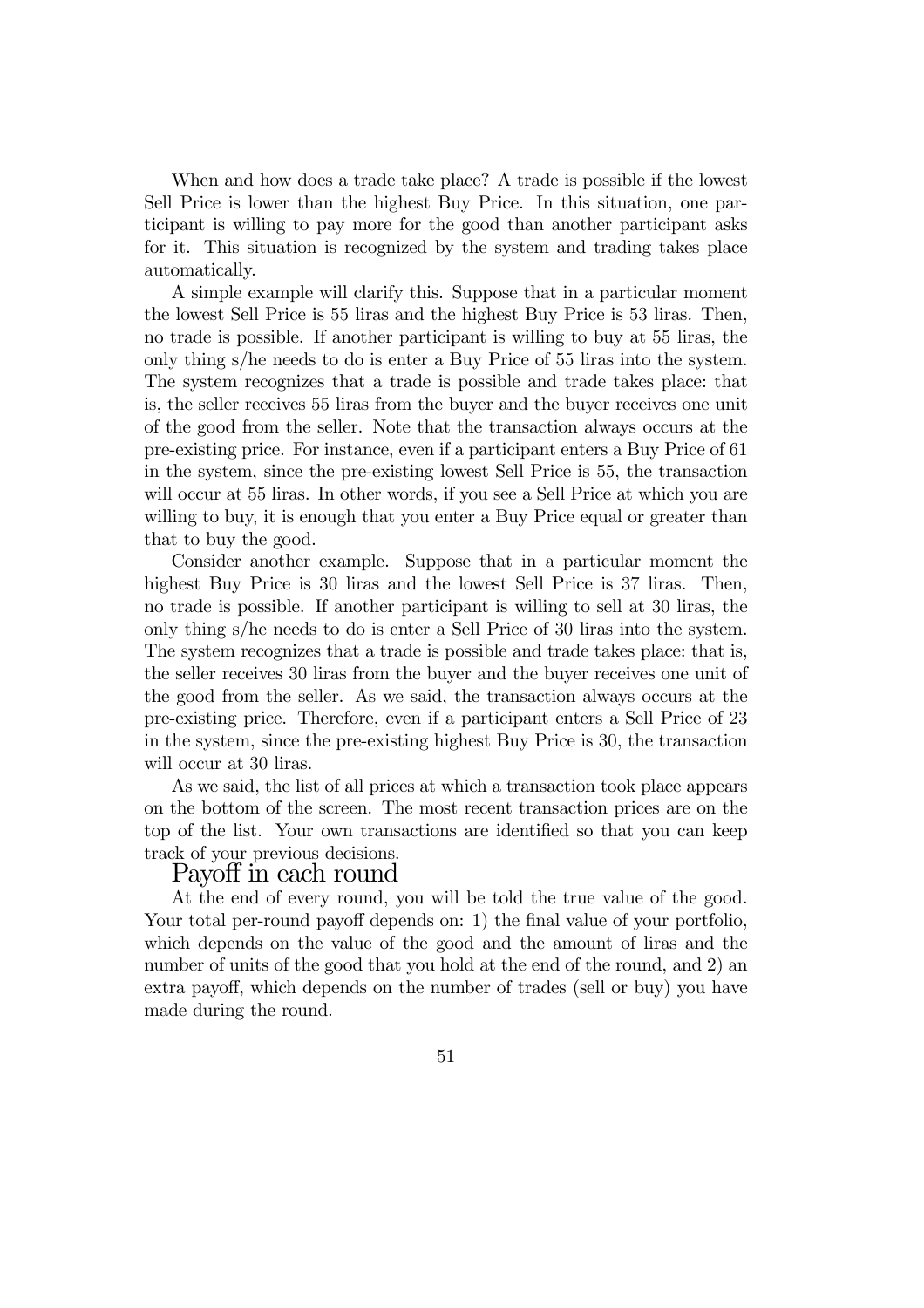When and how does a trade take place? A trade is possible if the lowest Sell Price is lower than the highest Buy Price. In this situation, one participant is willing to pay more for the good than another participant asks for it. This situation is recognized by the system and trading takes place automatically.

A simple example will clarify this. Suppose that in a particular moment the lowest Sell Price is 55 liras and the highest Buy Price is 53 liras. Then, no trade is possible. If another participant is willing to buy at 55 liras, the only thing s/he needs to do is enter a Buy Price of 55 liras into the system. The system recognizes that a trade is possible and trade takes place: that is, the seller receives 55 liras from the buyer and the buyer receives one unit of the good from the seller. Note that the transaction always occurs at the pre-existing price. For instance, even if a participant enters a Buy Price of 61 in the system, since the pre-existing lowest Sell Price is 55, the transaction will occur at 55 liras. In other words, if you see a Sell Price at which you are willing to buy, it is enough that you enter a Buy Price equal or greater than that to buy the good.

Consider another example. Suppose that in a particular moment the highest Buy Price is 30 liras and the lowest Sell Price is 37 liras. Then, no trade is possible. If another participant is willing to sell at 30 liras, the only thing s/he needs to do is enter a Sell Price of 30 liras into the system. The system recognizes that a trade is possible and trade takes place: that is, the seller receives 30 liras from the buyer and the buyer receives one unit of the good from the seller. As we said, the transaction always occurs at the pre-existing price. Therefore, even if a participant enters a Sell Price of 23 in the system, since the pre-existing highest Buy Price is 30, the transaction will occur at 30 liras.

As we said, the list of all prices at which a transaction took place appears on the bottom of the screen. The most recent transaction prices are on the top of the list. Your own transactions are identified so that you can keep track of your previous decisions.

### Payoff in each round

At the end of every round, you will be told the true value of the good. Your total per-round payoff depends on: 1) the final value of your portfolio, which depends on the value of the good and the amount of liras and the number of units of the good that you hold at the end of the round, and 2) an extra payoff, which depends on the number of trades (sell or buy) you have made during the round.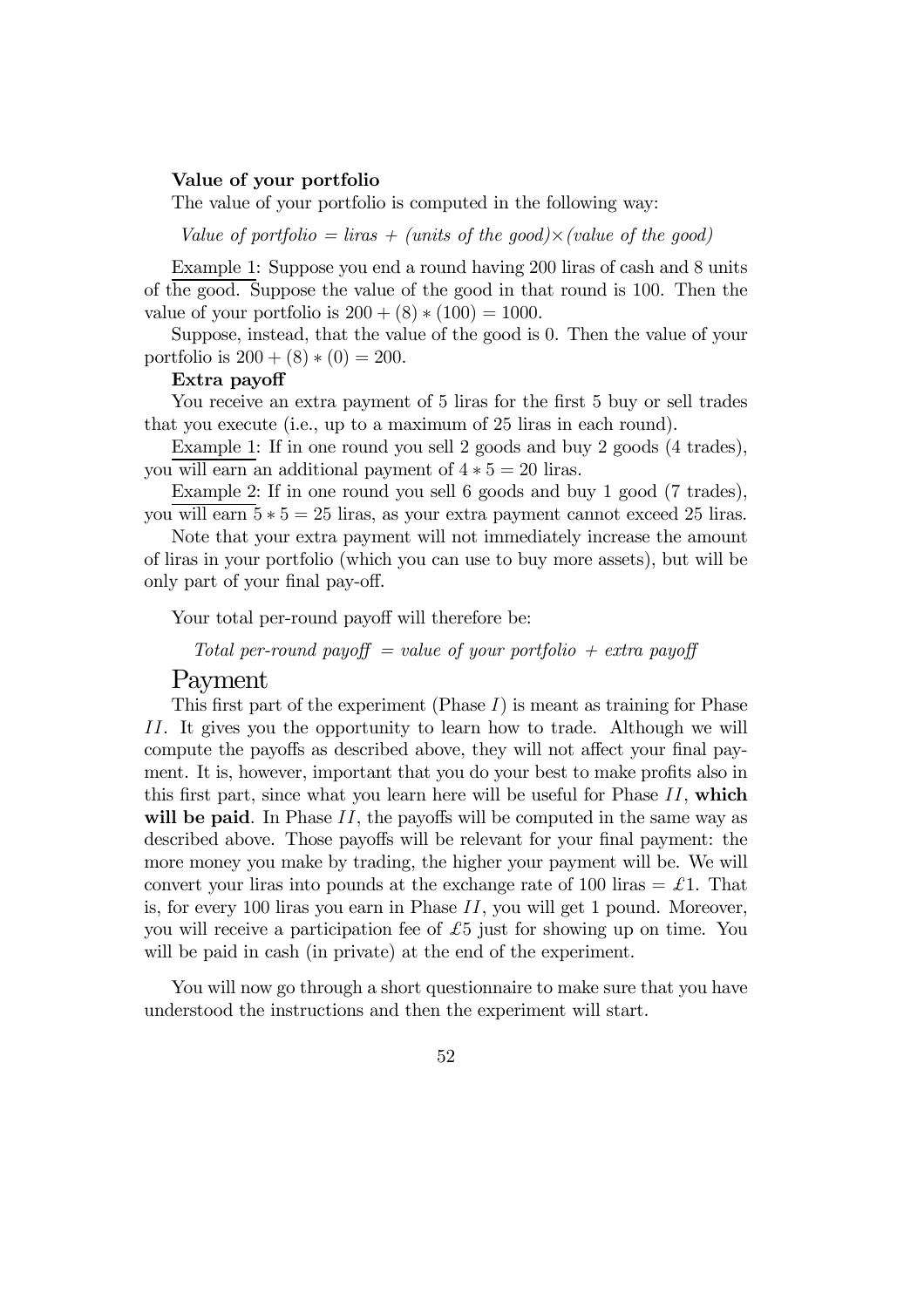#### Value of your portfolio

The value of your portfolio is computed in the following way:

*Value of portfolio = liras + (units of the good)* $\times$  *(value of the good)* 

Example 1: Suppose you end a round having 200 liras of cash and 8 units of the good. Suppose the value of the good in that round is 100. Then the value of your portfolio is  $200 + (8) * (100) = 1000$ .

Suppose, instead, that the value of the good is 0. Then the value of your portfolio is  $200 + (8) * (0) = 200$ .

#### Extra payoff

You receive an extra payment of 5 liras for the first 5 buy or sell trades that you execute (i.e., up to a maximum of 25 liras in each round).

Example 1: If in one round you sell 2 goods and buy 2 goods (4 trades), you will earn an additional payment of  $4 * 5 = 20$  liras.

Example 2: If in one round you sell 6 goods and buy 1 good (7 trades), you will earn  $5 * 5 = 25$  liras, as your extra payment cannot exceed 25 liras.

Note that your extra payment will not immediately increase the amount of liras in your portfolio (which you can use to buy more assets), but will be only part of your final pay-off.

Your total per-round payoff will therefore be:

#### *Total per-round payoff = value of your portfolio + extra payoff*

#### Payment

This first part of the experiment (Phase  $I$ ) is meant as training for Phase . It gives you the opportunity to learn how to trade. Although we will compute the payoffs as described above, they will not affect your final payment. It is, however, important that you do your best to make profits also in this first part, since what you learn here will be useful for Phase  $II$ , which will be paid. In Phase  $II$ , the payoffs will be computed in the same way as described above. Those payoffs will be relevant for your final payment: the more money you make by trading, the higher your payment will be. We will convert your liras into pounds at the exchange rate of 100 liras  $= \pounds$ 1. That is, for every 100 liras you earn in Phase  $II$ , you will get 1 pound. Moreover, you will receive a participation fee of  $\mathcal{L}5$  just for showing up on time. You will be paid in cash (in private) at the end of the experiment.

You will now go through a short questionnaire to make sure that you have understood the instructions and then the experiment will start.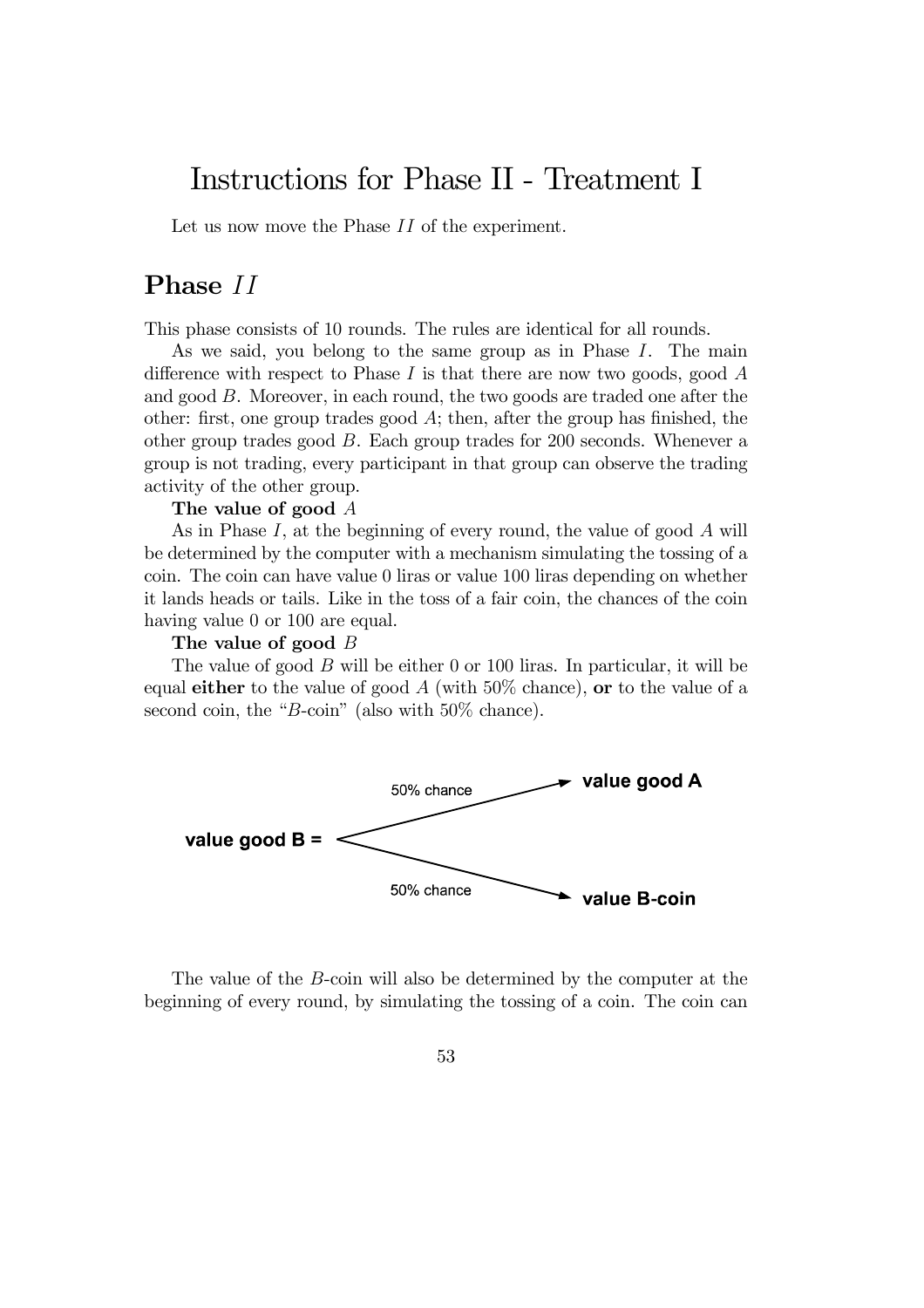# Instructions for Phase II - Treatment I

Let us now move the Phase  $II$  of the experiment.

# Phase  $II$

This phase consists of 10 rounds. The rules are identical for all rounds.

As we said, you belong to the same group as in Phase  $I$ . The main difference with respect to Phase  $I$  is that there are now two goods, good  $A$ and good  $B$ . Moreover, in each round, the two goods are traded one after the other: first, one group trades good  $A$ ; then, after the group has finished, the other group trades good  $B$ . Each group trades for 200 seconds. Whenever a group is not trading, every participant in that group can observe the trading activity of the other group.

#### The value of good  $A$

As in Phase  $I$ , at the beginning of every round, the value of good  $A$  will be determined by the computer with a mechanism simulating the tossing of a coin. The coin can have value 0 liras or value 100 liras depending on whether it lands heads or tails. Like in the toss of a fair coin, the chances of the coin having value 0 or 100 are equal.

#### The value of good  $B$

The value of good  $B$  will be either 0 or 100 liras. In particular, it will be equal **either** to the value of good A (with  $50\%$  chance), or to the value of a second coin, the " $B$ -coin" (also with 50% chance).



The value of the  $B$ -coin will also be determined by the computer at the beginning of every round, by simulating the tossing of a coin. The coin can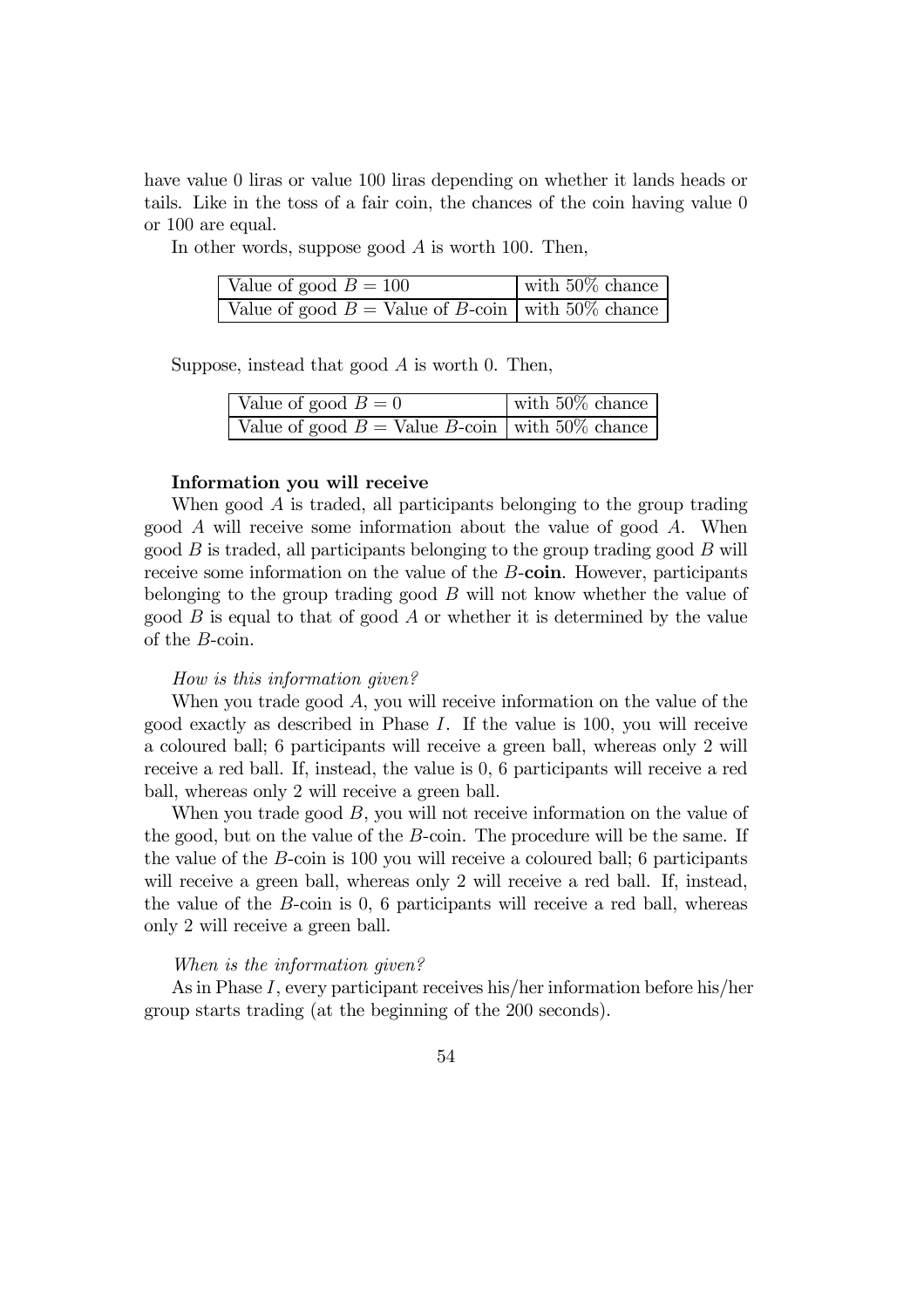have value 0 liras or value 100 liras depending on whether it lands heads or tails. Like in the toss of a fair coin, the chances of the coin having value 0 or 100 are equal.

In other words, suppose good  $A$  is worth 100. Then,

| Value of good $B = 100$                             | with $50\%$ chance |
|-----------------------------------------------------|--------------------|
| Value of good $B =$ Value of B-coin with 50% chance |                    |

Suppose, instead that good  $A$  is worth 0. Then,

| Value of good $B=0$                              | with $50\%$ chance |
|--------------------------------------------------|--------------------|
| Value of good $B =$ Value B-coin with 50% chance |                    |

#### Information you will receive

When good  $\tilde{A}$  is traded, all participants belonging to the group trading good  $A$  will receive some information about the value of good  $A$ . When good  $B$  is traded, all participants belonging to the group trading good  $B$  will receive some information on the value of the  $B$ -coin. However, participants belonging to the group trading good  $B$  will not know whether the value of good  $B$  is equal to that of good  $A$  or whether it is determined by the value of the  $B$ -coin.

#### *How is this information given?*

When you trade good  $A$ , you will receive information on the value of the good exactly as described in Phase  $I$ . If the value is 100, you will receive a coloured ball; 6 participants will receive a green ball, whereas only 2 will receive a red ball. If, instead, the value is 0, 6 participants will receive a red ball, whereas only 2 will receive a green ball.

When you trade good  $B$ , you will not receive information on the value of the good, but on the value of the  $B$ -coin. The procedure will be the same. If the value of the  $B$ -coin is 100 you will receive a coloured ball; 6 participants will receive a green ball, whereas only 2 will receive a red ball. If, instead, the value of the  $B$ -coin is 0, 6 participants will receive a red ball, whereas only 2 will receive a green ball.

#### *When is the information given?*

As in Phase  $I$ , every participant receives his/her information before his/her group starts trading (at the beginning of the 200 seconds).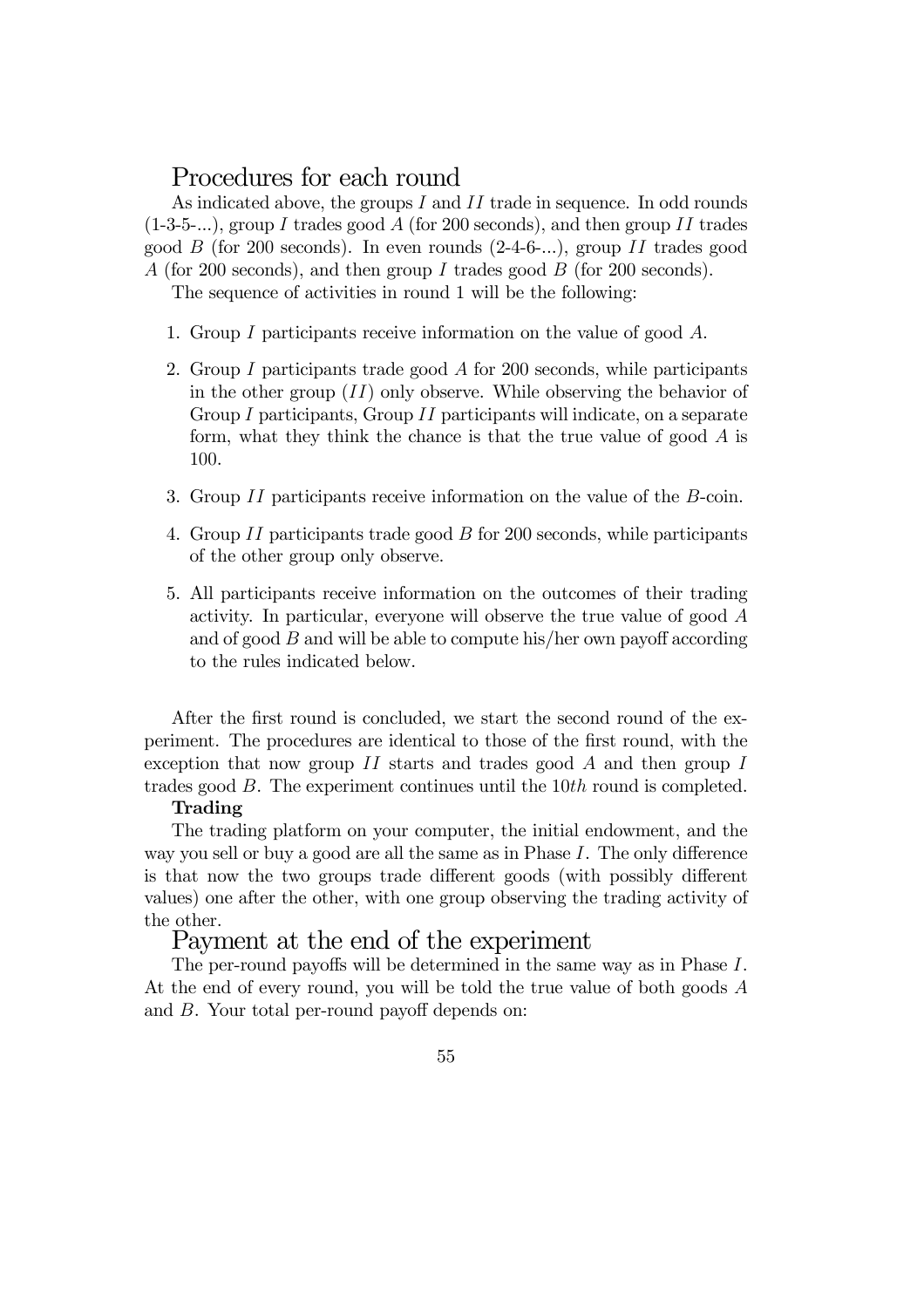## Procedures for each round

As indicated above, the groups  $I$  and  $II$  trade in sequence. In odd rounds  $(1-3-5-...)$ , group I trades good A (for 200 seconds), and then group II trades good  $B$  (for 200 seconds). In even rounds  $(2-4-6-...)$ , group  $II$  trades good  $\hat{A}$  (for 200 seconds), and then group I trades good  $\hat{B}$  (for 200 seconds).

The sequence of activities in round 1 will be the following:

- 1. Group  $I$  participants receive information on the value of good  $A$ .
- 2. Group I participants trade good A for 200 seconds, while participants in the other group  $(II)$  only observe. While observing the behavior of Group  $I$  participants, Group  $II$  participants will indicate, on a separate form, what they think the chance is that the true value of good  $A$  is 100.
- 3. Group  $II$  participants receive information on the value of the  $B$ -coin.
- 4. Group  $II$  participants trade good  $B$  for 200 seconds, while participants of the other group only observe.
- 5. All participants receive information on the outcomes of their trading activity. In particular, everyone will observe the true value of good  $A$ and of good  $B$  and will be able to compute his/her own payoff according to the rules indicated below.

After the first round is concluded, we start the second round of the experiment. The procedures are identical to those of the first round, with the exception that now group  $II$  starts and trades good  $A$  and then group  $I$ trades good  $B$ . The experiment continues until the  $10th$  round is completed.

#### Trading

The trading platform on your computer, the initial endowment, and the way you sell or buy a good are all the same as in Phase  $I$ . The only difference is that now the two groups trade different goods (with possibly different values) one after the other, with one group observing the trading activity of the other.

## Payment at the end of the experiment

The per-round payoffs will be determined in the same way as in Phase  $I$ . At the end of every round, you will be told the true value of both goods A and  $B$ . Your total per-round payoff depends on: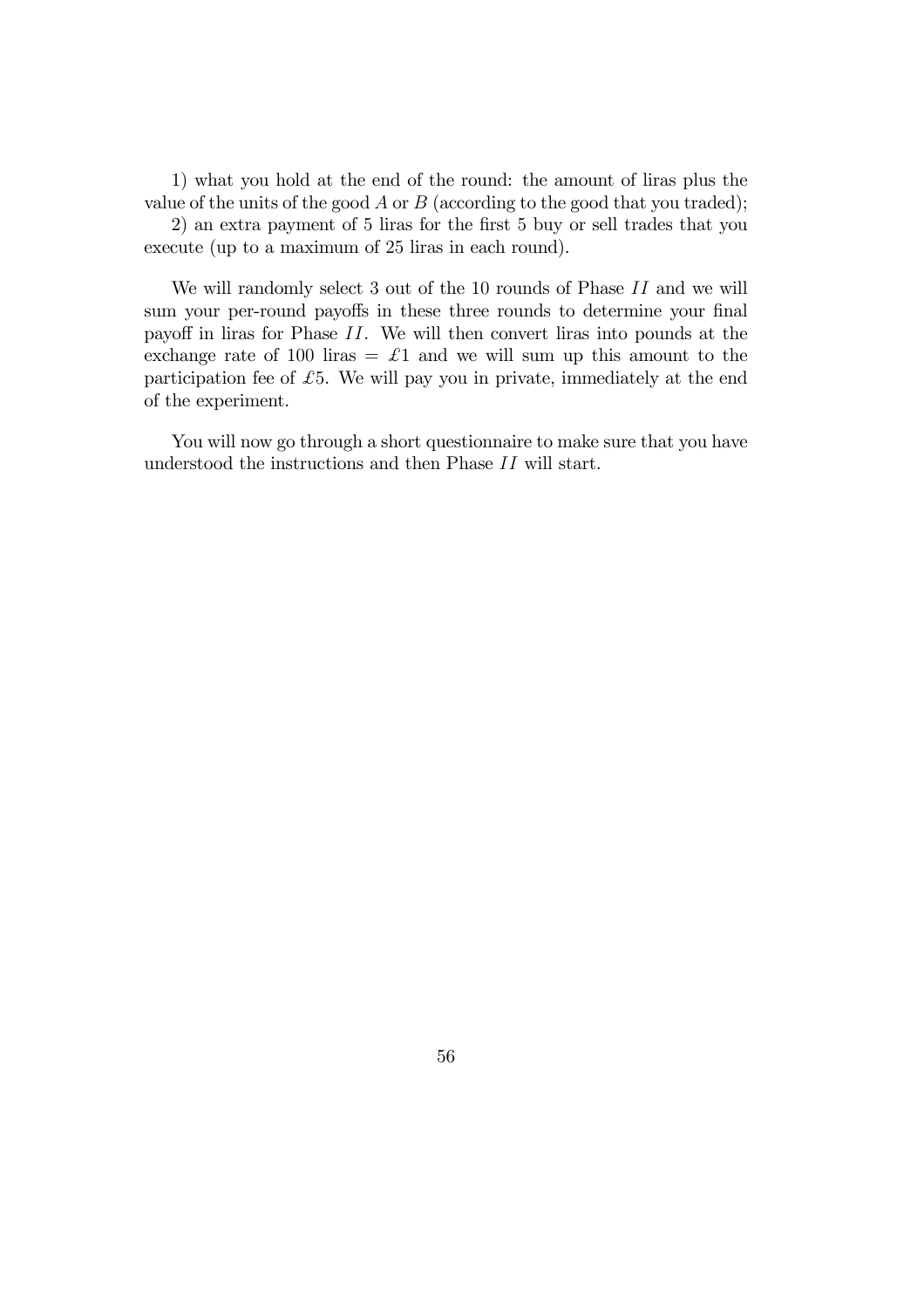1) what you hold at the end of the round: the amount of liras plus the value of the units of the good  $A$  or  $B$  (according to the good that you traded);

2) an extra payment of 5 liras for the first 5 buy or sell trades that you execute (up to a maximum of 25 liras in each round).

We will randomly select 3 out of the 10 rounds of Phase  $II$  and we will sum your per-round payoffs in these three rounds to determine your final payoff in liras for Phase  $II$ . We will then convert liras into pounds at the exchange rate of 100 liras =  $\pounds$ 1 and we will sum up this amount to the participation fee of  $\mathcal{L}5$ . We will pay you in private, immediately at the end of the experiment.

You will now go through a short questionnaire to make sure that you have understood the instructions and then Phase  $II$  will start.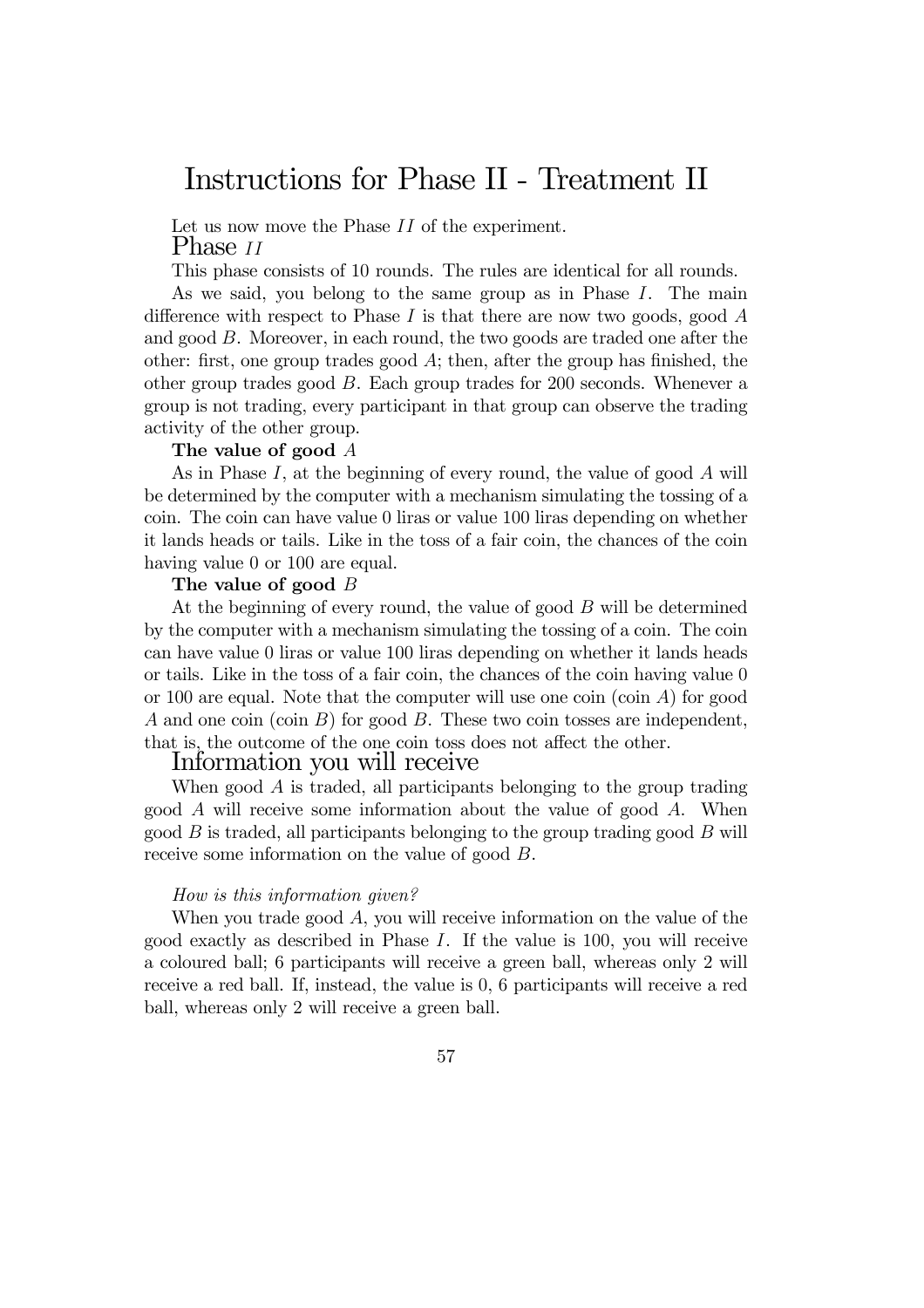# Instructions for Phase II - Treatment II

Let us now move the Phase  $II$  of the experiment. Phase  $II$ 

This phase consists of 10 rounds. The rules are identical for all rounds.

As we said, you belong to the same group as in Phase  $I$ . The main difference with respect to Phase  $I$  is that there are now two goods, good  $A$ and good  $B$ . Moreover, in each round, the two goods are traded one after the other: first, one group trades good  $A$ ; then, after the group has finished, the other group trades good  $B$ . Each group trades for 200 seconds. Whenever a group is not trading, every participant in that group can observe the trading activity of the other group.

#### The value of good  $A$

As in Phase  $I$ , at the beginning of every round, the value of good  $A$  will be determined by the computer with a mechanism simulating the tossing of a coin. The coin can have value 0 liras or value 100 liras depending on whether it lands heads or tails. Like in the toss of a fair coin, the chances of the coin having value 0 or 100 are equal.

#### The value of good  $B$

At the beginning of every round, the value of good  $B$  will be determined by the computer with a mechanism simulating the tossing of a coin. The coin can have value 0 liras or value 100 liras depending on whether it lands heads or tails. Like in the toss of a fair coin, the chances of the coin having value 0 or 100 are equal. Note that the computer will use one coin  $(\text{coin } A)$  for good A and one coin (coin  $B$ ) for good  $B$ . These two coin tosses are independent, that is, the outcome of the one coin toss does not affect the other.

#### Information you will receive

When good  $A$  is traded, all participants belonging to the group trading good  $A$  will receive some information about the value of good  $A$ . When good  $B$  is traded, all participants belonging to the group trading good  $B$  will receive some information on the value of good  $B$ .

#### *How is this information given?*

When you trade good  $A$ , you will receive information on the value of the good exactly as described in Phase  $I$ . If the value is 100, you will receive a coloured ball; 6 participants will receive a green ball, whereas only 2 will receive a red ball. If, instead, the value is 0, 6 participants will receive a red ball, whereas only 2 will receive a green ball.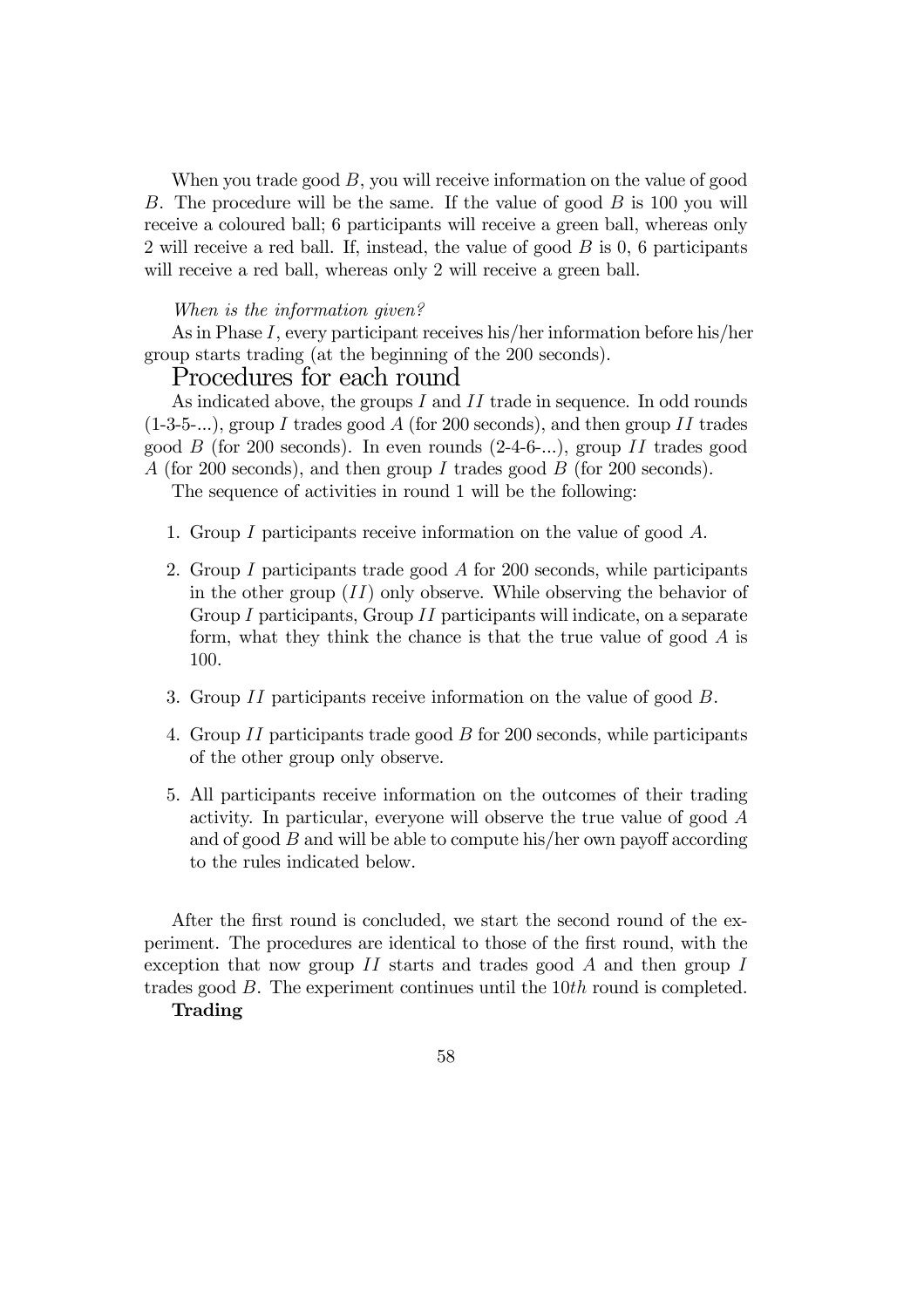When you trade good  $B$ , you will receive information on the value of good  $B$ . The procedure will be the same. If the value of good  $B$  is 100 you will receive a coloured ball; 6 participants will receive a green ball, whereas only 2 will receive a red ball. If, instead, the value of good  $B$  is 0, 6 participants will receive a red ball, whereas only 2 will receive a green ball.

#### *When is the information given?*

As in Phase  $I$ , every participant receives his/her information before his/her group starts trading (at the beginning of the 200 seconds).

### Procedures for each round

As indicated above, the groups  $I$  and  $II$  trade in sequence. In odd rounds  $(1-3-5...),$  group I trades good A (for 200 seconds), and then group II trades good  $B$  (for 200 seconds). In even rounds  $(2-4-6...)$ , group  $II$  trades good A (for 200 seconds), and then group I trades good  $B$  (for 200 seconds).

The sequence of activities in round 1 will be the following:

- 1. Group  $I$  participants receive information on the value of good  $A$ .
- 2. Group I participants trade good  $\tilde{A}$  for 200 seconds, while participants in the other group  $(II)$  only observe. While observing the behavior of Group  $I$  participants, Group  $II$  participants will indicate, on a separate form, what they think the chance is that the true value of good  $A$  is 100.
- 3. Group  $II$  participants receive information on the value of good  $B$ .
- 4. Group  $II$  participants trade good  $B$  for 200 seconds, while participants of the other group only observe.
- 5. All participants receive information on the outcomes of their trading activity. In particular, everyone will observe the true value of good and of good  $B$  and will be able to compute his/her own payoff according to the rules indicated below.

After the first round is concluded, we start the second round of the experiment. The procedures are identical to those of the first round, with the exception that now group  $II$  starts and trades good  $A$  and then group  $I$ trades good  $B$ . The experiment continues until the  $10th$  round is completed.

Trading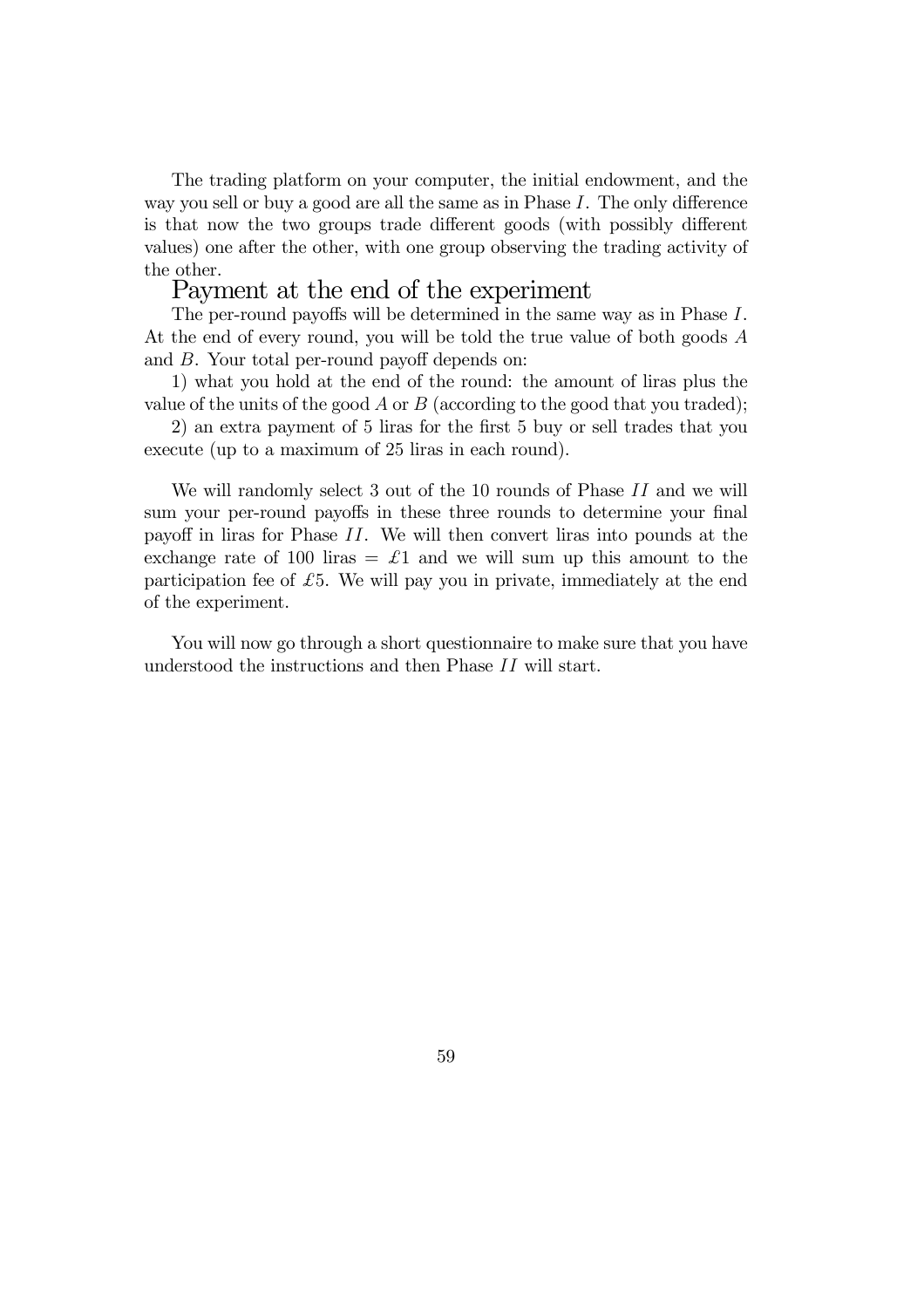The trading platform on your computer, the initial endowment, and the way you sell or buy a good are all the same as in Phase  $I$ . The only difference is that now the two groups trade different goods (with possibly different values) one after the other, with one group observing the trading activity of the other.

## Payment at the end of the experiment

The per-round payoffs will be determined in the same way as in Phase  $I$ . At the end of every round, you will be told the true value of both goods A and  $B$ . Your total per-round payoff depends on:

1) what you hold at the end of the round: the amount of liras plus the value of the units of the good  $A$  or  $B$  (according to the good that you traded);

2) an extra payment of 5 liras for the first 5 buy or sell trades that you execute (up to a maximum of 25 liras in each round).

We will randomly select 3 out of the 10 rounds of Phase  $II$  and we will sum your per-round payoffs in these three rounds to determine your final payoff in liras for Phase  $II$ . We will then convert liras into pounds at the exchange rate of 100 liras  $=$  £1 and we will sum up this amount to the participation fee of  $\mathcal{L}5$ . We will pay you in private, immediately at the end of the experiment.

You will now go through a short questionnaire to make sure that you have understood the instructions and then Phase  $II$  will start.